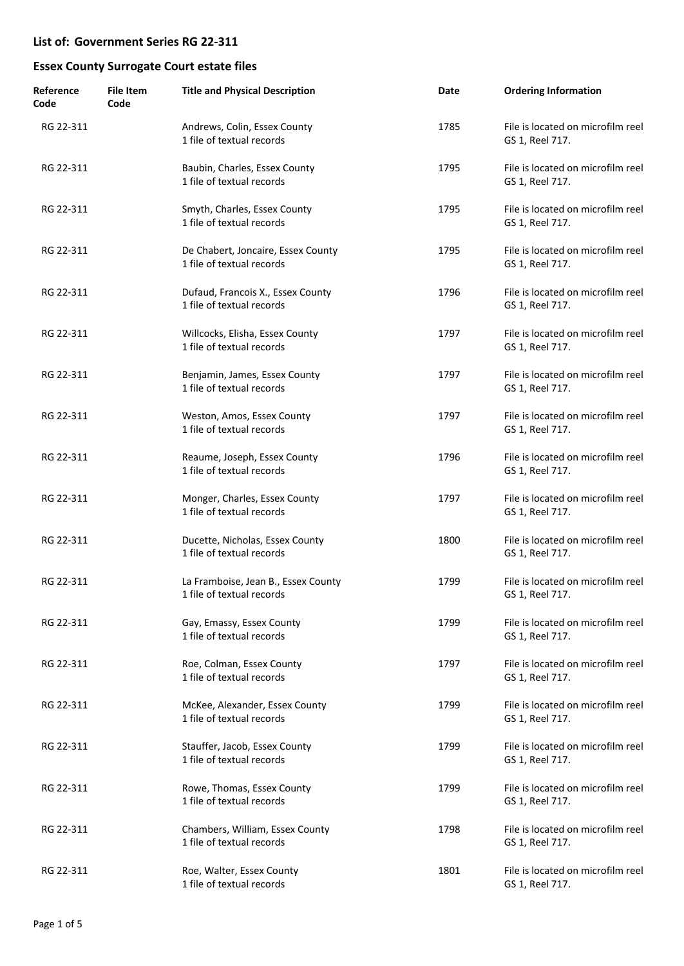| Reference<br>Code | <b>File Item</b><br>Code | <b>Title and Physical Description</b>                            | Date | <b>Ordering Information</b>                          |
|-------------------|--------------------------|------------------------------------------------------------------|------|------------------------------------------------------|
| RG 22-311         |                          | Andrews, Colin, Essex County<br>1 file of textual records        | 1785 | File is located on microfilm reel<br>GS 1, Reel 717. |
| RG 22-311         |                          | Baubin, Charles, Essex County<br>1 file of textual records       | 1795 | File is located on microfilm reel<br>GS 1, Reel 717. |
| RG 22-311         |                          | Smyth, Charles, Essex County<br>1 file of textual records        | 1795 | File is located on microfilm reel<br>GS 1, Reel 717. |
| RG 22-311         |                          | De Chabert, Joncaire, Essex County<br>1 file of textual records  | 1795 | File is located on microfilm reel<br>GS 1, Reel 717. |
| RG 22-311         |                          | Dufaud, Francois X., Essex County<br>1 file of textual records   | 1796 | File is located on microfilm reel<br>GS 1, Reel 717. |
| RG 22-311         |                          | Willcocks, Elisha, Essex County<br>1 file of textual records     | 1797 | File is located on microfilm reel<br>GS 1, Reel 717. |
| RG 22-311         |                          | Benjamin, James, Essex County<br>1 file of textual records       | 1797 | File is located on microfilm reel<br>GS 1, Reel 717. |
| RG 22-311         |                          | Weston, Amos, Essex County<br>1 file of textual records          | 1797 | File is located on microfilm reel<br>GS 1, Reel 717. |
| RG 22-311         |                          | Reaume, Joseph, Essex County<br>1 file of textual records        | 1796 | File is located on microfilm reel<br>GS 1, Reel 717. |
| RG 22-311         |                          | Monger, Charles, Essex County<br>1 file of textual records       | 1797 | File is located on microfilm reel<br>GS 1, Reel 717. |
| RG 22-311         |                          | Ducette, Nicholas, Essex County<br>1 file of textual records     | 1800 | File is located on microfilm reel<br>GS 1, Reel 717. |
| RG 22-311         |                          | La Framboise, Jean B., Essex County<br>1 file of textual records | 1799 | File is located on microfilm reel<br>GS 1, Reel 717. |
| RG 22-311         |                          | Gay, Emassy, Essex County<br>1 file of textual records           | 1799 | File is located on microfilm reel<br>GS 1, Reel 717. |
| RG 22-311         |                          | Roe, Colman, Essex County<br>1 file of textual records           | 1797 | File is located on microfilm reel<br>GS 1, Reel 717. |
| RG 22-311         |                          | McKee, Alexander, Essex County<br>1 file of textual records      | 1799 | File is located on microfilm reel<br>GS 1, Reel 717. |
| RG 22-311         |                          | Stauffer, Jacob, Essex County<br>1 file of textual records       | 1799 | File is located on microfilm reel<br>GS 1, Reel 717. |
| RG 22-311         |                          | Rowe, Thomas, Essex County<br>1 file of textual records          | 1799 | File is located on microfilm reel<br>GS 1, Reel 717. |
| RG 22-311         |                          | Chambers, William, Essex County<br>1 file of textual records     | 1798 | File is located on microfilm reel<br>GS 1, Reel 717. |
| RG 22-311         |                          | Roe, Walter, Essex County<br>1 file of textual records           | 1801 | File is located on microfilm reel<br>GS 1, Reel 717. |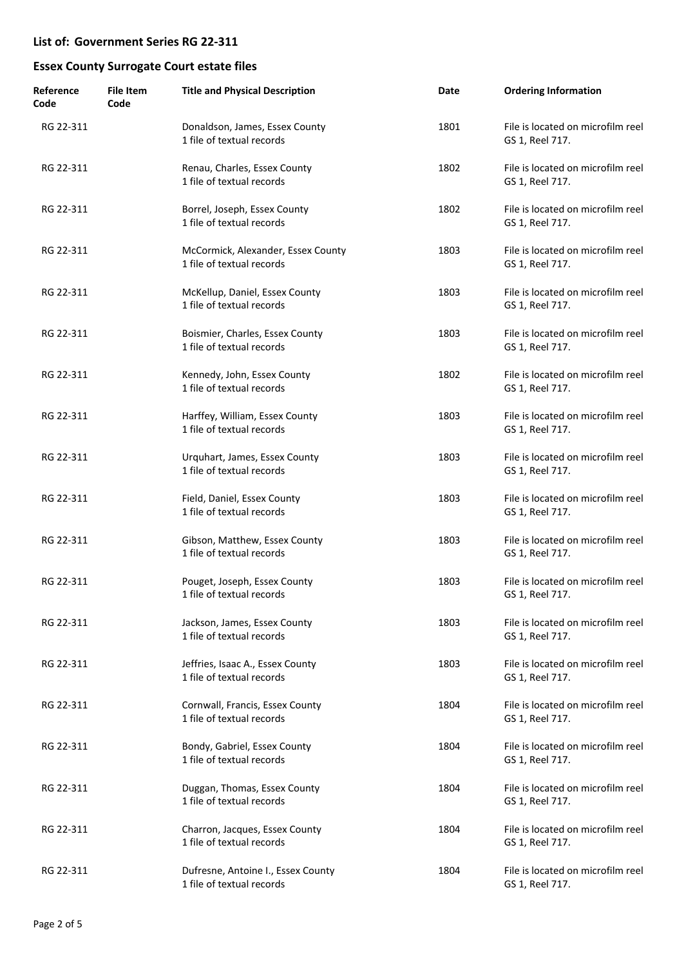| Reference<br>Code | <b>File Item</b><br>Code | <b>Title and Physical Description</b>                           | Date | <b>Ordering Information</b>                          |
|-------------------|--------------------------|-----------------------------------------------------------------|------|------------------------------------------------------|
| RG 22-311         |                          | Donaldson, James, Essex County<br>1 file of textual records     | 1801 | File is located on microfilm reel<br>GS 1, Reel 717. |
| RG 22-311         |                          | Renau, Charles, Essex County<br>1 file of textual records       | 1802 | File is located on microfilm reel<br>GS 1, Reel 717. |
| RG 22-311         |                          | Borrel, Joseph, Essex County<br>1 file of textual records       | 1802 | File is located on microfilm reel<br>GS 1, Reel 717. |
| RG 22-311         |                          | McCormick, Alexander, Essex County<br>1 file of textual records | 1803 | File is located on microfilm reel<br>GS 1, Reel 717. |
| RG 22-311         |                          | McKellup, Daniel, Essex County<br>1 file of textual records     | 1803 | File is located on microfilm reel<br>GS 1, Reel 717. |
| RG 22-311         |                          | Boismier, Charles, Essex County<br>1 file of textual records    | 1803 | File is located on microfilm reel<br>GS 1, Reel 717. |
| RG 22-311         |                          | Kennedy, John, Essex County<br>1 file of textual records        | 1802 | File is located on microfilm reel<br>GS 1, Reel 717. |
| RG 22-311         |                          | Harffey, William, Essex County<br>1 file of textual records     | 1803 | File is located on microfilm reel<br>GS 1, Reel 717. |
| RG 22-311         |                          | Urquhart, James, Essex County<br>1 file of textual records      | 1803 | File is located on microfilm reel<br>GS 1, Reel 717. |
| RG 22-311         |                          | Field, Daniel, Essex County<br>1 file of textual records        | 1803 | File is located on microfilm reel<br>GS 1, Reel 717. |
| RG 22-311         |                          | Gibson, Matthew, Essex County<br>1 file of textual records      | 1803 | File is located on microfilm reel<br>GS 1, Reel 717. |
| RG 22-311         |                          | Pouget, Joseph, Essex County<br>1 file of textual records       | 1803 | File is located on microfilm reel<br>GS 1, Reel 717. |
| RG 22-311         |                          | Jackson, James, Essex County<br>1 file of textual records       | 1803 | File is located on microfilm reel<br>GS 1, Reel 717. |
| RG 22-311         |                          | Jeffries, Isaac A., Essex County<br>1 file of textual records   | 1803 | File is located on microfilm reel<br>GS 1, Reel 717. |
| RG 22-311         |                          | Cornwall, Francis, Essex County<br>1 file of textual records    | 1804 | File is located on microfilm reel<br>GS 1, Reel 717. |
| RG 22-311         |                          | Bondy, Gabriel, Essex County<br>1 file of textual records       | 1804 | File is located on microfilm reel<br>GS 1, Reel 717. |
| RG 22-311         |                          | Duggan, Thomas, Essex County<br>1 file of textual records       | 1804 | File is located on microfilm reel<br>GS 1, Reel 717. |
| RG 22-311         |                          | Charron, Jacques, Essex County<br>1 file of textual records     | 1804 | File is located on microfilm reel<br>GS 1, Reel 717. |
| RG 22-311         |                          | Dufresne, Antoine I., Essex County<br>1 file of textual records | 1804 | File is located on microfilm reel<br>GS 1, Reel 717. |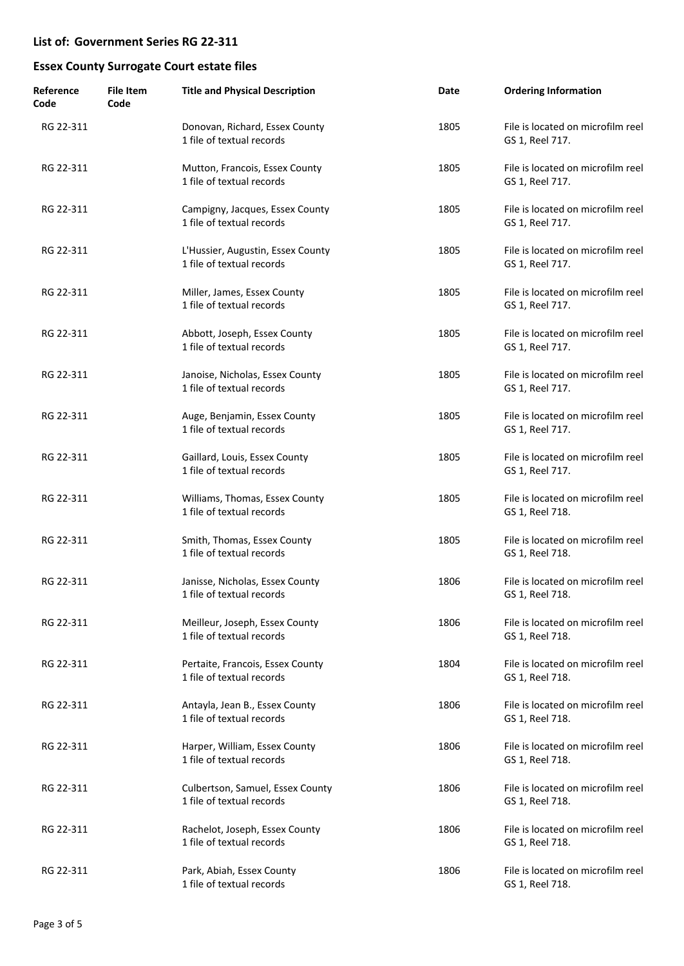| Reference<br>Code | File Item<br>Code | <b>Title and Physical Description</b>                          | Date | <b>Ordering Information</b>                          |
|-------------------|-------------------|----------------------------------------------------------------|------|------------------------------------------------------|
| RG 22-311         |                   | Donovan, Richard, Essex County<br>1 file of textual records    | 1805 | File is located on microfilm reel<br>GS 1, Reel 717. |
| RG 22-311         |                   | Mutton, Francois, Essex County<br>1 file of textual records    | 1805 | File is located on microfilm reel<br>GS 1, Reel 717. |
| RG 22-311         |                   | Campigny, Jacques, Essex County<br>1 file of textual records   | 1805 | File is located on microfilm reel<br>GS 1, Reel 717. |
| RG 22-311         |                   | L'Hussier, Augustin, Essex County<br>1 file of textual records | 1805 | File is located on microfilm reel<br>GS 1, Reel 717. |
| RG 22-311         |                   | Miller, James, Essex County<br>1 file of textual records       | 1805 | File is located on microfilm reel<br>GS 1, Reel 717. |
| RG 22-311         |                   | Abbott, Joseph, Essex County<br>1 file of textual records      | 1805 | File is located on microfilm reel<br>GS 1, Reel 717. |
| RG 22-311         |                   | Janoise, Nicholas, Essex County<br>1 file of textual records   | 1805 | File is located on microfilm reel<br>GS 1, Reel 717. |
| RG 22-311         |                   | Auge, Benjamin, Essex County<br>1 file of textual records      | 1805 | File is located on microfilm reel<br>GS 1, Reel 717. |
| RG 22-311         |                   | Gaillard, Louis, Essex County<br>1 file of textual records     | 1805 | File is located on microfilm reel<br>GS 1, Reel 717. |
| RG 22-311         |                   | Williams, Thomas, Essex County<br>1 file of textual records    | 1805 | File is located on microfilm reel<br>GS 1, Reel 718. |
| RG 22-311         |                   | Smith, Thomas, Essex County<br>1 file of textual records       | 1805 | File is located on microfilm reel<br>GS 1, Reel 718. |
| RG 22-311         |                   | Janisse, Nicholas, Essex County<br>1 file of textual records   | 1806 | File is located on microfilm reel<br>GS 1, Reel 718. |
| RG 22-311         |                   | Meilleur, Joseph, Essex County<br>1 file of textual records    | 1806 | File is located on microfilm reel<br>GS 1, Reel 718. |
| RG 22-311         |                   | Pertaite, Francois, Essex County<br>1 file of textual records  | 1804 | File is located on microfilm reel<br>GS 1, Reel 718. |
| RG 22-311         |                   | Antayla, Jean B., Essex County<br>1 file of textual records    | 1806 | File is located on microfilm reel<br>GS 1, Reel 718. |
| RG 22-311         |                   | Harper, William, Essex County<br>1 file of textual records     | 1806 | File is located on microfilm reel<br>GS 1, Reel 718. |
| RG 22-311         |                   | Culbertson, Samuel, Essex County<br>1 file of textual records  | 1806 | File is located on microfilm reel<br>GS 1, Reel 718. |
| RG 22-311         |                   | Rachelot, Joseph, Essex County<br>1 file of textual records    | 1806 | File is located on microfilm reel<br>GS 1, Reel 718. |
| RG 22-311         |                   | Park, Abiah, Essex County<br>1 file of textual records         | 1806 | File is located on microfilm reel<br>GS 1, Reel 718. |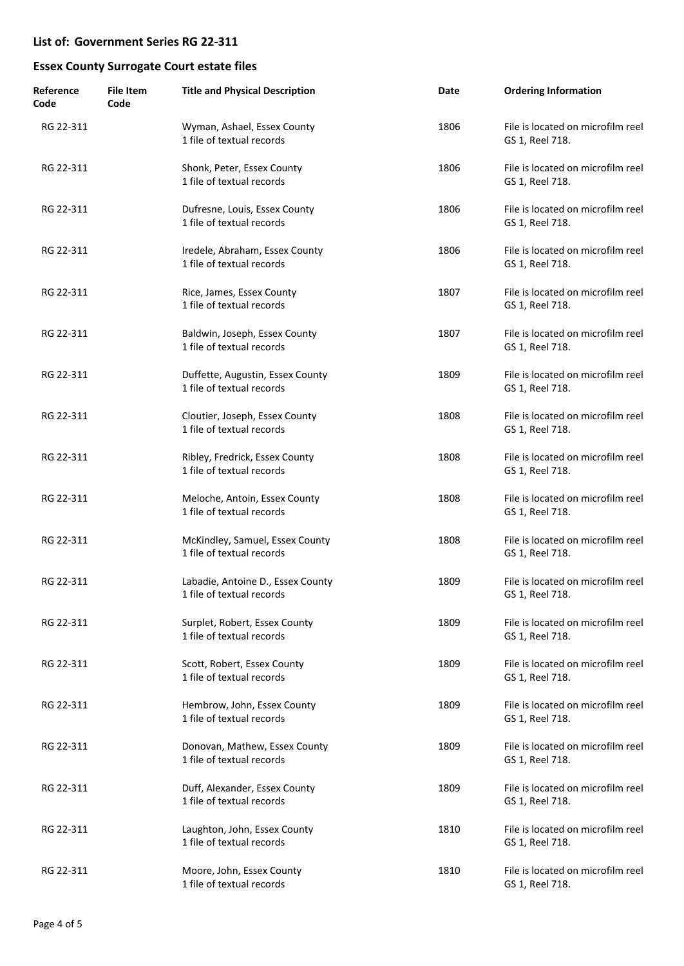| Reference<br>Code | <b>File Item</b><br>Code | <b>Title and Physical Description</b>                          | Date | <b>Ordering Information</b>                          |
|-------------------|--------------------------|----------------------------------------------------------------|------|------------------------------------------------------|
| RG 22-311         |                          | Wyman, Ashael, Essex County<br>1 file of textual records       | 1806 | File is located on microfilm reel<br>GS 1, Reel 718. |
| RG 22-311         |                          | Shonk, Peter, Essex County<br>1 file of textual records        | 1806 | File is located on microfilm reel<br>GS 1, Reel 718. |
| RG 22-311         |                          | Dufresne, Louis, Essex County<br>1 file of textual records     | 1806 | File is located on microfilm reel<br>GS 1, Reel 718. |
| RG 22-311         |                          | Iredele, Abraham, Essex County<br>1 file of textual records    | 1806 | File is located on microfilm reel<br>GS 1, Reel 718. |
| RG 22-311         |                          | Rice, James, Essex County<br>1 file of textual records         | 1807 | File is located on microfilm reel<br>GS 1, Reel 718. |
| RG 22-311         |                          | Baldwin, Joseph, Essex County<br>1 file of textual records     | 1807 | File is located on microfilm reel<br>GS 1, Reel 718. |
| RG 22-311         |                          | Duffette, Augustin, Essex County<br>1 file of textual records  | 1809 | File is located on microfilm reel<br>GS 1, Reel 718. |
| RG 22-311         |                          | Cloutier, Joseph, Essex County<br>1 file of textual records    | 1808 | File is located on microfilm reel<br>GS 1, Reel 718. |
| RG 22-311         |                          | Ribley, Fredrick, Essex County<br>1 file of textual records    | 1808 | File is located on microfilm reel<br>GS 1, Reel 718. |
| RG 22-311         |                          | Meloche, Antoin, Essex County<br>1 file of textual records     | 1808 | File is located on microfilm reel<br>GS 1, Reel 718. |
| RG 22-311         |                          | McKindley, Samuel, Essex County<br>1 file of textual records   | 1808 | File is located on microfilm reel<br>GS 1, Reel 718. |
| RG 22-311         |                          | Labadie, Antoine D., Essex County<br>1 file of textual records | 1809 | File is located on microfilm reel<br>GS 1, Reel 718. |
| RG 22-311         |                          | Surplet, Robert, Essex County<br>1 file of textual records     | 1809 | File is located on microfilm reel<br>GS 1, Reel 718. |
| RG 22-311         |                          | Scott, Robert, Essex County<br>1 file of textual records       | 1809 | File is located on microfilm reel<br>GS 1, Reel 718. |
| RG 22-311         |                          | Hembrow, John, Essex County<br>1 file of textual records       | 1809 | File is located on microfilm reel<br>GS 1, Reel 718. |
| RG 22-311         |                          | Donovan, Mathew, Essex County<br>1 file of textual records     | 1809 | File is located on microfilm reel<br>GS 1, Reel 718. |
| RG 22-311         |                          | Duff, Alexander, Essex County<br>1 file of textual records     | 1809 | File is located on microfilm reel<br>GS 1, Reel 718. |
| RG 22-311         |                          | Laughton, John, Essex County<br>1 file of textual records      | 1810 | File is located on microfilm reel<br>GS 1, Reel 718. |
| RG 22-311         |                          | Moore, John, Essex County<br>1 file of textual records         | 1810 | File is located on microfilm reel<br>GS 1, Reel 718. |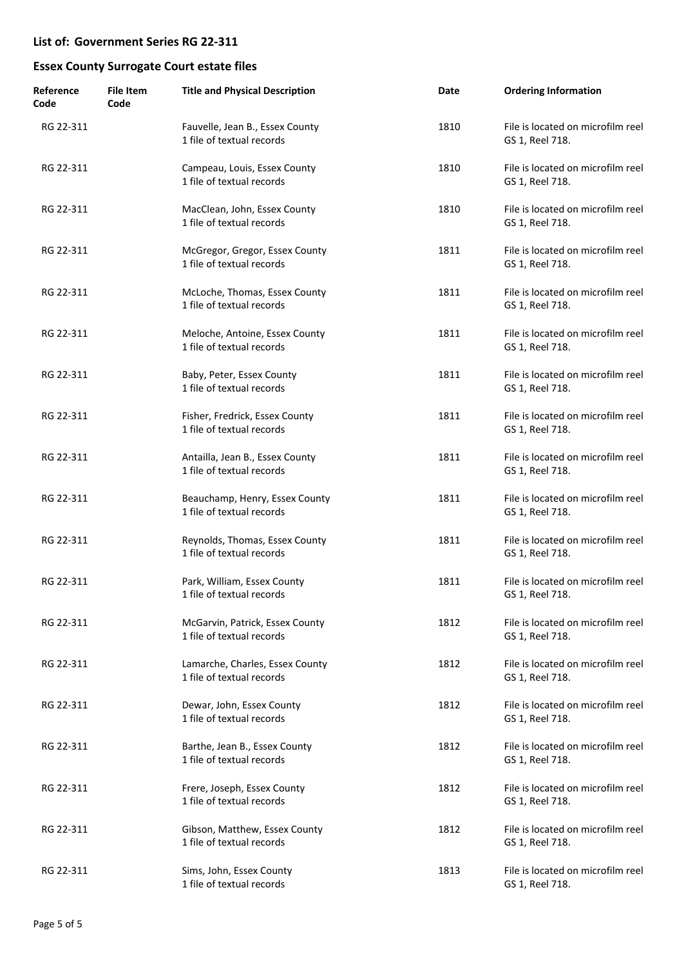| Reference<br>Code | <b>File Item</b><br>Code | <b>Title and Physical Description</b>                        | Date | <b>Ordering Information</b>                          |
|-------------------|--------------------------|--------------------------------------------------------------|------|------------------------------------------------------|
| RG 22-311         |                          | Fauvelle, Jean B., Essex County<br>1 file of textual records | 1810 | File is located on microfilm reel<br>GS 1, Reel 718. |
| RG 22-311         |                          | Campeau, Louis, Essex County<br>1 file of textual records    | 1810 | File is located on microfilm reel<br>GS 1, Reel 718. |
| RG 22-311         |                          | MacClean, John, Essex County<br>1 file of textual records    | 1810 | File is located on microfilm reel<br>GS 1, Reel 718. |
| RG 22-311         |                          | McGregor, Gregor, Essex County<br>1 file of textual records  | 1811 | File is located on microfilm reel<br>GS 1, Reel 718. |
| RG 22-311         |                          | McLoche, Thomas, Essex County<br>1 file of textual records   | 1811 | File is located on microfilm reel<br>GS 1, Reel 718. |
| RG 22-311         |                          | Meloche, Antoine, Essex County<br>1 file of textual records  | 1811 | File is located on microfilm reel<br>GS 1, Reel 718. |
| RG 22-311         |                          | Baby, Peter, Essex County<br>1 file of textual records       | 1811 | File is located on microfilm reel<br>GS 1, Reel 718. |
| RG 22-311         |                          | Fisher, Fredrick, Essex County<br>1 file of textual records  | 1811 | File is located on microfilm reel<br>GS 1, Reel 718. |
| RG 22-311         |                          | Antailla, Jean B., Essex County<br>1 file of textual records | 1811 | File is located on microfilm reel<br>GS 1, Reel 718. |
| RG 22-311         |                          | Beauchamp, Henry, Essex County<br>1 file of textual records  | 1811 | File is located on microfilm reel<br>GS 1, Reel 718. |
| RG 22-311         |                          | Reynolds, Thomas, Essex County<br>1 file of textual records  | 1811 | File is located on microfilm reel<br>GS 1, Reel 718. |
| RG 22-311         |                          | Park, William, Essex County<br>1 file of textual records     | 1811 | File is located on microfilm reel<br>GS 1, Reel 718. |
| RG 22-311         |                          | McGarvin, Patrick, Essex County<br>1 file of textual records | 1812 | File is located on microfilm reel<br>GS 1, Reel 718. |
| RG 22-311         |                          | Lamarche, Charles, Essex County<br>1 file of textual records | 1812 | File is located on microfilm reel<br>GS 1, Reel 718. |
| RG 22-311         |                          | Dewar, John, Essex County<br>1 file of textual records       | 1812 | File is located on microfilm reel<br>GS 1, Reel 718. |
| RG 22-311         |                          | Barthe, Jean B., Essex County<br>1 file of textual records   | 1812 | File is located on microfilm reel<br>GS 1, Reel 718. |
| RG 22-311         |                          | Frere, Joseph, Essex County<br>1 file of textual records     | 1812 | File is located on microfilm reel<br>GS 1, Reel 718. |
| RG 22-311         |                          | Gibson, Matthew, Essex County<br>1 file of textual records   | 1812 | File is located on microfilm reel<br>GS 1, Reel 718. |
| RG 22-311         |                          | Sims, John, Essex County<br>1 file of textual records        | 1813 | File is located on microfilm reel<br>GS 1, Reel 718. |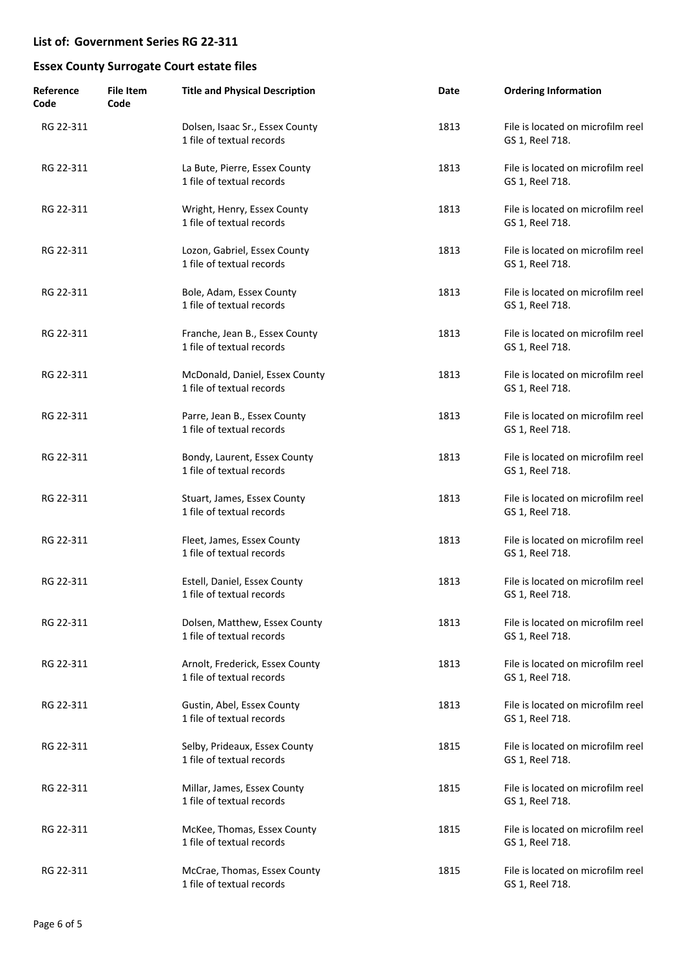| Reference<br>Code | File Item<br>Code | <b>Title and Physical Description</b>                        | Date | <b>Ordering Information</b>                          |
|-------------------|-------------------|--------------------------------------------------------------|------|------------------------------------------------------|
| RG 22-311         |                   | Dolsen, Isaac Sr., Essex County<br>1 file of textual records | 1813 | File is located on microfilm reel<br>GS 1, Reel 718. |
| RG 22-311         |                   | La Bute, Pierre, Essex County<br>1 file of textual records   | 1813 | File is located on microfilm reel<br>GS 1, Reel 718. |
| RG 22-311         |                   | Wright, Henry, Essex County<br>1 file of textual records     | 1813 | File is located on microfilm reel<br>GS 1, Reel 718. |
| RG 22-311         |                   | Lozon, Gabriel, Essex County<br>1 file of textual records    | 1813 | File is located on microfilm reel<br>GS 1, Reel 718. |
| RG 22-311         |                   | Bole, Adam, Essex County<br>1 file of textual records        | 1813 | File is located on microfilm reel<br>GS 1, Reel 718. |
| RG 22-311         |                   | Franche, Jean B., Essex County<br>1 file of textual records  | 1813 | File is located on microfilm reel<br>GS 1, Reel 718. |
| RG 22-311         |                   | McDonald, Daniel, Essex County<br>1 file of textual records  | 1813 | File is located on microfilm reel<br>GS 1, Reel 718. |
| RG 22-311         |                   | Parre, Jean B., Essex County<br>1 file of textual records    | 1813 | File is located on microfilm reel<br>GS 1, Reel 718. |
| RG 22-311         |                   | Bondy, Laurent, Essex County<br>1 file of textual records    | 1813 | File is located on microfilm reel<br>GS 1, Reel 718. |
| RG 22-311         |                   | Stuart, James, Essex County<br>1 file of textual records     | 1813 | File is located on microfilm reel<br>GS 1, Reel 718. |
| RG 22-311         |                   | Fleet, James, Essex County<br>1 file of textual records      | 1813 | File is located on microfilm reel<br>GS 1, Reel 718. |
| RG 22-311         |                   | Estell, Daniel, Essex County<br>1 file of textual records    | 1813 | File is located on microfilm reel<br>GS 1, Reel 718. |
| RG 22-311         |                   | Dolsen, Matthew, Essex County<br>1 file of textual records   | 1813 | File is located on microfilm reel<br>GS 1, Reel 718. |
| RG 22-311         |                   | Arnolt, Frederick, Essex County<br>1 file of textual records | 1813 | File is located on microfilm reel<br>GS 1, Reel 718. |
| RG 22-311         |                   | Gustin, Abel, Essex County<br>1 file of textual records      | 1813 | File is located on microfilm reel<br>GS 1, Reel 718. |
| RG 22-311         |                   | Selby, Prideaux, Essex County<br>1 file of textual records   | 1815 | File is located on microfilm reel<br>GS 1, Reel 718. |
| RG 22-311         |                   | Millar, James, Essex County<br>1 file of textual records     | 1815 | File is located on microfilm reel<br>GS 1, Reel 718. |
| RG 22-311         |                   | McKee, Thomas, Essex County<br>1 file of textual records     | 1815 | File is located on microfilm reel<br>GS 1, Reel 718. |
| RG 22-311         |                   | McCrae, Thomas, Essex County<br>1 file of textual records    | 1815 | File is located on microfilm reel<br>GS 1, Reel 718. |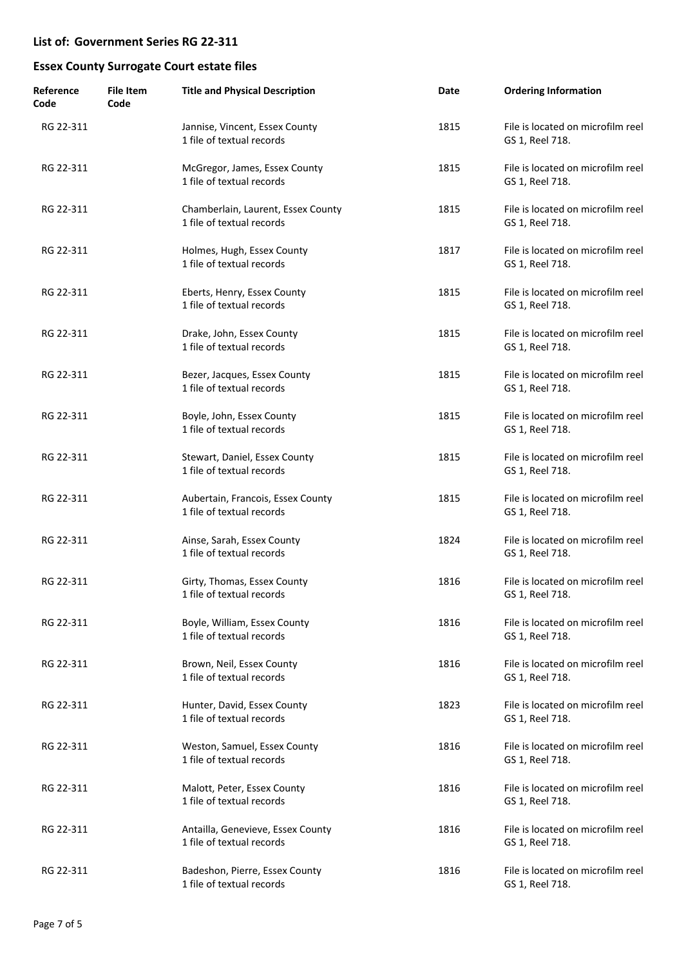| Reference<br>Code | <b>File Item</b><br>Code | <b>Title and Physical Description</b>                           | Date | <b>Ordering Information</b>                          |
|-------------------|--------------------------|-----------------------------------------------------------------|------|------------------------------------------------------|
| RG 22-311         |                          | Jannise, Vincent, Essex County<br>1 file of textual records     | 1815 | File is located on microfilm reel<br>GS 1, Reel 718. |
| RG 22-311         |                          | McGregor, James, Essex County<br>1 file of textual records      | 1815 | File is located on microfilm reel<br>GS 1, Reel 718. |
| RG 22-311         |                          | Chamberlain, Laurent, Essex County<br>1 file of textual records | 1815 | File is located on microfilm reel<br>GS 1, Reel 718. |
| RG 22-311         |                          | Holmes, Hugh, Essex County<br>1 file of textual records         | 1817 | File is located on microfilm reel<br>GS 1, Reel 718. |
| RG 22-311         |                          | Eberts, Henry, Essex County<br>1 file of textual records        | 1815 | File is located on microfilm reel<br>GS 1, Reel 718. |
| RG 22-311         |                          | Drake, John, Essex County<br>1 file of textual records          | 1815 | File is located on microfilm reel<br>GS 1, Reel 718. |
| RG 22-311         |                          | Bezer, Jacques, Essex County<br>1 file of textual records       | 1815 | File is located on microfilm reel<br>GS 1, Reel 718. |
| RG 22-311         |                          | Boyle, John, Essex County<br>1 file of textual records          | 1815 | File is located on microfilm reel<br>GS 1, Reel 718. |
| RG 22-311         |                          | Stewart, Daniel, Essex County<br>1 file of textual records      | 1815 | File is located on microfilm reel<br>GS 1, Reel 718. |
| RG 22-311         |                          | Aubertain, Francois, Essex County<br>1 file of textual records  | 1815 | File is located on microfilm reel<br>GS 1, Reel 718. |
| RG 22-311         |                          | Ainse, Sarah, Essex County<br>1 file of textual records         | 1824 | File is located on microfilm reel<br>GS 1, Reel 718. |
| RG 22-311         |                          | Girty, Thomas, Essex County<br>1 file of textual records        | 1816 | File is located on microfilm reel<br>GS 1, Reel 718. |
| RG 22-311         |                          | Boyle, William, Essex County<br>1 file of textual records       | 1816 | File is located on microfilm reel<br>GS 1, Reel 718. |
| RG 22-311         |                          | Brown, Neil, Essex County<br>1 file of textual records          | 1816 | File is located on microfilm reel<br>GS 1, Reel 718. |
| RG 22-311         |                          | Hunter, David, Essex County<br>1 file of textual records        | 1823 | File is located on microfilm reel<br>GS 1, Reel 718. |
| RG 22-311         |                          | Weston, Samuel, Essex County<br>1 file of textual records       | 1816 | File is located on microfilm reel<br>GS 1, Reel 718. |
| RG 22-311         |                          | Malott, Peter, Essex County<br>1 file of textual records        | 1816 | File is located on microfilm reel<br>GS 1, Reel 718. |
| RG 22-311         |                          | Antailla, Genevieve, Essex County<br>1 file of textual records  | 1816 | File is located on microfilm reel<br>GS 1, Reel 718. |
| RG 22-311         |                          | Badeshon, Pierre, Essex County<br>1 file of textual records     | 1816 | File is located on microfilm reel<br>GS 1, Reel 718. |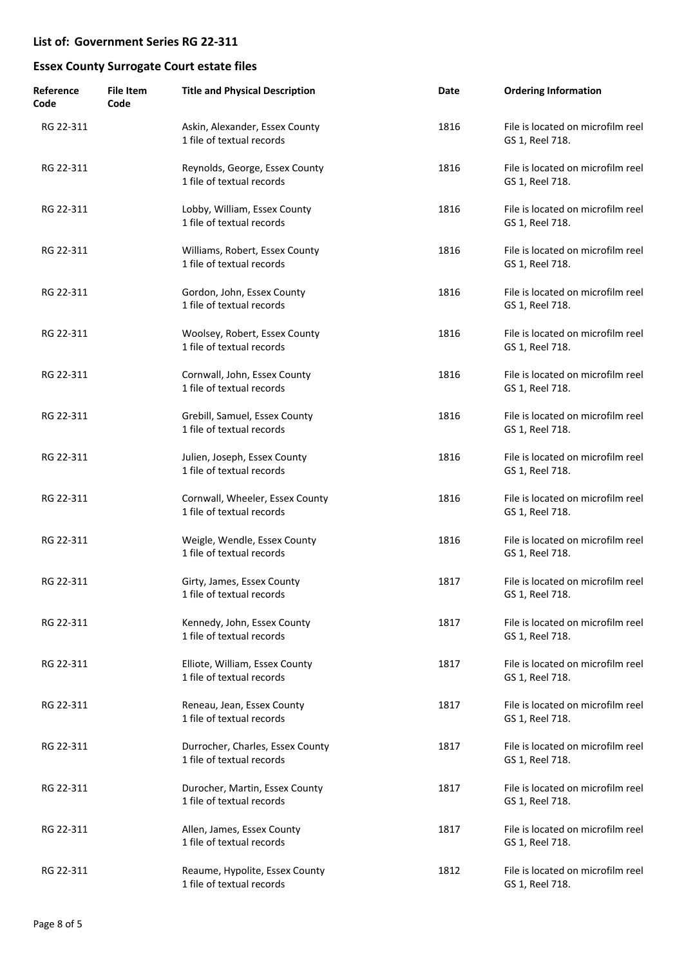| Reference<br>Code | File Item<br>Code | <b>Title and Physical Description</b>                         | Date | <b>Ordering Information</b>                          |
|-------------------|-------------------|---------------------------------------------------------------|------|------------------------------------------------------|
| RG 22-311         |                   | Askin, Alexander, Essex County<br>1 file of textual records   | 1816 | File is located on microfilm reel<br>GS 1, Reel 718. |
| RG 22-311         |                   | Reynolds, George, Essex County<br>1 file of textual records   | 1816 | File is located on microfilm reel<br>GS 1, Reel 718. |
| RG 22-311         |                   | Lobby, William, Essex County<br>1 file of textual records     | 1816 | File is located on microfilm reel<br>GS 1, Reel 718. |
| RG 22-311         |                   | Williams, Robert, Essex County<br>1 file of textual records   | 1816 | File is located on microfilm reel<br>GS 1, Reel 718. |
| RG 22-311         |                   | Gordon, John, Essex County<br>1 file of textual records       | 1816 | File is located on microfilm reel<br>GS 1, Reel 718. |
| RG 22-311         |                   | Woolsey, Robert, Essex County<br>1 file of textual records    | 1816 | File is located on microfilm reel<br>GS 1, Reel 718. |
| RG 22-311         |                   | Cornwall, John, Essex County<br>1 file of textual records     | 1816 | File is located on microfilm reel<br>GS 1, Reel 718. |
| RG 22-311         |                   | Grebill, Samuel, Essex County<br>1 file of textual records    | 1816 | File is located on microfilm reel<br>GS 1, Reel 718. |
| RG 22-311         |                   | Julien, Joseph, Essex County<br>1 file of textual records     | 1816 | File is located on microfilm reel<br>GS 1, Reel 718. |
| RG 22-311         |                   | Cornwall, Wheeler, Essex County<br>1 file of textual records  | 1816 | File is located on microfilm reel<br>GS 1, Reel 718. |
| RG 22-311         |                   | Weigle, Wendle, Essex County<br>1 file of textual records     | 1816 | File is located on microfilm reel<br>GS 1, Reel 718. |
| RG 22-311         |                   | Girty, James, Essex County<br>1 file of textual records       | 1817 | File is located on microfilm reel<br>GS 1, Reel 718. |
| RG 22-311         |                   | Kennedy, John, Essex County<br>1 file of textual records      | 1817 | File is located on microfilm reel<br>GS 1, Reel 718. |
| RG 22-311         |                   | Elliote, William, Essex County<br>1 file of textual records   | 1817 | File is located on microfilm reel<br>GS 1, Reel 718. |
| RG 22-311         |                   | Reneau, Jean, Essex County<br>1 file of textual records       | 1817 | File is located on microfilm reel<br>GS 1, Reel 718. |
| RG 22-311         |                   | Durrocher, Charles, Essex County<br>1 file of textual records | 1817 | File is located on microfilm reel<br>GS 1, Reel 718. |
| RG 22-311         |                   | Durocher, Martin, Essex County<br>1 file of textual records   | 1817 | File is located on microfilm reel<br>GS 1, Reel 718. |
| RG 22-311         |                   | Allen, James, Essex County<br>1 file of textual records       | 1817 | File is located on microfilm reel<br>GS 1, Reel 718. |
| RG 22-311         |                   | Reaume, Hypolite, Essex County<br>1 file of textual records   | 1812 | File is located on microfilm reel<br>GS 1, Reel 718. |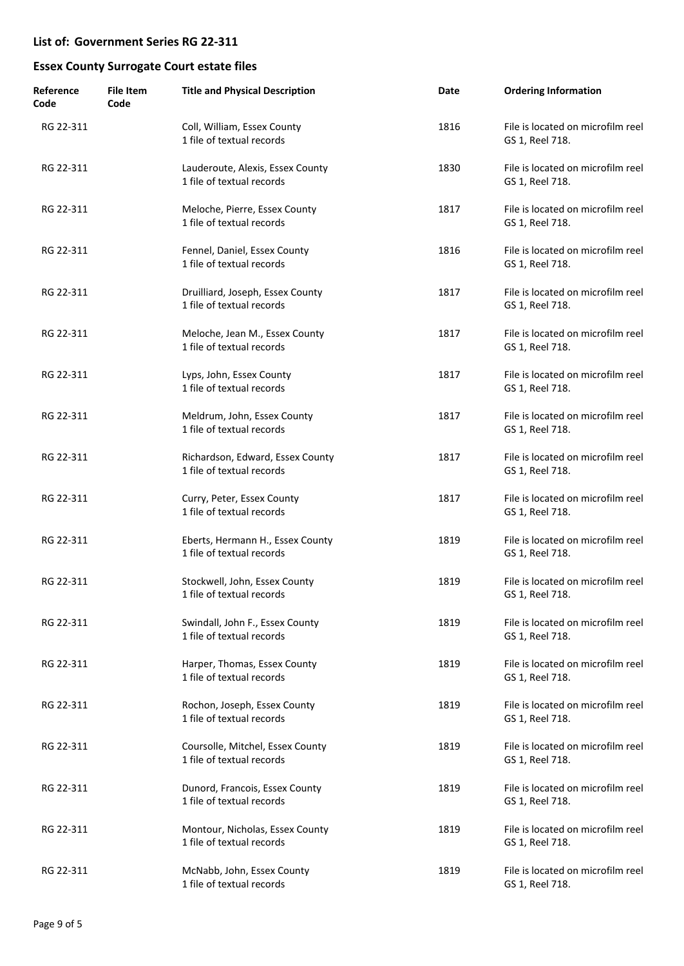| Reference<br>Code | <b>File Item</b><br>Code | <b>Title and Physical Description</b>                         | Date | <b>Ordering Information</b>                          |
|-------------------|--------------------------|---------------------------------------------------------------|------|------------------------------------------------------|
| RG 22-311         |                          | Coll, William, Essex County<br>1 file of textual records      | 1816 | File is located on microfilm reel<br>GS 1, Reel 718. |
| RG 22-311         |                          | Lauderoute, Alexis, Essex County<br>1 file of textual records | 1830 | File is located on microfilm reel<br>GS 1, Reel 718. |
| RG 22-311         |                          | Meloche, Pierre, Essex County<br>1 file of textual records    | 1817 | File is located on microfilm reel<br>GS 1, Reel 718. |
| RG 22-311         |                          | Fennel, Daniel, Essex County<br>1 file of textual records     | 1816 | File is located on microfilm reel<br>GS 1, Reel 718. |
| RG 22-311         |                          | Druilliard, Joseph, Essex County<br>1 file of textual records | 1817 | File is located on microfilm reel<br>GS 1, Reel 718. |
| RG 22-311         |                          | Meloche, Jean M., Essex County<br>1 file of textual records   | 1817 | File is located on microfilm reel<br>GS 1, Reel 718. |
| RG 22-311         |                          | Lyps, John, Essex County<br>1 file of textual records         | 1817 | File is located on microfilm reel<br>GS 1, Reel 718. |
| RG 22-311         |                          | Meldrum, John, Essex County<br>1 file of textual records      | 1817 | File is located on microfilm reel<br>GS 1, Reel 718. |
| RG 22-311         |                          | Richardson, Edward, Essex County<br>1 file of textual records | 1817 | File is located on microfilm reel<br>GS 1, Reel 718. |
| RG 22-311         |                          | Curry, Peter, Essex County<br>1 file of textual records       | 1817 | File is located on microfilm reel<br>GS 1, Reel 718. |
| RG 22-311         |                          | Eberts, Hermann H., Essex County<br>1 file of textual records | 1819 | File is located on microfilm reel<br>GS 1, Reel 718. |
| RG 22-311         |                          | Stockwell, John, Essex County<br>1 file of textual records    | 1819 | File is located on microfilm reel<br>GS 1, Reel 718. |
| RG 22-311         |                          | Swindall, John F., Essex County<br>1 file of textual records  | 1819 | File is located on microfilm reel<br>GS 1, Reel 718. |
| RG 22-311         |                          | Harper, Thomas, Essex County<br>1 file of textual records     | 1819 | File is located on microfilm reel<br>GS 1, Reel 718. |
| RG 22-311         |                          | Rochon, Joseph, Essex County<br>1 file of textual records     | 1819 | File is located on microfilm reel<br>GS 1, Reel 718. |
| RG 22-311         |                          | Coursolle, Mitchel, Essex County<br>1 file of textual records | 1819 | File is located on microfilm reel<br>GS 1, Reel 718. |
| RG 22-311         |                          | Dunord, Francois, Essex County<br>1 file of textual records   | 1819 | File is located on microfilm reel<br>GS 1, Reel 718. |
| RG 22-311         |                          | Montour, Nicholas, Essex County<br>1 file of textual records  | 1819 | File is located on microfilm reel<br>GS 1, Reel 718. |
| RG 22-311         |                          | McNabb, John, Essex County<br>1 file of textual records       | 1819 | File is located on microfilm reel<br>GS 1, Reel 718. |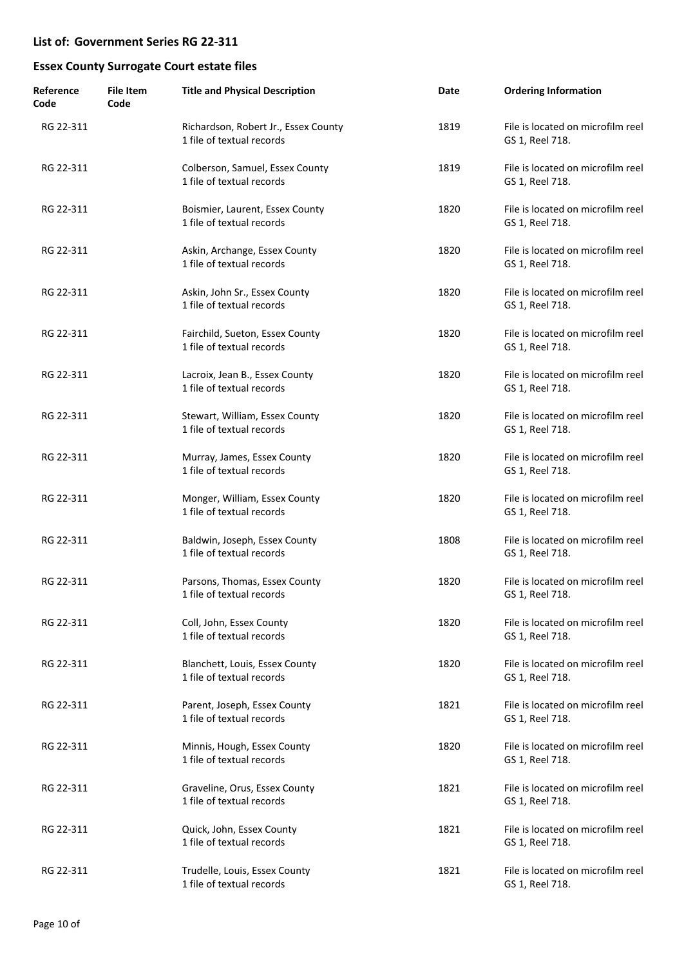| Reference<br>Code | <b>File Item</b><br>Code | <b>Title and Physical Description</b>                             | Date | <b>Ordering Information</b>                          |
|-------------------|--------------------------|-------------------------------------------------------------------|------|------------------------------------------------------|
| RG 22-311         |                          | Richardson, Robert Jr., Essex County<br>1 file of textual records | 1819 | File is located on microfilm reel<br>GS 1, Reel 718. |
| RG 22-311         |                          | Colberson, Samuel, Essex County<br>1 file of textual records      | 1819 | File is located on microfilm reel<br>GS 1, Reel 718. |
| RG 22-311         |                          | Boismier, Laurent, Essex County<br>1 file of textual records      | 1820 | File is located on microfilm reel<br>GS 1, Reel 718. |
| RG 22-311         |                          | Askin, Archange, Essex County<br>1 file of textual records        | 1820 | File is located on microfilm reel<br>GS 1, Reel 718. |
| RG 22-311         |                          | Askin, John Sr., Essex County<br>1 file of textual records        | 1820 | File is located on microfilm reel<br>GS 1, Reel 718. |
| RG 22-311         |                          | Fairchild, Sueton, Essex County<br>1 file of textual records      | 1820 | File is located on microfilm reel<br>GS 1, Reel 718. |
| RG 22-311         |                          | Lacroix, Jean B., Essex County<br>1 file of textual records       | 1820 | File is located on microfilm reel<br>GS 1, Reel 718. |
| RG 22-311         |                          | Stewart, William, Essex County<br>1 file of textual records       | 1820 | File is located on microfilm reel<br>GS 1, Reel 718. |
| RG 22-311         |                          | Murray, James, Essex County<br>1 file of textual records          | 1820 | File is located on microfilm reel<br>GS 1, Reel 718. |
| RG 22-311         |                          | Monger, William, Essex County<br>1 file of textual records        | 1820 | File is located on microfilm reel<br>GS 1, Reel 718. |
| RG 22-311         |                          | Baldwin, Joseph, Essex County<br>1 file of textual records        | 1808 | File is located on microfilm reel<br>GS 1, Reel 718. |
| RG 22-311         |                          | Parsons, Thomas, Essex County<br>1 file of textual records        | 1820 | File is located on microfilm reel<br>GS 1, Reel 718. |
| RG 22-311         |                          | Coll, John, Essex County<br>1 file of textual records             | 1820 | File is located on microfilm reel<br>GS 1, Reel 718. |
| RG 22-311         |                          | Blanchett, Louis, Essex County<br>1 file of textual records       | 1820 | File is located on microfilm reel<br>GS 1, Reel 718. |
| RG 22-311         |                          | Parent, Joseph, Essex County<br>1 file of textual records         | 1821 | File is located on microfilm reel<br>GS 1, Reel 718. |
| RG 22-311         |                          | Minnis, Hough, Essex County<br>1 file of textual records          | 1820 | File is located on microfilm reel<br>GS 1, Reel 718. |
| RG 22-311         |                          | Graveline, Orus, Essex County<br>1 file of textual records        | 1821 | File is located on microfilm reel<br>GS 1, Reel 718. |
| RG 22-311         |                          | Quick, John, Essex County<br>1 file of textual records            | 1821 | File is located on microfilm reel<br>GS 1, Reel 718. |
| RG 22-311         |                          | Trudelle, Louis, Essex County<br>1 file of textual records        | 1821 | File is located on microfilm reel<br>GS 1, Reel 718. |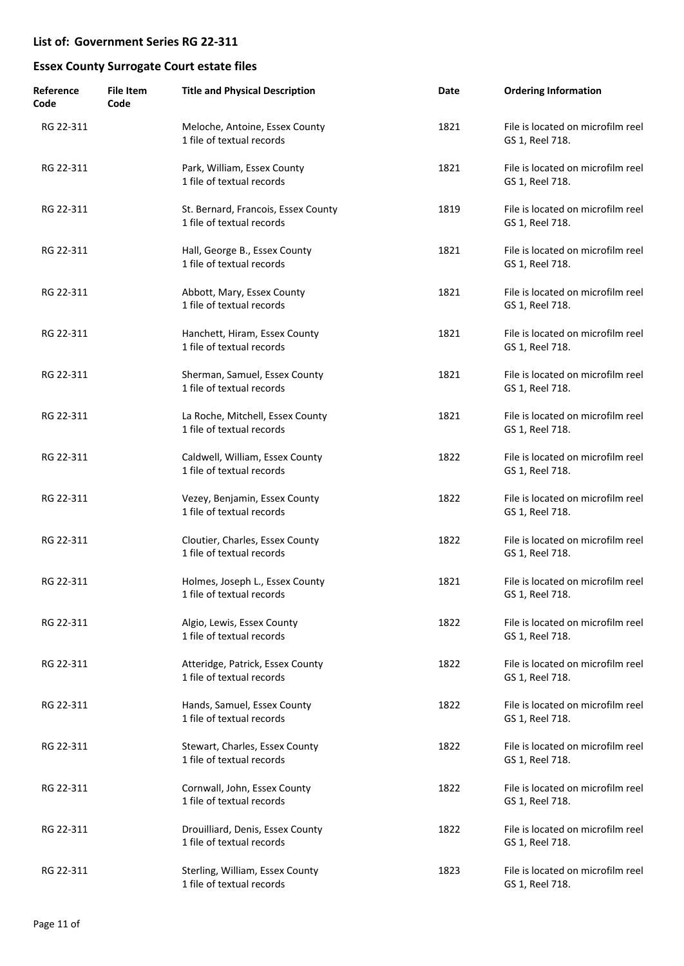| Reference<br>Code | <b>File Item</b><br>Code | <b>Title and Physical Description</b>                            | Date | <b>Ordering Information</b>                          |
|-------------------|--------------------------|------------------------------------------------------------------|------|------------------------------------------------------|
| RG 22-311         |                          | Meloche, Antoine, Essex County<br>1 file of textual records      | 1821 | File is located on microfilm reel<br>GS 1, Reel 718. |
| RG 22-311         |                          | Park, William, Essex County<br>1 file of textual records         | 1821 | File is located on microfilm reel<br>GS 1, Reel 718. |
| RG 22-311         |                          | St. Bernard, Francois, Essex County<br>1 file of textual records | 1819 | File is located on microfilm reel<br>GS 1, Reel 718. |
| RG 22-311         |                          | Hall, George B., Essex County<br>1 file of textual records       | 1821 | File is located on microfilm reel<br>GS 1, Reel 718. |
| RG 22-311         |                          | Abbott, Mary, Essex County<br>1 file of textual records          | 1821 | File is located on microfilm reel<br>GS 1, Reel 718. |
| RG 22-311         |                          | Hanchett, Hiram, Essex County<br>1 file of textual records       | 1821 | File is located on microfilm reel<br>GS 1, Reel 718. |
| RG 22-311         |                          | Sherman, Samuel, Essex County<br>1 file of textual records       | 1821 | File is located on microfilm reel<br>GS 1, Reel 718. |
| RG 22-311         |                          | La Roche, Mitchell, Essex County<br>1 file of textual records    | 1821 | File is located on microfilm reel<br>GS 1, Reel 718. |
| RG 22-311         |                          | Caldwell, William, Essex County<br>1 file of textual records     | 1822 | File is located on microfilm reel<br>GS 1, Reel 718. |
| RG 22-311         |                          | Vezey, Benjamin, Essex County<br>1 file of textual records       | 1822 | File is located on microfilm reel<br>GS 1, Reel 718. |
| RG 22-311         |                          | Cloutier, Charles, Essex County<br>1 file of textual records     | 1822 | File is located on microfilm reel<br>GS 1, Reel 718. |
| RG 22-311         |                          | Holmes, Joseph L., Essex County<br>1 file of textual records     | 1821 | File is located on microfilm reel<br>GS 1, Reel 718. |
| RG 22-311         |                          | Algio, Lewis, Essex County<br>1 file of textual records          | 1822 | File is located on microfilm reel<br>GS 1, Reel 718. |
| RG 22-311         |                          | Atteridge, Patrick, Essex County<br>1 file of textual records    | 1822 | File is located on microfilm reel<br>GS 1, Reel 718. |
| RG 22-311         |                          | Hands, Samuel, Essex County<br>1 file of textual records         | 1822 | File is located on microfilm reel<br>GS 1, Reel 718. |
| RG 22-311         |                          | Stewart, Charles, Essex County<br>1 file of textual records      | 1822 | File is located on microfilm reel<br>GS 1, Reel 718. |
| RG 22-311         |                          | Cornwall, John, Essex County<br>1 file of textual records        | 1822 | File is located on microfilm reel<br>GS 1, Reel 718. |
| RG 22-311         |                          | Drouilliard, Denis, Essex County<br>1 file of textual records    | 1822 | File is located on microfilm reel<br>GS 1, Reel 718. |
| RG 22-311         |                          | Sterling, William, Essex County<br>1 file of textual records     | 1823 | File is located on microfilm reel<br>GS 1, Reel 718. |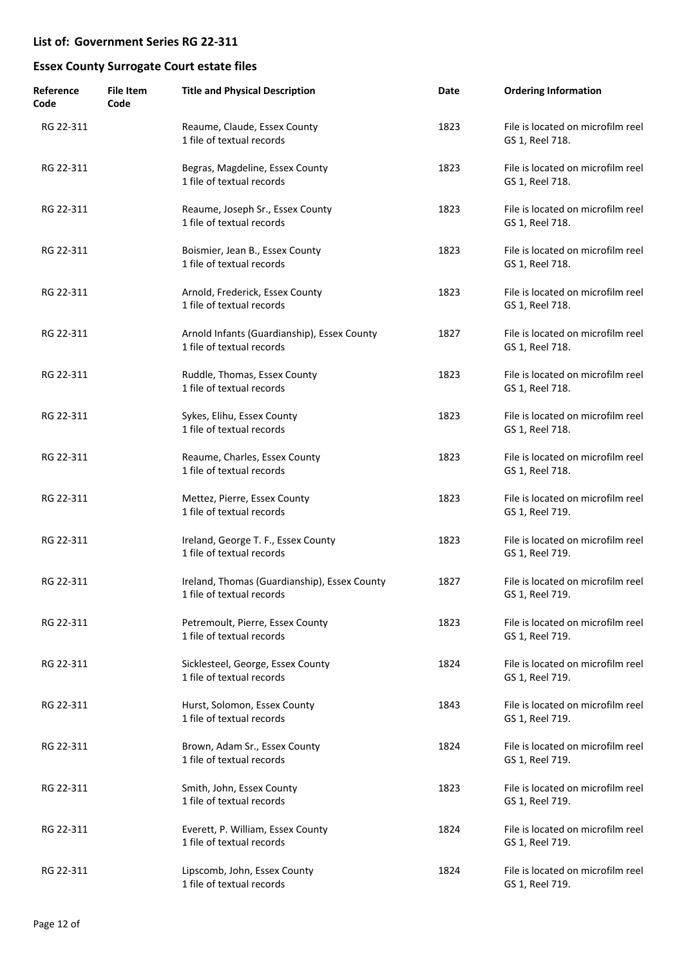| Reference<br>Code | <b>File Item</b><br>Code | <b>Title and Physical Description</b>                                     | Date | <b>Ordering Information</b>                          |
|-------------------|--------------------------|---------------------------------------------------------------------------|------|------------------------------------------------------|
| RG 22-311         |                          | Reaume, Claude, Essex County<br>1 file of textual records                 | 1823 | File is located on microfilm reel<br>GS 1, Reel 718. |
| RG 22-311         |                          | Begras, Magdeline, Essex County<br>1 file of textual records              | 1823 | File is located on microfilm reel<br>GS 1, Reel 718. |
| RG 22-311         |                          | Reaume, Joseph Sr., Essex County<br>1 file of textual records             | 1823 | File is located on microfilm reel<br>GS 1, Reel 718. |
| RG 22-311         |                          | Boismier, Jean B., Essex County<br>1 file of textual records              | 1823 | File is located on microfilm reel<br>GS 1, Reel 718. |
| RG 22-311         |                          | Arnold, Frederick, Essex County<br>1 file of textual records              | 1823 | File is located on microfilm reel<br>GS 1, Reel 718. |
| RG 22-311         |                          | Arnold Infants (Guardianship), Essex County<br>1 file of textual records  | 1827 | File is located on microfilm reel<br>GS 1, Reel 718. |
| RG 22-311         |                          | Ruddle, Thomas, Essex County<br>1 file of textual records                 | 1823 | File is located on microfilm reel<br>GS 1, Reel 718. |
| RG 22-311         |                          | Sykes, Elihu, Essex County<br>1 file of textual records                   | 1823 | File is located on microfilm reel<br>GS 1, Reel 718. |
| RG 22-311         |                          | Reaume, Charles, Essex County<br>1 file of textual records                | 1823 | File is located on microfilm reel<br>GS 1, Reel 718. |
| RG 22-311         |                          | Mettez, Pierre, Essex County<br>1 file of textual records                 | 1823 | File is located on microfilm reel<br>GS 1, Reel 719. |
| RG 22-311         |                          | Ireland, George T. F., Essex County<br>1 file of textual records          | 1823 | File is located on microfilm reel<br>GS 1, Reel 719. |
| RG 22-311         |                          | Ireland, Thomas (Guardianship), Essex County<br>1 file of textual records | 1827 | File is located on microfilm reel<br>GS 1, Reel 719. |
| RG 22-311         |                          | Petremoult, Pierre, Essex County<br>1 file of textual records             | 1823 | File is located on microfilm reel<br>GS 1, Reel 719. |
| RG 22-311         |                          | Sicklesteel, George, Essex County<br>1 file of textual records            | 1824 | File is located on microfilm reel<br>GS 1, Reel 719. |
| RG 22-311         |                          | Hurst, Solomon, Essex County<br>1 file of textual records                 | 1843 | File is located on microfilm reel<br>GS 1, Reel 719. |
| RG 22-311         |                          | Brown, Adam Sr., Essex County<br>1 file of textual records                | 1824 | File is located on microfilm reel<br>GS 1, Reel 719. |
| RG 22-311         |                          | Smith, John, Essex County<br>1 file of textual records                    | 1823 | File is located on microfilm reel<br>GS 1, Reel 719. |
| RG 22-311         |                          | Everett, P. William, Essex County<br>1 file of textual records            | 1824 | File is located on microfilm reel<br>GS 1, Reel 719. |
| RG 22-311         |                          | Lipscomb, John, Essex County<br>1 file of textual records                 | 1824 | File is located on microfilm reel<br>GS 1, Reel 719. |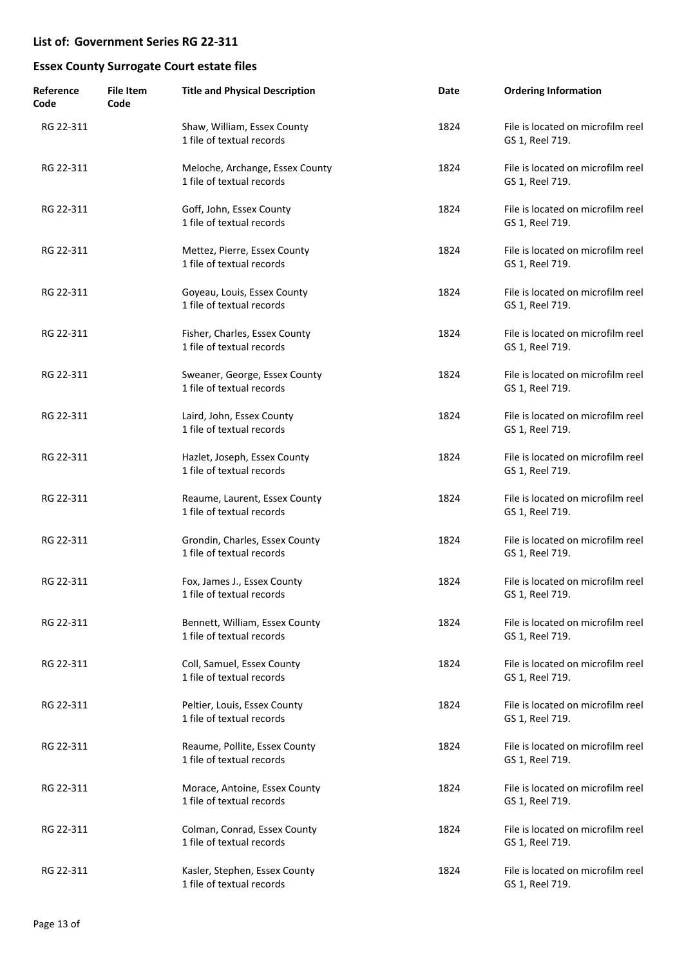| Reference<br>Code | <b>File Item</b><br>Code | <b>Title and Physical Description</b>                        | Date | <b>Ordering Information</b>                          |
|-------------------|--------------------------|--------------------------------------------------------------|------|------------------------------------------------------|
| RG 22-311         |                          | Shaw, William, Essex County<br>1 file of textual records     | 1824 | File is located on microfilm reel<br>GS 1, Reel 719. |
| RG 22-311         |                          | Meloche, Archange, Essex County<br>1 file of textual records | 1824 | File is located on microfilm reel<br>GS 1, Reel 719. |
| RG 22-311         |                          | Goff, John, Essex County<br>1 file of textual records        | 1824 | File is located on microfilm reel<br>GS 1, Reel 719. |
| RG 22-311         |                          | Mettez, Pierre, Essex County<br>1 file of textual records    | 1824 | File is located on microfilm reel<br>GS 1, Reel 719. |
| RG 22-311         |                          | Goyeau, Louis, Essex County<br>1 file of textual records     | 1824 | File is located on microfilm reel<br>GS 1, Reel 719. |
| RG 22-311         |                          | Fisher, Charles, Essex County<br>1 file of textual records   | 1824 | File is located on microfilm reel<br>GS 1, Reel 719. |
| RG 22-311         |                          | Sweaner, George, Essex County<br>1 file of textual records   | 1824 | File is located on microfilm reel<br>GS 1, Reel 719. |
| RG 22-311         |                          | Laird, John, Essex County<br>1 file of textual records       | 1824 | File is located on microfilm reel<br>GS 1, Reel 719. |
| RG 22-311         |                          | Hazlet, Joseph, Essex County<br>1 file of textual records    | 1824 | File is located on microfilm reel<br>GS 1, Reel 719. |
| RG 22-311         |                          | Reaume, Laurent, Essex County<br>1 file of textual records   | 1824 | File is located on microfilm reel<br>GS 1, Reel 719. |
| RG 22-311         |                          | Grondin, Charles, Essex County<br>1 file of textual records  | 1824 | File is located on microfilm reel<br>GS 1, Reel 719. |
| RG 22-311         |                          | Fox, James J., Essex County<br>1 file of textual records     | 1824 | File is located on microfilm reel<br>GS 1, Reel 719. |
| RG 22-311         |                          | Bennett, William, Essex County<br>1 file of textual records  | 1824 | File is located on microfilm reel<br>GS 1, Reel 719. |
| RG 22-311         |                          | Coll, Samuel, Essex County<br>1 file of textual records      | 1824 | File is located on microfilm reel<br>GS 1, Reel 719. |
| RG 22-311         |                          | Peltier, Louis, Essex County<br>1 file of textual records    | 1824 | File is located on microfilm reel<br>GS 1, Reel 719. |
| RG 22-311         |                          | Reaume, Pollite, Essex County<br>1 file of textual records   | 1824 | File is located on microfilm reel<br>GS 1, Reel 719. |
| RG 22-311         |                          | Morace, Antoine, Essex County<br>1 file of textual records   | 1824 | File is located on microfilm reel<br>GS 1, Reel 719. |
| RG 22-311         |                          | Colman, Conrad, Essex County<br>1 file of textual records    | 1824 | File is located on microfilm reel<br>GS 1, Reel 719. |
| RG 22-311         |                          | Kasler, Stephen, Essex County<br>1 file of textual records   | 1824 | File is located on microfilm reel<br>GS 1, Reel 719. |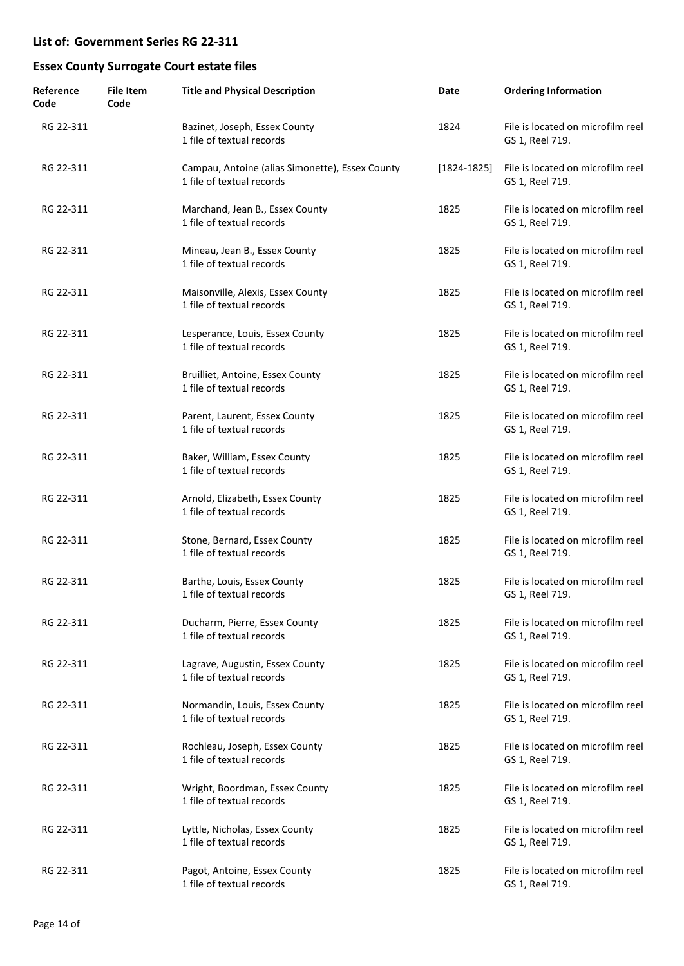| Reference<br>Code | <b>File Item</b><br>Code | <b>Title and Physical Description</b>                                        | Date            | <b>Ordering Information</b>                          |
|-------------------|--------------------------|------------------------------------------------------------------------------|-----------------|------------------------------------------------------|
| RG 22-311         |                          | Bazinet, Joseph, Essex County<br>1 file of textual records                   | 1824            | File is located on microfilm reel<br>GS 1, Reel 719. |
| RG 22-311         |                          | Campau, Antoine (alias Simonette), Essex County<br>1 file of textual records | $[1824 - 1825]$ | File is located on microfilm reel<br>GS 1, Reel 719. |
| RG 22-311         |                          | Marchand, Jean B., Essex County<br>1 file of textual records                 | 1825            | File is located on microfilm reel<br>GS 1, Reel 719. |
| RG 22-311         |                          | Mineau, Jean B., Essex County<br>1 file of textual records                   | 1825            | File is located on microfilm reel<br>GS 1, Reel 719. |
| RG 22-311         |                          | Maisonville, Alexis, Essex County<br>1 file of textual records               | 1825            | File is located on microfilm reel<br>GS 1, Reel 719. |
| RG 22-311         |                          | Lesperance, Louis, Essex County<br>1 file of textual records                 | 1825            | File is located on microfilm reel<br>GS 1, Reel 719. |
| RG 22-311         |                          | Bruilliet, Antoine, Essex County<br>1 file of textual records                | 1825            | File is located on microfilm reel<br>GS 1, Reel 719. |
| RG 22-311         |                          | Parent, Laurent, Essex County<br>1 file of textual records                   | 1825            | File is located on microfilm reel<br>GS 1, Reel 719. |
| RG 22-311         |                          | Baker, William, Essex County<br>1 file of textual records                    | 1825            | File is located on microfilm reel<br>GS 1, Reel 719. |
| RG 22-311         |                          | Arnold, Elizabeth, Essex County<br>1 file of textual records                 | 1825            | File is located on microfilm reel<br>GS 1, Reel 719. |
| RG 22-311         |                          | Stone, Bernard, Essex County<br>1 file of textual records                    | 1825            | File is located on microfilm reel<br>GS 1, Reel 719. |
| RG 22-311         |                          | Barthe, Louis, Essex County<br>1 file of textual records                     | 1825            | File is located on microfilm reel<br>GS 1, Reel 719. |
| RG 22-311         |                          | Ducharm, Pierre, Essex County<br>1 file of textual records                   | 1825            | File is located on microfilm reel<br>GS 1, Reel 719. |
| RG 22-311         |                          | Lagrave, Augustin, Essex County<br>1 file of textual records                 | 1825            | File is located on microfilm reel<br>GS 1, Reel 719. |
| RG 22-311         |                          | Normandin, Louis, Essex County<br>1 file of textual records                  | 1825            | File is located on microfilm reel<br>GS 1, Reel 719. |
| RG 22-311         |                          | Rochleau, Joseph, Essex County<br>1 file of textual records                  | 1825            | File is located on microfilm reel<br>GS 1, Reel 719. |
| RG 22-311         |                          | Wright, Boordman, Essex County<br>1 file of textual records                  | 1825            | File is located on microfilm reel<br>GS 1, Reel 719. |
| RG 22-311         |                          | Lyttle, Nicholas, Essex County<br>1 file of textual records                  | 1825            | File is located on microfilm reel<br>GS 1, Reel 719. |
| RG 22-311         |                          | Pagot, Antoine, Essex County<br>1 file of textual records                    | 1825            | File is located on microfilm reel<br>GS 1, Reel 719. |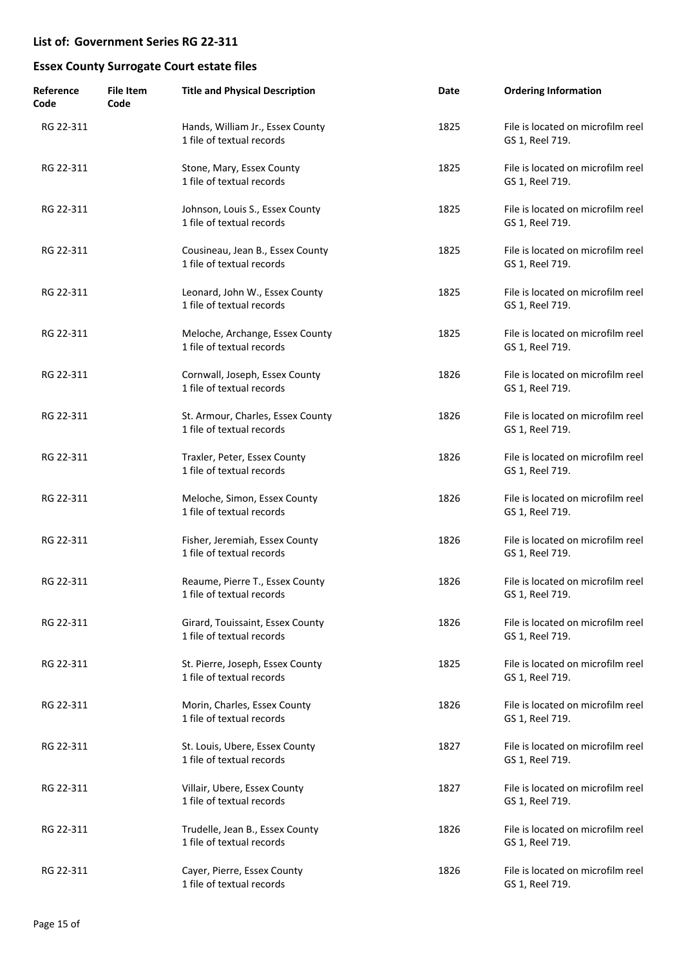| Reference<br>Code | <b>File Item</b><br>Code | <b>Title and Physical Description</b>                          | Date | <b>Ordering Information</b>                          |
|-------------------|--------------------------|----------------------------------------------------------------|------|------------------------------------------------------|
| RG 22-311         |                          | Hands, William Jr., Essex County<br>1 file of textual records  | 1825 | File is located on microfilm reel<br>GS 1, Reel 719. |
| RG 22-311         |                          | Stone, Mary, Essex County<br>1 file of textual records         | 1825 | File is located on microfilm reel<br>GS 1, Reel 719. |
| RG 22-311         |                          | Johnson, Louis S., Essex County<br>1 file of textual records   | 1825 | File is located on microfilm reel<br>GS 1, Reel 719. |
| RG 22-311         |                          | Cousineau, Jean B., Essex County<br>1 file of textual records  | 1825 | File is located on microfilm reel<br>GS 1, Reel 719. |
| RG 22-311         |                          | Leonard, John W., Essex County<br>1 file of textual records    | 1825 | File is located on microfilm reel<br>GS 1, Reel 719. |
| RG 22-311         |                          | Meloche, Archange, Essex County<br>1 file of textual records   | 1825 | File is located on microfilm reel<br>GS 1, Reel 719. |
| RG 22-311         |                          | Cornwall, Joseph, Essex County<br>1 file of textual records    | 1826 | File is located on microfilm reel<br>GS 1, Reel 719. |
| RG 22-311         |                          | St. Armour, Charles, Essex County<br>1 file of textual records | 1826 | File is located on microfilm reel<br>GS 1, Reel 719. |
| RG 22-311         |                          | Traxler, Peter, Essex County<br>1 file of textual records      | 1826 | File is located on microfilm reel<br>GS 1, Reel 719. |
| RG 22-311         |                          | Meloche, Simon, Essex County<br>1 file of textual records      | 1826 | File is located on microfilm reel<br>GS 1, Reel 719. |
| RG 22-311         |                          | Fisher, Jeremiah, Essex County<br>1 file of textual records    | 1826 | File is located on microfilm reel<br>GS 1, Reel 719. |
| RG 22-311         |                          | Reaume, Pierre T., Essex County<br>1 file of textual records   | 1826 | File is located on microfilm reel<br>GS 1, Reel 719. |
| RG 22-311         |                          | Girard, Touissaint, Essex County<br>1 file of textual records  | 1826 | File is located on microfilm reel<br>GS 1, Reel 719. |
| RG 22-311         |                          | St. Pierre, Joseph, Essex County<br>1 file of textual records  | 1825 | File is located on microfilm reel<br>GS 1, Reel 719. |
| RG 22-311         |                          | Morin, Charles, Essex County<br>1 file of textual records      | 1826 | File is located on microfilm reel<br>GS 1, Reel 719. |
| RG 22-311         |                          | St. Louis, Ubere, Essex County<br>1 file of textual records    | 1827 | File is located on microfilm reel<br>GS 1, Reel 719. |
| RG 22-311         |                          | Villair, Ubere, Essex County<br>1 file of textual records      | 1827 | File is located on microfilm reel<br>GS 1, Reel 719. |
| RG 22-311         |                          | Trudelle, Jean B., Essex County<br>1 file of textual records   | 1826 | File is located on microfilm reel<br>GS 1, Reel 719. |
| RG 22-311         |                          | Cayer, Pierre, Essex County<br>1 file of textual records       | 1826 | File is located on microfilm reel<br>GS 1, Reel 719. |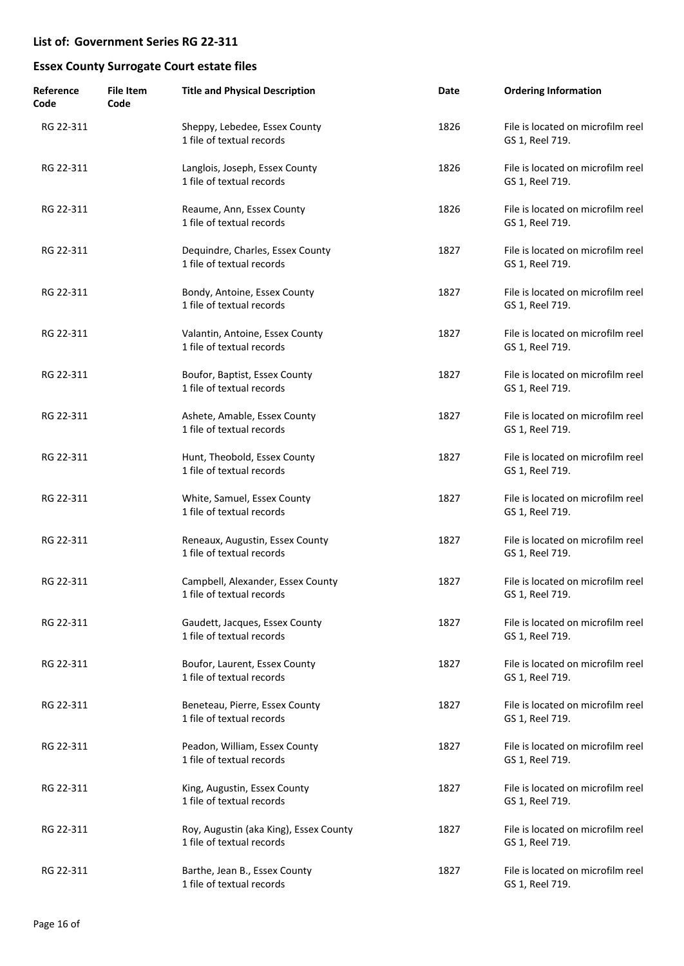| Reference<br>Code | <b>File Item</b><br>Code | <b>Title and Physical Description</b>                               | Date | <b>Ordering Information</b>                          |
|-------------------|--------------------------|---------------------------------------------------------------------|------|------------------------------------------------------|
| RG 22-311         |                          | Sheppy, Lebedee, Essex County<br>1 file of textual records          | 1826 | File is located on microfilm reel<br>GS 1, Reel 719. |
| RG 22-311         |                          | Langlois, Joseph, Essex County<br>1 file of textual records         | 1826 | File is located on microfilm reel<br>GS 1, Reel 719. |
| RG 22-311         |                          | Reaume, Ann, Essex County<br>1 file of textual records              | 1826 | File is located on microfilm reel<br>GS 1, Reel 719. |
| RG 22-311         |                          | Dequindre, Charles, Essex County<br>1 file of textual records       | 1827 | File is located on microfilm reel<br>GS 1, Reel 719. |
| RG 22-311         |                          | Bondy, Antoine, Essex County<br>1 file of textual records           | 1827 | File is located on microfilm reel<br>GS 1, Reel 719. |
| RG 22-311         |                          | Valantin, Antoine, Essex County<br>1 file of textual records        | 1827 | File is located on microfilm reel<br>GS 1, Reel 719. |
| RG 22-311         |                          | Boufor, Baptist, Essex County<br>1 file of textual records          | 1827 | File is located on microfilm reel<br>GS 1, Reel 719. |
| RG 22-311         |                          | Ashete, Amable, Essex County<br>1 file of textual records           | 1827 | File is located on microfilm reel<br>GS 1, Reel 719. |
| RG 22-311         |                          | Hunt, Theobold, Essex County<br>1 file of textual records           | 1827 | File is located on microfilm reel<br>GS 1, Reel 719. |
| RG 22-311         |                          | White, Samuel, Essex County<br>1 file of textual records            | 1827 | File is located on microfilm reel<br>GS 1, Reel 719. |
| RG 22-311         |                          | Reneaux, Augustin, Essex County<br>1 file of textual records        | 1827 | File is located on microfilm reel<br>GS 1, Reel 719. |
| RG 22-311         |                          | Campbell, Alexander, Essex County<br>1 file of textual records      | 1827 | File is located on microfilm reel<br>GS 1, Reel 719. |
| RG 22-311         |                          | Gaudett, Jacques, Essex County<br>1 file of textual records         | 1827 | File is located on microfilm reel<br>GS 1, Reel 719. |
| RG 22-311         |                          | Boufor, Laurent, Essex County<br>1 file of textual records          | 1827 | File is located on microfilm reel<br>GS 1, Reel 719. |
| RG 22-311         |                          | Beneteau, Pierre, Essex County<br>1 file of textual records         | 1827 | File is located on microfilm reel<br>GS 1, Reel 719. |
| RG 22-311         |                          | Peadon, William, Essex County<br>1 file of textual records          | 1827 | File is located on microfilm reel<br>GS 1, Reel 719. |
| RG 22-311         |                          | King, Augustin, Essex County<br>1 file of textual records           | 1827 | File is located on microfilm reel<br>GS 1, Reel 719. |
| RG 22-311         |                          | Roy, Augustin (aka King), Essex County<br>1 file of textual records | 1827 | File is located on microfilm reel<br>GS 1, Reel 719. |
| RG 22-311         |                          | Barthe, Jean B., Essex County<br>1 file of textual records          | 1827 | File is located on microfilm reel<br>GS 1, Reel 719. |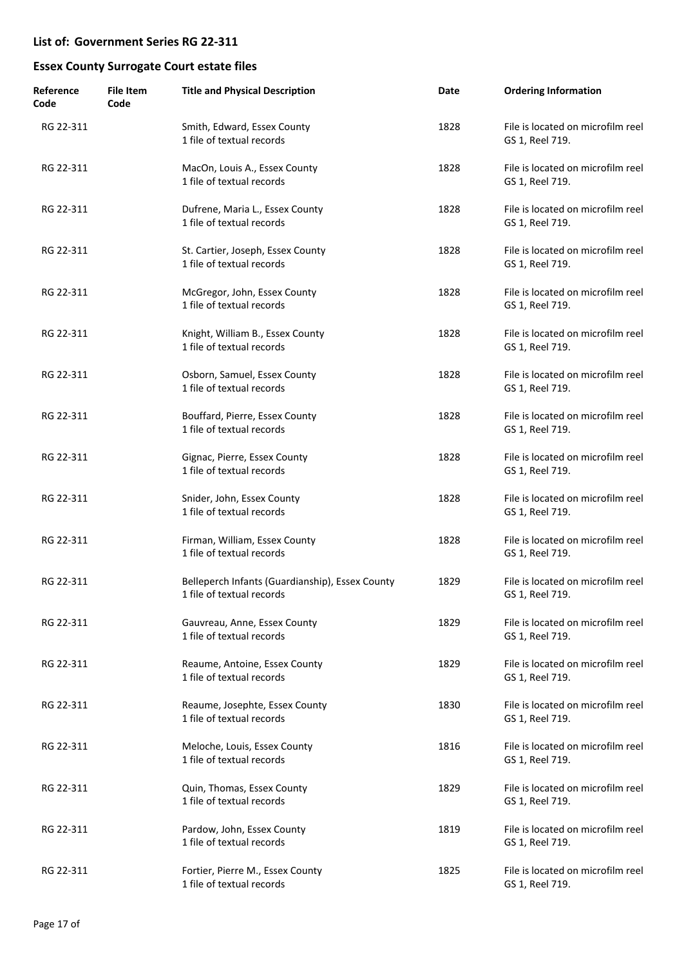| Reference<br>Code | File Item<br>Code | <b>Title and Physical Description</b>                                        | Date | <b>Ordering Information</b>                          |
|-------------------|-------------------|------------------------------------------------------------------------------|------|------------------------------------------------------|
| RG 22-311         |                   | Smith, Edward, Essex County<br>1 file of textual records                     | 1828 | File is located on microfilm reel<br>GS 1, Reel 719. |
| RG 22-311         |                   | MacOn, Louis A., Essex County<br>1 file of textual records                   | 1828 | File is located on microfilm reel<br>GS 1, Reel 719. |
| RG 22-311         |                   | Dufrene, Maria L., Essex County<br>1 file of textual records                 | 1828 | File is located on microfilm reel<br>GS 1, Reel 719. |
| RG 22-311         |                   | St. Cartier, Joseph, Essex County<br>1 file of textual records               | 1828 | File is located on microfilm reel<br>GS 1, Reel 719. |
| RG 22-311         |                   | McGregor, John, Essex County<br>1 file of textual records                    | 1828 | File is located on microfilm reel<br>GS 1, Reel 719. |
| RG 22-311         |                   | Knight, William B., Essex County<br>1 file of textual records                | 1828 | File is located on microfilm reel<br>GS 1, Reel 719. |
| RG 22-311         |                   | Osborn, Samuel, Essex County<br>1 file of textual records                    | 1828 | File is located on microfilm reel<br>GS 1, Reel 719. |
| RG 22-311         |                   | Bouffard, Pierre, Essex County<br>1 file of textual records                  | 1828 | File is located on microfilm reel<br>GS 1, Reel 719. |
| RG 22-311         |                   | Gignac, Pierre, Essex County<br>1 file of textual records                    | 1828 | File is located on microfilm reel<br>GS 1, Reel 719. |
| RG 22-311         |                   | Snider, John, Essex County<br>1 file of textual records                      | 1828 | File is located on microfilm reel<br>GS 1, Reel 719. |
| RG 22-311         |                   | Firman, William, Essex County<br>1 file of textual records                   | 1828 | File is located on microfilm reel<br>GS 1, Reel 719. |
| RG 22-311         |                   | Belleperch Infants (Guardianship), Essex County<br>1 file of textual records | 1829 | File is located on microfilm reel<br>GS 1, Reel 719. |
| RG 22-311         |                   | Gauvreau, Anne, Essex County<br>1 file of textual records                    | 1829 | File is located on microfilm reel<br>GS 1, Reel 719. |
| RG 22-311         |                   | Reaume, Antoine, Essex County<br>1 file of textual records                   | 1829 | File is located on microfilm reel<br>GS 1, Reel 719. |
| RG 22-311         |                   | Reaume, Josephte, Essex County<br>1 file of textual records                  | 1830 | File is located on microfilm reel<br>GS 1, Reel 719. |
| RG 22-311         |                   | Meloche, Louis, Essex County<br>1 file of textual records                    | 1816 | File is located on microfilm reel<br>GS 1, Reel 719. |
| RG 22-311         |                   | Quin, Thomas, Essex County<br>1 file of textual records                      | 1829 | File is located on microfilm reel<br>GS 1, Reel 719. |
| RG 22-311         |                   | Pardow, John, Essex County<br>1 file of textual records                      | 1819 | File is located on microfilm reel<br>GS 1, Reel 719. |
| RG 22-311         |                   | Fortier, Pierre M., Essex County<br>1 file of textual records                | 1825 | File is located on microfilm reel<br>GS 1, Reel 719. |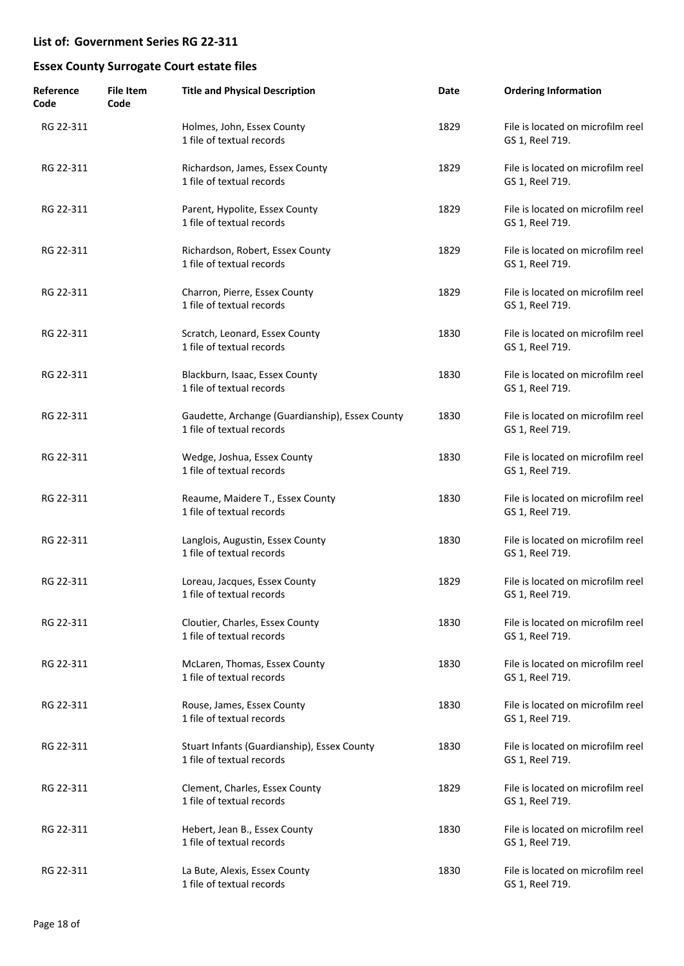| Reference<br>Code | File Item<br>Code | <b>Title and Physical Description</b>                                        | Date | <b>Ordering Information</b>                          |
|-------------------|-------------------|------------------------------------------------------------------------------|------|------------------------------------------------------|
| RG 22-311         |                   | Holmes, John, Essex County<br>1 file of textual records                      | 1829 | File is located on microfilm reel<br>GS 1, Reel 719. |
| RG 22-311         |                   | Richardson, James, Essex County<br>1 file of textual records                 | 1829 | File is located on microfilm reel<br>GS 1, Reel 719. |
| RG 22-311         |                   | Parent, Hypolite, Essex County<br>1 file of textual records                  | 1829 | File is located on microfilm reel<br>GS 1, Reel 719. |
| RG 22-311         |                   | Richardson, Robert, Essex County<br>1 file of textual records                | 1829 | File is located on microfilm reel<br>GS 1, Reel 719. |
| RG 22-311         |                   | Charron, Pierre, Essex County<br>1 file of textual records                   | 1829 | File is located on microfilm reel<br>GS 1, Reel 719. |
| RG 22-311         |                   | Scratch, Leonard, Essex County<br>1 file of textual records                  | 1830 | File is located on microfilm reel<br>GS 1, Reel 719. |
| RG 22-311         |                   | Blackburn, Isaac, Essex County<br>1 file of textual records                  | 1830 | File is located on microfilm reel<br>GS 1, Reel 719. |
| RG 22-311         |                   | Gaudette, Archange (Guardianship), Essex County<br>1 file of textual records | 1830 | File is located on microfilm reel<br>GS 1, Reel 719. |
| RG 22-311         |                   | Wedge, Joshua, Essex County<br>1 file of textual records                     | 1830 | File is located on microfilm reel<br>GS 1, Reel 719. |
| RG 22-311         |                   | Reaume, Maidere T., Essex County<br>1 file of textual records                | 1830 | File is located on microfilm reel<br>GS 1, Reel 719. |
| RG 22-311         |                   | Langlois, Augustin, Essex County<br>1 file of textual records                | 1830 | File is located on microfilm reel<br>GS 1, Reel 719. |
| RG 22-311         |                   | Loreau, Jacques, Essex County<br>1 file of textual records                   | 1829 | File is located on microfilm reel<br>GS 1, Reel 719. |
| RG 22-311         |                   | Cloutier, Charles, Essex County<br>1 file of textual records                 | 1830 | File is located on microfilm reel<br>GS 1, Reel 719. |
| RG 22-311         |                   | McLaren, Thomas, Essex County<br>1 file of textual records                   | 1830 | File is located on microfilm reel<br>GS 1, Reel 719. |
| RG 22-311         |                   | Rouse, James, Essex County<br>1 file of textual records                      | 1830 | File is located on microfilm reel<br>GS 1, Reel 719. |
| RG 22-311         |                   | Stuart Infants (Guardianship), Essex County<br>1 file of textual records     | 1830 | File is located on microfilm reel<br>GS 1, Reel 719. |
| RG 22-311         |                   | Clement, Charles, Essex County<br>1 file of textual records                  | 1829 | File is located on microfilm reel<br>GS 1, Reel 719. |
| RG 22-311         |                   | Hebert, Jean B., Essex County<br>1 file of textual records                   | 1830 | File is located on microfilm reel<br>GS 1, Reel 719. |
| RG 22-311         |                   | La Bute, Alexis, Essex County<br>1 file of textual records                   | 1830 | File is located on microfilm reel<br>GS 1, Reel 719. |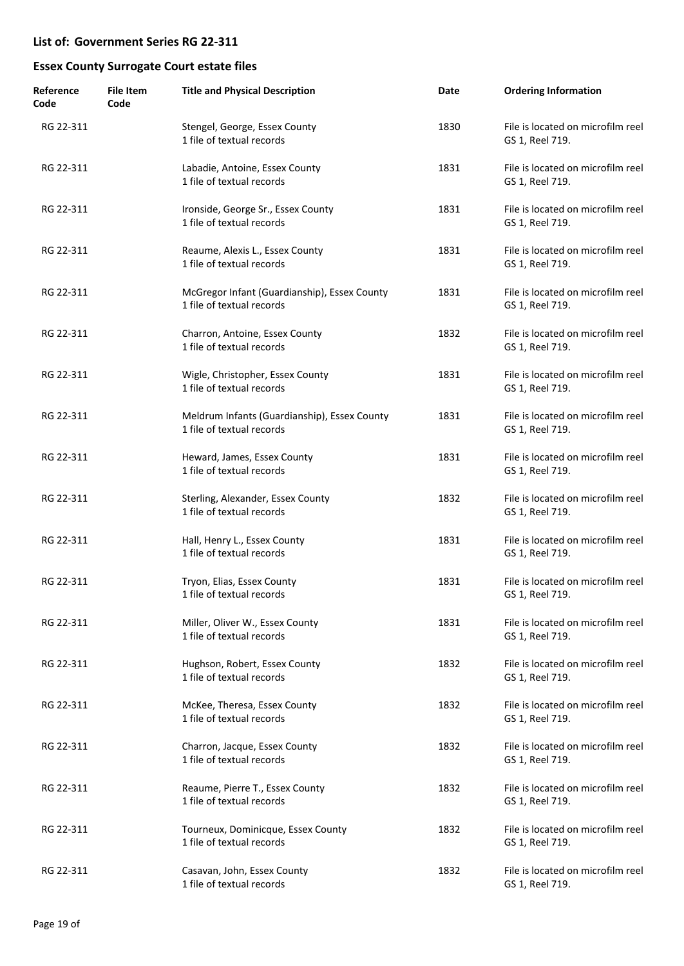| Reference<br>Code | <b>File Item</b><br>Code | <b>Title and Physical Description</b>                                     | Date | <b>Ordering Information</b>                          |
|-------------------|--------------------------|---------------------------------------------------------------------------|------|------------------------------------------------------|
| RG 22-311         |                          | Stengel, George, Essex County<br>1 file of textual records                | 1830 | File is located on microfilm reel<br>GS 1, Reel 719. |
| RG 22-311         |                          | Labadie, Antoine, Essex County<br>1 file of textual records               | 1831 | File is located on microfilm reel<br>GS 1, Reel 719. |
| RG 22-311         |                          | Ironside, George Sr., Essex County<br>1 file of textual records           | 1831 | File is located on microfilm reel<br>GS 1, Reel 719. |
| RG 22-311         |                          | Reaume, Alexis L., Essex County<br>1 file of textual records              | 1831 | File is located on microfilm reel<br>GS 1, Reel 719. |
| RG 22-311         |                          | McGregor Infant (Guardianship), Essex County<br>1 file of textual records | 1831 | File is located on microfilm reel<br>GS 1, Reel 719. |
| RG 22-311         |                          | Charron, Antoine, Essex County<br>1 file of textual records               | 1832 | File is located on microfilm reel<br>GS 1, Reel 719. |
| RG 22-311         |                          | Wigle, Christopher, Essex County<br>1 file of textual records             | 1831 | File is located on microfilm reel<br>GS 1, Reel 719. |
| RG 22-311         |                          | Meldrum Infants (Guardianship), Essex County<br>1 file of textual records | 1831 | File is located on microfilm reel<br>GS 1, Reel 719. |
| RG 22-311         |                          | Heward, James, Essex County<br>1 file of textual records                  | 1831 | File is located on microfilm reel<br>GS 1, Reel 719. |
| RG 22-311         |                          | Sterling, Alexander, Essex County<br>1 file of textual records            | 1832 | File is located on microfilm reel<br>GS 1, Reel 719. |
| RG 22-311         |                          | Hall, Henry L., Essex County<br>1 file of textual records                 | 1831 | File is located on microfilm reel<br>GS 1, Reel 719. |
| RG 22-311         |                          | Tryon, Elias, Essex County<br>1 file of textual records                   | 1831 | File is located on microfilm reel<br>GS 1, Reel 719. |
| RG 22-311         |                          | Miller, Oliver W., Essex County<br>1 file of textual records              | 1831 | File is located on microfilm reel<br>GS 1, Reel 719. |
| RG 22-311         |                          | Hughson, Robert, Essex County<br>1 file of textual records                | 1832 | File is located on microfilm reel<br>GS 1, Reel 719. |
| RG 22-311         |                          | McKee, Theresa, Essex County<br>1 file of textual records                 | 1832 | File is located on microfilm reel<br>GS 1, Reel 719. |
| RG 22-311         |                          | Charron, Jacque, Essex County<br>1 file of textual records                | 1832 | File is located on microfilm reel<br>GS 1, Reel 719. |
| RG 22-311         |                          | Reaume, Pierre T., Essex County<br>1 file of textual records              | 1832 | File is located on microfilm reel<br>GS 1, Reel 719. |
| RG 22-311         |                          | Tourneux, Dominicque, Essex County<br>1 file of textual records           | 1832 | File is located on microfilm reel<br>GS 1, Reel 719. |
| RG 22-311         |                          | Casavan, John, Essex County<br>1 file of textual records                  | 1832 | File is located on microfilm reel<br>GS 1, Reel 719. |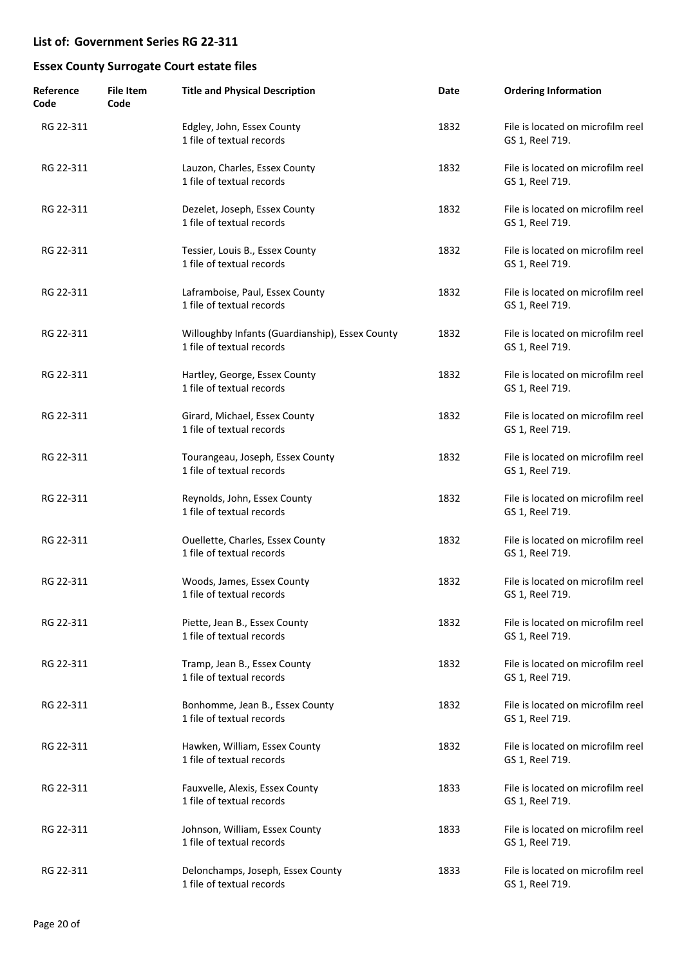| Reference<br>Code | <b>File Item</b><br>Code | <b>Title and Physical Description</b>                                        | Date | <b>Ordering Information</b>                          |
|-------------------|--------------------------|------------------------------------------------------------------------------|------|------------------------------------------------------|
| RG 22-311         |                          | Edgley, John, Essex County<br>1 file of textual records                      | 1832 | File is located on microfilm reel<br>GS 1, Reel 719. |
| RG 22-311         |                          | Lauzon, Charles, Essex County<br>1 file of textual records                   | 1832 | File is located on microfilm reel<br>GS 1, Reel 719. |
| RG 22-311         |                          | Dezelet, Joseph, Essex County<br>1 file of textual records                   | 1832 | File is located on microfilm reel<br>GS 1, Reel 719. |
| RG 22-311         |                          | Tessier, Louis B., Essex County<br>1 file of textual records                 | 1832 | File is located on microfilm reel<br>GS 1, Reel 719. |
| RG 22-311         |                          | Laframboise, Paul, Essex County<br>1 file of textual records                 | 1832 | File is located on microfilm reel<br>GS 1, Reel 719. |
| RG 22-311         |                          | Willoughby Infants (Guardianship), Essex County<br>1 file of textual records | 1832 | File is located on microfilm reel<br>GS 1, Reel 719. |
| RG 22-311         |                          | Hartley, George, Essex County<br>1 file of textual records                   | 1832 | File is located on microfilm reel<br>GS 1, Reel 719. |
| RG 22-311         |                          | Girard, Michael, Essex County<br>1 file of textual records                   | 1832 | File is located on microfilm reel<br>GS 1, Reel 719. |
| RG 22-311         |                          | Tourangeau, Joseph, Essex County<br>1 file of textual records                | 1832 | File is located on microfilm reel<br>GS 1, Reel 719. |
| RG 22-311         |                          | Reynolds, John, Essex County<br>1 file of textual records                    | 1832 | File is located on microfilm reel<br>GS 1, Reel 719. |
| RG 22-311         |                          | Ouellette, Charles, Essex County<br>1 file of textual records                | 1832 | File is located on microfilm reel<br>GS 1, Reel 719. |
| RG 22-311         |                          | Woods, James, Essex County<br>1 file of textual records                      | 1832 | File is located on microfilm reel<br>GS 1, Reel 719. |
| RG 22-311         |                          | Piette, Jean B., Essex County<br>1 file of textual records                   | 1832 | File is located on microfilm reel<br>GS 1, Reel 719. |
| RG 22-311         |                          | Tramp, Jean B., Essex County<br>1 file of textual records                    | 1832 | File is located on microfilm reel<br>GS 1, Reel 719. |
| RG 22-311         |                          | Bonhomme, Jean B., Essex County<br>1 file of textual records                 | 1832 | File is located on microfilm reel<br>GS 1, Reel 719. |
| RG 22-311         |                          | Hawken, William, Essex County<br>1 file of textual records                   | 1832 | File is located on microfilm reel<br>GS 1, Reel 719. |
| RG 22-311         |                          | Fauxvelle, Alexis, Essex County<br>1 file of textual records                 | 1833 | File is located on microfilm reel<br>GS 1, Reel 719. |
| RG 22-311         |                          | Johnson, William, Essex County<br>1 file of textual records                  | 1833 | File is located on microfilm reel<br>GS 1, Reel 719. |
| RG 22-311         |                          | Delonchamps, Joseph, Essex County<br>1 file of textual records               | 1833 | File is located on microfilm reel<br>GS 1, Reel 719. |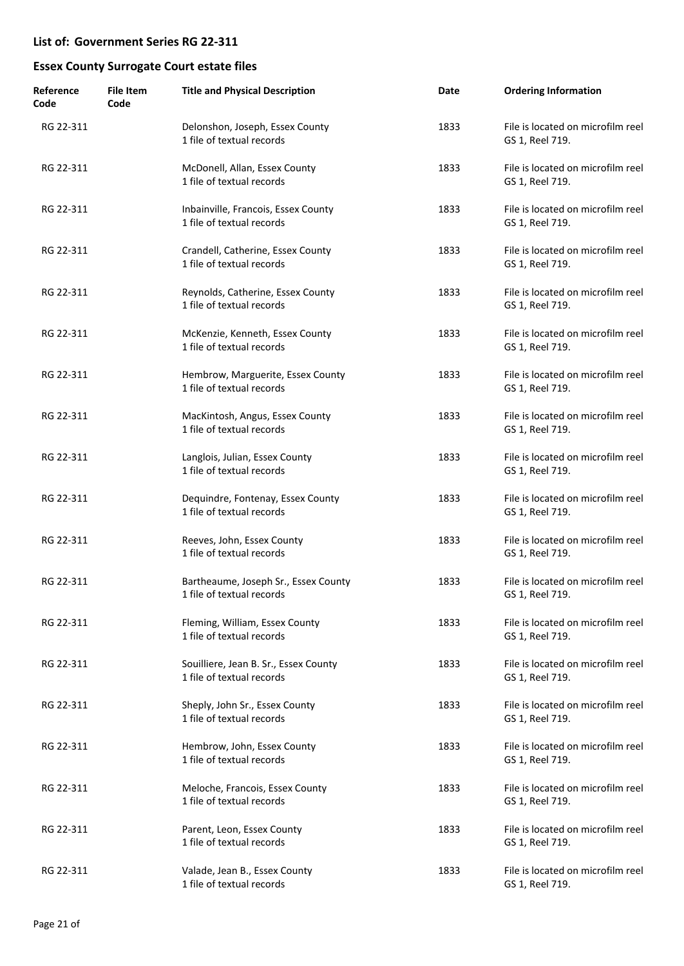| Reference<br>Code | <b>File Item</b><br>Code | <b>Title and Physical Description</b>                              | Date | <b>Ordering Information</b>                          |
|-------------------|--------------------------|--------------------------------------------------------------------|------|------------------------------------------------------|
| RG 22-311         |                          | Delonshon, Joseph, Essex County<br>1 file of textual records       | 1833 | File is located on microfilm reel<br>GS 1, Reel 719. |
| RG 22-311         |                          | McDonell, Allan, Essex County<br>1 file of textual records         | 1833 | File is located on microfilm reel<br>GS 1, Reel 719. |
| RG 22-311         |                          | Inbainville, Francois, Essex County<br>1 file of textual records   | 1833 | File is located on microfilm reel<br>GS 1, Reel 719. |
| RG 22-311         |                          | Crandell, Catherine, Essex County<br>1 file of textual records     | 1833 | File is located on microfilm reel<br>GS 1, Reel 719. |
| RG 22-311         |                          | Reynolds, Catherine, Essex County<br>1 file of textual records     | 1833 | File is located on microfilm reel<br>GS 1, Reel 719. |
| RG 22-311         |                          | McKenzie, Kenneth, Essex County<br>1 file of textual records       | 1833 | File is located on microfilm reel<br>GS 1, Reel 719. |
| RG 22-311         |                          | Hembrow, Marguerite, Essex County<br>1 file of textual records     | 1833 | File is located on microfilm reel<br>GS 1, Reel 719. |
| RG 22-311         |                          | MacKintosh, Angus, Essex County<br>1 file of textual records       | 1833 | File is located on microfilm reel<br>GS 1, Reel 719. |
| RG 22-311         |                          | Langlois, Julian, Essex County<br>1 file of textual records        | 1833 | File is located on microfilm reel<br>GS 1, Reel 719. |
| RG 22-311         |                          | Dequindre, Fontenay, Essex County<br>1 file of textual records     | 1833 | File is located on microfilm reel<br>GS 1, Reel 719. |
| RG 22-311         |                          | Reeves, John, Essex County<br>1 file of textual records            | 1833 | File is located on microfilm reel<br>GS 1, Reel 719. |
| RG 22-311         |                          | Bartheaume, Joseph Sr., Essex County<br>1 file of textual records  | 1833 | File is located on microfilm reel<br>GS 1, Reel 719. |
| RG 22-311         |                          | Fleming, William, Essex County<br>1 file of textual records        | 1833 | File is located on microfilm reel<br>GS 1, Reel 719. |
| RG 22-311         |                          | Souilliere, Jean B. Sr., Essex County<br>1 file of textual records | 1833 | File is located on microfilm reel<br>GS 1, Reel 719. |
| RG 22-311         |                          | Sheply, John Sr., Essex County<br>1 file of textual records        | 1833 | File is located on microfilm reel<br>GS 1, Reel 719. |
| RG 22-311         |                          | Hembrow, John, Essex County<br>1 file of textual records           | 1833 | File is located on microfilm reel<br>GS 1, Reel 719. |
| RG 22-311         |                          | Meloche, Francois, Essex County<br>1 file of textual records       | 1833 | File is located on microfilm reel<br>GS 1, Reel 719. |
| RG 22-311         |                          | Parent, Leon, Essex County<br>1 file of textual records            | 1833 | File is located on microfilm reel<br>GS 1, Reel 719. |
| RG 22-311         |                          | Valade, Jean B., Essex County<br>1 file of textual records         | 1833 | File is located on microfilm reel<br>GS 1, Reel 719. |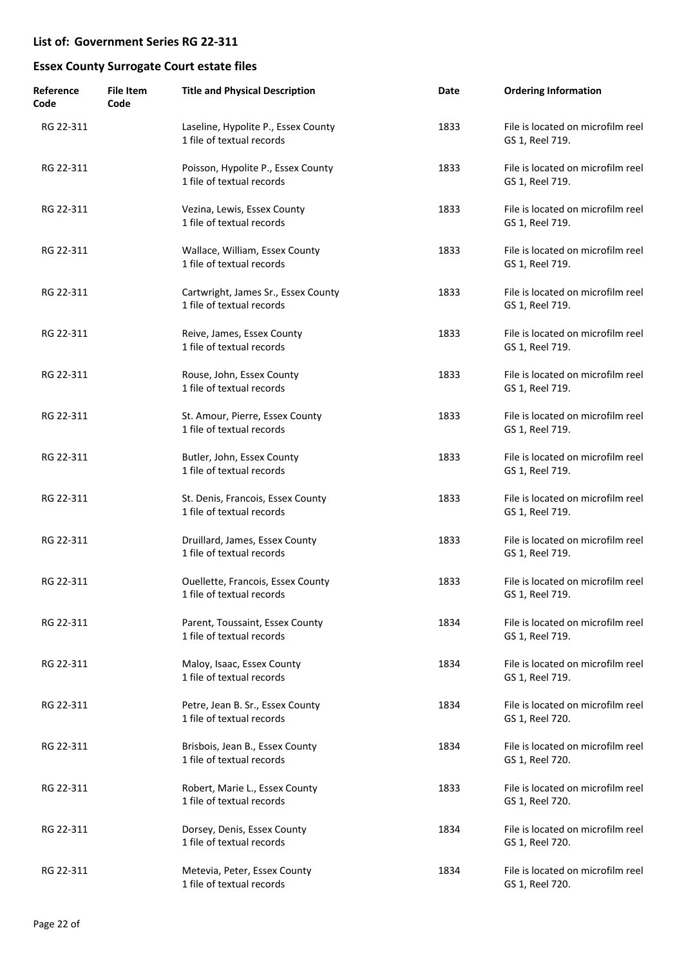| Reference<br>Code | File Item<br>Code | <b>Title and Physical Description</b>                            | Date | <b>Ordering Information</b>                          |
|-------------------|-------------------|------------------------------------------------------------------|------|------------------------------------------------------|
| RG 22-311         |                   | Laseline, Hypolite P., Essex County<br>1 file of textual records | 1833 | File is located on microfilm reel<br>GS 1, Reel 719. |
| RG 22-311         |                   | Poisson, Hypolite P., Essex County<br>1 file of textual records  | 1833 | File is located on microfilm reel<br>GS 1, Reel 719. |
| RG 22-311         |                   | Vezina, Lewis, Essex County<br>1 file of textual records         | 1833 | File is located on microfilm reel<br>GS 1, Reel 719. |
| RG 22-311         |                   | Wallace, William, Essex County<br>1 file of textual records      | 1833 | File is located on microfilm reel<br>GS 1, Reel 719. |
| RG 22-311         |                   | Cartwright, James Sr., Essex County<br>1 file of textual records | 1833 | File is located on microfilm reel<br>GS 1, Reel 719. |
| RG 22-311         |                   | Reive, James, Essex County<br>1 file of textual records          | 1833 | File is located on microfilm reel<br>GS 1, Reel 719. |
| RG 22-311         |                   | Rouse, John, Essex County<br>1 file of textual records           | 1833 | File is located on microfilm reel<br>GS 1, Reel 719. |
| RG 22-311         |                   | St. Amour, Pierre, Essex County<br>1 file of textual records     | 1833 | File is located on microfilm reel<br>GS 1, Reel 719. |
| RG 22-311         |                   | Butler, John, Essex County<br>1 file of textual records          | 1833 | File is located on microfilm reel<br>GS 1, Reel 719. |
| RG 22-311         |                   | St. Denis, Francois, Essex County<br>1 file of textual records   | 1833 | File is located on microfilm reel<br>GS 1, Reel 719. |
| RG 22-311         |                   | Druillard, James, Essex County<br>1 file of textual records      | 1833 | File is located on microfilm reel<br>GS 1, Reel 719. |
| RG 22-311         |                   | Ouellette, Francois, Essex County<br>1 file of textual records   | 1833 | File is located on microfilm reel<br>GS 1, Reel 719. |
| RG 22-311         |                   | Parent, Toussaint, Essex County<br>1 file of textual records     | 1834 | File is located on microfilm reel<br>GS 1, Reel 719. |
| RG 22-311         |                   | Maloy, Isaac, Essex County<br>1 file of textual records          | 1834 | File is located on microfilm reel<br>GS 1, Reel 719. |
| RG 22-311         |                   | Petre, Jean B. Sr., Essex County<br>1 file of textual records    | 1834 | File is located on microfilm reel<br>GS 1, Reel 720. |
| RG 22-311         |                   | Brisbois, Jean B., Essex County<br>1 file of textual records     | 1834 | File is located on microfilm reel<br>GS 1, Reel 720. |
| RG 22-311         |                   | Robert, Marie L., Essex County<br>1 file of textual records      | 1833 | File is located on microfilm reel<br>GS 1, Reel 720. |
| RG 22-311         |                   | Dorsey, Denis, Essex County<br>1 file of textual records         | 1834 | File is located on microfilm reel<br>GS 1, Reel 720. |
| RG 22-311         |                   | Metevia, Peter, Essex County<br>1 file of textual records        | 1834 | File is located on microfilm reel<br>GS 1, Reel 720. |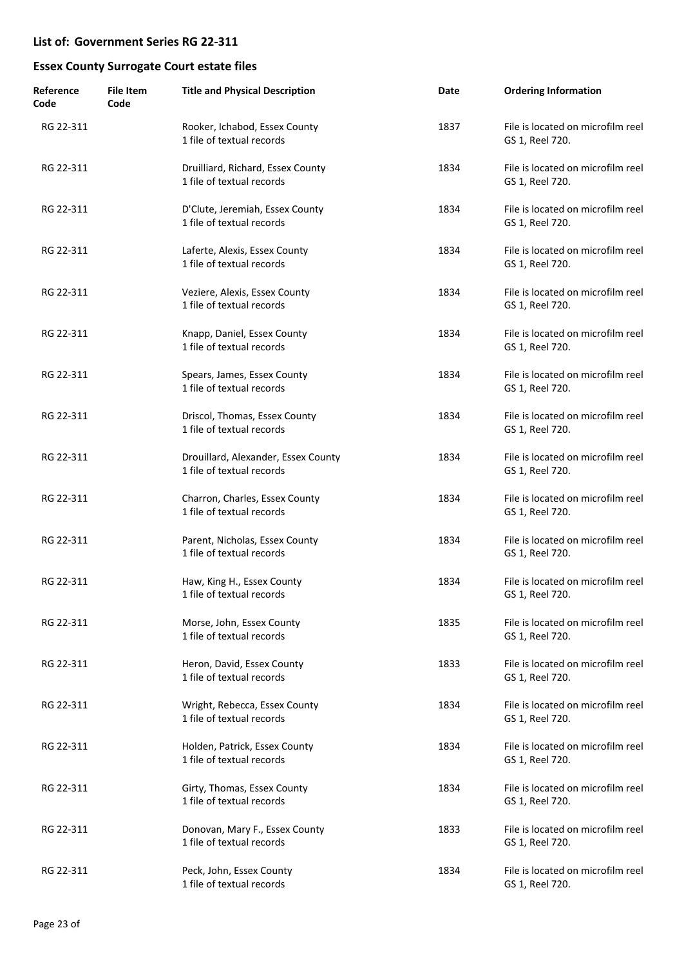| Reference<br>Code | <b>File Item</b><br>Code | <b>Title and Physical Description</b>                            | Date | <b>Ordering Information</b>                          |
|-------------------|--------------------------|------------------------------------------------------------------|------|------------------------------------------------------|
| RG 22-311         |                          | Rooker, Ichabod, Essex County<br>1 file of textual records       | 1837 | File is located on microfilm reel<br>GS 1, Reel 720. |
| RG 22-311         |                          | Druilliard, Richard, Essex County<br>1 file of textual records   | 1834 | File is located on microfilm reel<br>GS 1, Reel 720. |
| RG 22-311         |                          | D'Clute, Jeremiah, Essex County<br>1 file of textual records     | 1834 | File is located on microfilm reel<br>GS 1, Reel 720. |
| RG 22-311         |                          | Laferte, Alexis, Essex County<br>1 file of textual records       | 1834 | File is located on microfilm reel<br>GS 1, Reel 720. |
| RG 22-311         |                          | Veziere, Alexis, Essex County<br>1 file of textual records       | 1834 | File is located on microfilm reel<br>GS 1, Reel 720. |
| RG 22-311         |                          | Knapp, Daniel, Essex County<br>1 file of textual records         | 1834 | File is located on microfilm reel<br>GS 1, Reel 720. |
| RG 22-311         |                          | Spears, James, Essex County<br>1 file of textual records         | 1834 | File is located on microfilm reel<br>GS 1, Reel 720. |
| RG 22-311         |                          | Driscol, Thomas, Essex County<br>1 file of textual records       | 1834 | File is located on microfilm reel<br>GS 1, Reel 720. |
| RG 22-311         |                          | Drouillard, Alexander, Essex County<br>1 file of textual records | 1834 | File is located on microfilm reel<br>GS 1, Reel 720. |
| RG 22-311         |                          | Charron, Charles, Essex County<br>1 file of textual records      | 1834 | File is located on microfilm reel<br>GS 1, Reel 720. |
| RG 22-311         |                          | Parent, Nicholas, Essex County<br>1 file of textual records      | 1834 | File is located on microfilm reel<br>GS 1, Reel 720. |
| RG 22-311         |                          | Haw, King H., Essex County<br>1 file of textual records          | 1834 | File is located on microfilm reel<br>GS 1, Reel 720. |
| RG 22-311         |                          | Morse, John, Essex County<br>1 file of textual records           | 1835 | File is located on microfilm reel<br>GS 1, Reel 720. |
| RG 22-311         |                          | Heron, David, Essex County<br>1 file of textual records          | 1833 | File is located on microfilm reel<br>GS 1, Reel 720. |
| RG 22-311         |                          | Wright, Rebecca, Essex County<br>1 file of textual records       | 1834 | File is located on microfilm reel<br>GS 1, Reel 720. |
| RG 22-311         |                          | Holden, Patrick, Essex County<br>1 file of textual records       | 1834 | File is located on microfilm reel<br>GS 1, Reel 720. |
| RG 22-311         |                          | Girty, Thomas, Essex County<br>1 file of textual records         | 1834 | File is located on microfilm reel<br>GS 1, Reel 720. |
| RG 22-311         |                          | Donovan, Mary F., Essex County<br>1 file of textual records      | 1833 | File is located on microfilm reel<br>GS 1, Reel 720. |
| RG 22-311         |                          | Peck, John, Essex County<br>1 file of textual records            | 1834 | File is located on microfilm reel<br>GS 1, Reel 720. |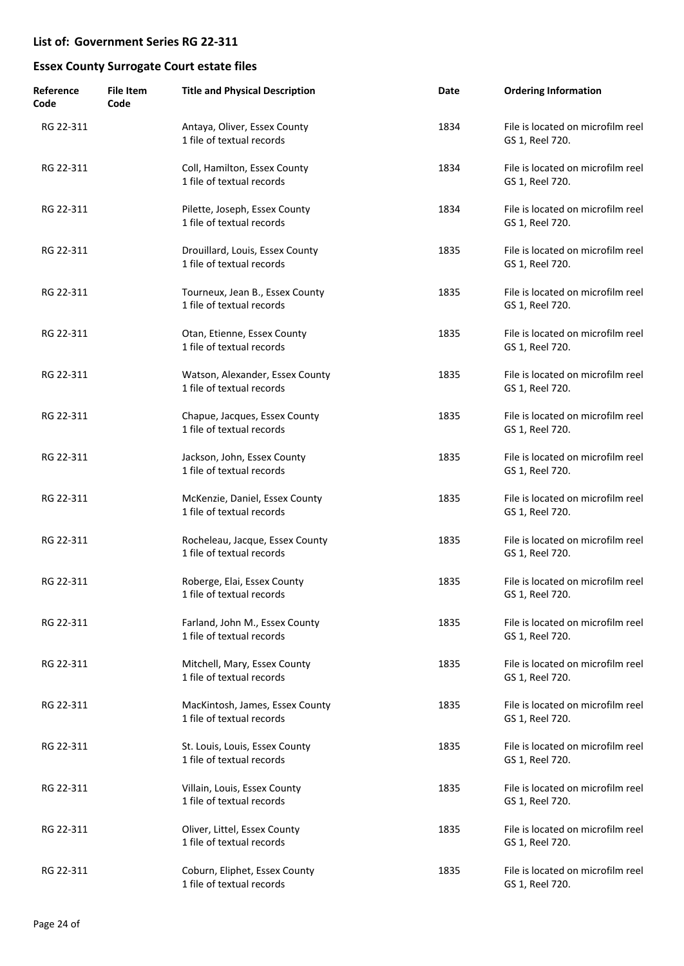| Reference<br>Code | File Item<br>Code | <b>Title and Physical Description</b>                        | Date | <b>Ordering Information</b>                          |
|-------------------|-------------------|--------------------------------------------------------------|------|------------------------------------------------------|
| RG 22-311         |                   | Antaya, Oliver, Essex County<br>1 file of textual records    | 1834 | File is located on microfilm reel<br>GS 1, Reel 720. |
| RG 22-311         |                   | Coll, Hamilton, Essex County<br>1 file of textual records    | 1834 | File is located on microfilm reel<br>GS 1, Reel 720. |
| RG 22-311         |                   | Pilette, Joseph, Essex County<br>1 file of textual records   | 1834 | File is located on microfilm reel<br>GS 1, Reel 720. |
| RG 22-311         |                   | Drouillard, Louis, Essex County<br>1 file of textual records | 1835 | File is located on microfilm reel<br>GS 1, Reel 720. |
| RG 22-311         |                   | Tourneux, Jean B., Essex County<br>1 file of textual records | 1835 | File is located on microfilm reel<br>GS 1, Reel 720. |
| RG 22-311         |                   | Otan, Etienne, Essex County<br>1 file of textual records     | 1835 | File is located on microfilm reel<br>GS 1, Reel 720. |
| RG 22-311         |                   | Watson, Alexander, Essex County<br>1 file of textual records | 1835 | File is located on microfilm reel<br>GS 1, Reel 720. |
| RG 22-311         |                   | Chapue, Jacques, Essex County<br>1 file of textual records   | 1835 | File is located on microfilm reel<br>GS 1, Reel 720. |
| RG 22-311         |                   | Jackson, John, Essex County<br>1 file of textual records     | 1835 | File is located on microfilm reel<br>GS 1, Reel 720. |
| RG 22-311         |                   | McKenzie, Daniel, Essex County<br>1 file of textual records  | 1835 | File is located on microfilm reel<br>GS 1, Reel 720. |
| RG 22-311         |                   | Rocheleau, Jacque, Essex County<br>1 file of textual records | 1835 | File is located on microfilm reel<br>GS 1, Reel 720. |
| RG 22-311         |                   | Roberge, Elai, Essex County<br>1 file of textual records     | 1835 | File is located on microfilm reel<br>GS 1, Reel 720. |
| RG 22-311         |                   | Farland, John M., Essex County<br>1 file of textual records  | 1835 | File is located on microfilm reel<br>GS 1, Reel 720. |
| RG 22-311         |                   | Mitchell, Mary, Essex County<br>1 file of textual records    | 1835 | File is located on microfilm reel<br>GS 1, Reel 720. |
| RG 22-311         |                   | MacKintosh, James, Essex County<br>1 file of textual records | 1835 | File is located on microfilm reel<br>GS 1, Reel 720. |
| RG 22-311         |                   | St. Louis, Louis, Essex County<br>1 file of textual records  | 1835 | File is located on microfilm reel<br>GS 1, Reel 720. |
| RG 22-311         |                   | Villain, Louis, Essex County<br>1 file of textual records    | 1835 | File is located on microfilm reel<br>GS 1, Reel 720. |
| RG 22-311         |                   | Oliver, Littel, Essex County<br>1 file of textual records    | 1835 | File is located on microfilm reel<br>GS 1, Reel 720. |
| RG 22-311         |                   | Coburn, Eliphet, Essex County<br>1 file of textual records   | 1835 | File is located on microfilm reel<br>GS 1, Reel 720. |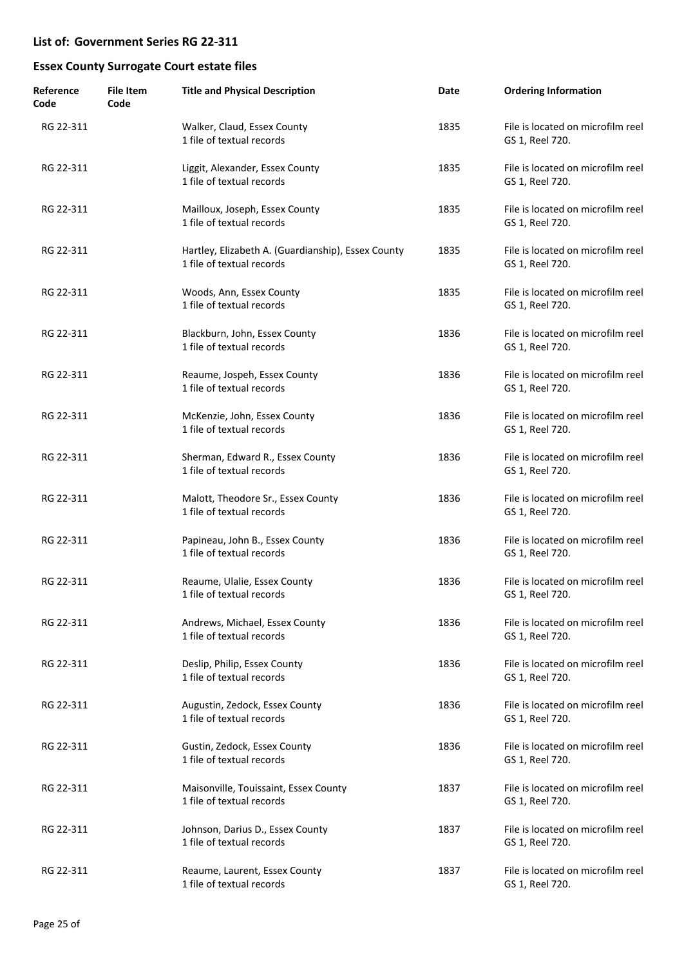| Reference<br>Code | <b>File Item</b><br>Code | <b>Title and Physical Description</b>                                           | Date | <b>Ordering Information</b>                          |
|-------------------|--------------------------|---------------------------------------------------------------------------------|------|------------------------------------------------------|
| RG 22-311         |                          | Walker, Claud, Essex County<br>1 file of textual records                        | 1835 | File is located on microfilm reel<br>GS 1, Reel 720. |
| RG 22-311         |                          | Liggit, Alexander, Essex County<br>1 file of textual records                    | 1835 | File is located on microfilm reel<br>GS 1, Reel 720. |
| RG 22-311         |                          | Mailloux, Joseph, Essex County<br>1 file of textual records                     | 1835 | File is located on microfilm reel<br>GS 1, Reel 720. |
| RG 22-311         |                          | Hartley, Elizabeth A. (Guardianship), Essex County<br>1 file of textual records | 1835 | File is located on microfilm reel<br>GS 1, Reel 720. |
| RG 22-311         |                          | Woods, Ann, Essex County<br>1 file of textual records                           | 1835 | File is located on microfilm reel<br>GS 1, Reel 720. |
| RG 22-311         |                          | Blackburn, John, Essex County<br>1 file of textual records                      | 1836 | File is located on microfilm reel<br>GS 1, Reel 720. |
| RG 22-311         |                          | Reaume, Jospeh, Essex County<br>1 file of textual records                       | 1836 | File is located on microfilm reel<br>GS 1, Reel 720. |
| RG 22-311         |                          | McKenzie, John, Essex County<br>1 file of textual records                       | 1836 | File is located on microfilm reel<br>GS 1, Reel 720. |
| RG 22-311         |                          | Sherman, Edward R., Essex County<br>1 file of textual records                   | 1836 | File is located on microfilm reel<br>GS 1, Reel 720. |
| RG 22-311         |                          | Malott, Theodore Sr., Essex County<br>1 file of textual records                 | 1836 | File is located on microfilm reel<br>GS 1, Reel 720. |
| RG 22-311         |                          | Papineau, John B., Essex County<br>1 file of textual records                    | 1836 | File is located on microfilm reel<br>GS 1, Reel 720. |
| RG 22-311         |                          | Reaume, Ulalie, Essex County<br>1 file of textual records                       | 1836 | File is located on microfilm reel<br>GS 1, Reel 720. |
| RG 22-311         |                          | Andrews, Michael, Essex County<br>1 file of textual records                     | 1836 | File is located on microfilm reel<br>GS 1, Reel 720. |
| RG 22-311         |                          | Deslip, Philip, Essex County<br>1 file of textual records                       | 1836 | File is located on microfilm reel<br>GS 1, Reel 720. |
| RG 22-311         |                          | Augustin, Zedock, Essex County<br>1 file of textual records                     | 1836 | File is located on microfilm reel<br>GS 1, Reel 720. |
| RG 22-311         |                          | Gustin, Zedock, Essex County<br>1 file of textual records                       | 1836 | File is located on microfilm reel<br>GS 1, Reel 720. |
| RG 22-311         |                          | Maisonville, Touissaint, Essex County<br>1 file of textual records              | 1837 | File is located on microfilm reel<br>GS 1, Reel 720. |
| RG 22-311         |                          | Johnson, Darius D., Essex County<br>1 file of textual records                   | 1837 | File is located on microfilm reel<br>GS 1, Reel 720. |
| RG 22-311         |                          | Reaume, Laurent, Essex County<br>1 file of textual records                      | 1837 | File is located on microfilm reel<br>GS 1, Reel 720. |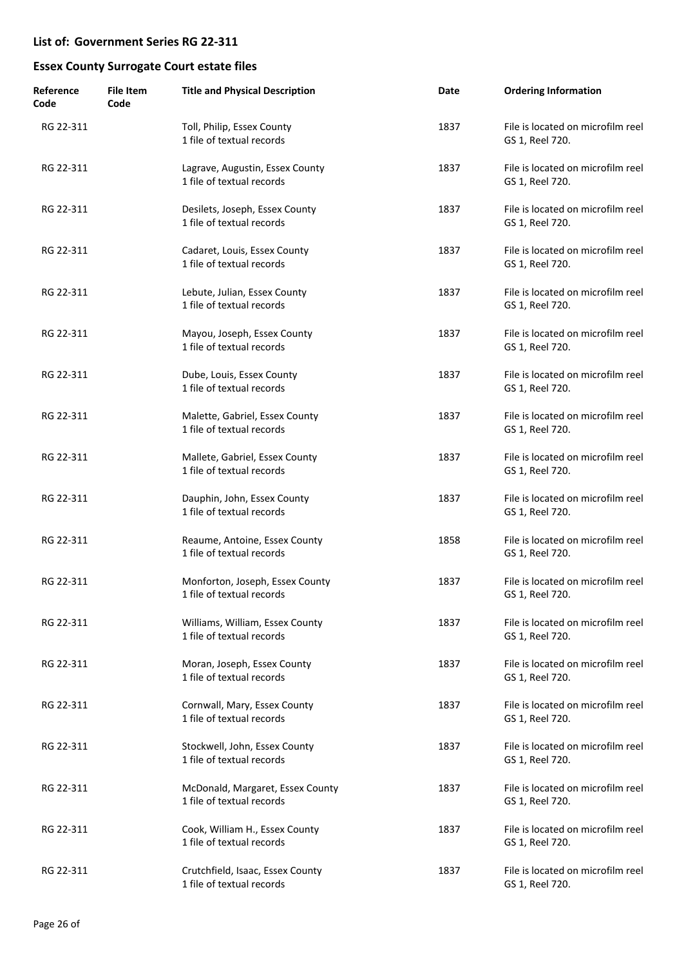| Reference<br>Code | File Item<br>Code | <b>Title and Physical Description</b>                         | Date | <b>Ordering Information</b>                          |
|-------------------|-------------------|---------------------------------------------------------------|------|------------------------------------------------------|
| RG 22-311         |                   | Toll, Philip, Essex County<br>1 file of textual records       | 1837 | File is located on microfilm reel<br>GS 1, Reel 720. |
| RG 22-311         |                   | Lagrave, Augustin, Essex County<br>1 file of textual records  | 1837 | File is located on microfilm reel<br>GS 1, Reel 720. |
| RG 22-311         |                   | Desilets, Joseph, Essex County<br>1 file of textual records   | 1837 | File is located on microfilm reel<br>GS 1, Reel 720. |
| RG 22-311         |                   | Cadaret, Louis, Essex County<br>1 file of textual records     | 1837 | File is located on microfilm reel<br>GS 1, Reel 720. |
| RG 22-311         |                   | Lebute, Julian, Essex County<br>1 file of textual records     | 1837 | File is located on microfilm reel<br>GS 1, Reel 720. |
| RG 22-311         |                   | Mayou, Joseph, Essex County<br>1 file of textual records      | 1837 | File is located on microfilm reel<br>GS 1, Reel 720. |
| RG 22-311         |                   | Dube, Louis, Essex County<br>1 file of textual records        | 1837 | File is located on microfilm reel<br>GS 1, Reel 720. |
| RG 22-311         |                   | Malette, Gabriel, Essex County<br>1 file of textual records   | 1837 | File is located on microfilm reel<br>GS 1, Reel 720. |
| RG 22-311         |                   | Mallete, Gabriel, Essex County<br>1 file of textual records   | 1837 | File is located on microfilm reel<br>GS 1, Reel 720. |
| RG 22-311         |                   | Dauphin, John, Essex County<br>1 file of textual records      | 1837 | File is located on microfilm reel<br>GS 1, Reel 720. |
| RG 22-311         |                   | Reaume, Antoine, Essex County<br>1 file of textual records    | 1858 | File is located on microfilm reel<br>GS 1, Reel 720. |
| RG 22-311         |                   | Monforton, Joseph, Essex County<br>1 file of textual records  | 1837 | File is located on microfilm reel<br>GS 1, Reel 720. |
| RG 22-311         |                   | Williams, William, Essex County<br>1 file of textual records  | 1837 | File is located on microfilm reel<br>GS 1, Reel 720. |
| RG 22-311         |                   | Moran, Joseph, Essex County<br>1 file of textual records      | 1837 | File is located on microfilm reel<br>GS 1, Reel 720. |
| RG 22-311         |                   | Cornwall, Mary, Essex County<br>1 file of textual records     | 1837 | File is located on microfilm reel<br>GS 1, Reel 720. |
| RG 22-311         |                   | Stockwell, John, Essex County<br>1 file of textual records    | 1837 | File is located on microfilm reel<br>GS 1, Reel 720. |
| RG 22-311         |                   | McDonald, Margaret, Essex County<br>1 file of textual records | 1837 | File is located on microfilm reel<br>GS 1, Reel 720. |
| RG 22-311         |                   | Cook, William H., Essex County<br>1 file of textual records   | 1837 | File is located on microfilm reel<br>GS 1, Reel 720. |
| RG 22-311         |                   | Crutchfield, Isaac, Essex County<br>1 file of textual records | 1837 | File is located on microfilm reel<br>GS 1, Reel 720. |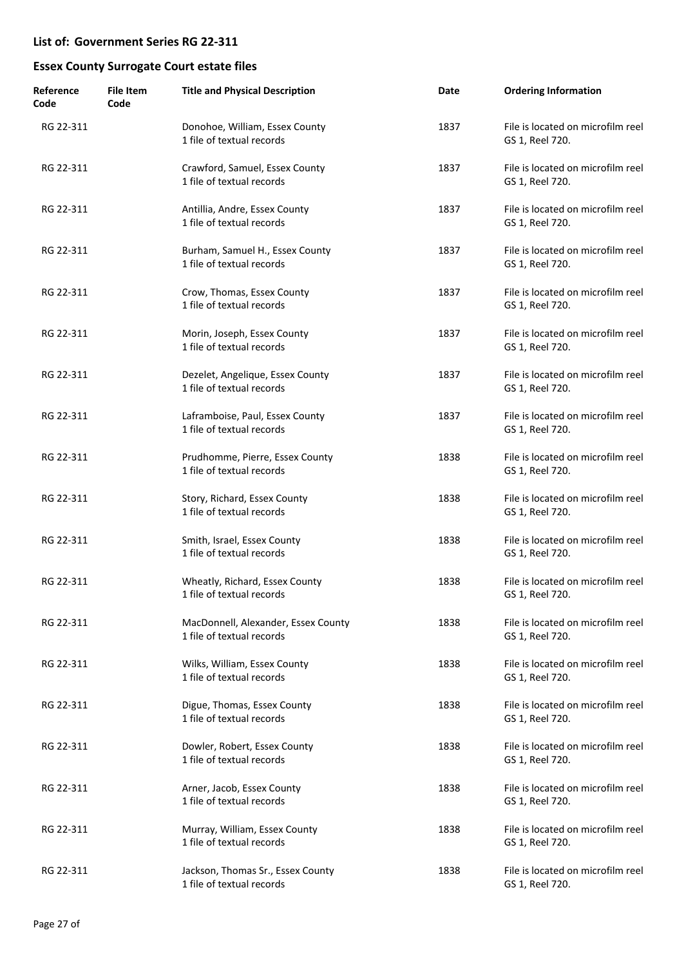| Reference<br>Code | File Item<br>Code | <b>Title and Physical Description</b>                            | Date | <b>Ordering Information</b>                          |
|-------------------|-------------------|------------------------------------------------------------------|------|------------------------------------------------------|
| RG 22-311         |                   | Donohoe, William, Essex County<br>1 file of textual records      | 1837 | File is located on microfilm reel<br>GS 1, Reel 720. |
| RG 22-311         |                   | Crawford, Samuel, Essex County<br>1 file of textual records      | 1837 | File is located on microfilm reel<br>GS 1, Reel 720. |
| RG 22-311         |                   | Antillia, Andre, Essex County<br>1 file of textual records       | 1837 | File is located on microfilm reel<br>GS 1, Reel 720. |
| RG 22-311         |                   | Burham, Samuel H., Essex County<br>1 file of textual records     | 1837 | File is located on microfilm reel<br>GS 1, Reel 720. |
| RG 22-311         |                   | Crow, Thomas, Essex County<br>1 file of textual records          | 1837 | File is located on microfilm reel<br>GS 1, Reel 720. |
| RG 22-311         |                   | Morin, Joseph, Essex County<br>1 file of textual records         | 1837 | File is located on microfilm reel<br>GS 1, Reel 720. |
| RG 22-311         |                   | Dezelet, Angelique, Essex County<br>1 file of textual records    | 1837 | File is located on microfilm reel<br>GS 1, Reel 720. |
| RG 22-311         |                   | Laframboise, Paul, Essex County<br>1 file of textual records     | 1837 | File is located on microfilm reel<br>GS 1, Reel 720. |
| RG 22-311         |                   | Prudhomme, Pierre, Essex County<br>1 file of textual records     | 1838 | File is located on microfilm reel<br>GS 1, Reel 720. |
| RG 22-311         |                   | Story, Richard, Essex County<br>1 file of textual records        | 1838 | File is located on microfilm reel<br>GS 1, Reel 720. |
| RG 22-311         |                   | Smith, Israel, Essex County<br>1 file of textual records         | 1838 | File is located on microfilm reel<br>GS 1, Reel 720. |
| RG 22-311         |                   | Wheatly, Richard, Essex County<br>1 file of textual records      | 1838 | File is located on microfilm reel<br>GS 1, Reel 720. |
| RG 22-311         |                   | MacDonnell, Alexander, Essex County<br>1 file of textual records | 1838 | File is located on microfilm reel<br>GS 1, Reel 720. |
| RG 22-311         |                   | Wilks, William, Essex County<br>1 file of textual records        | 1838 | File is located on microfilm reel<br>GS 1, Reel 720. |
| RG 22-311         |                   | Digue, Thomas, Essex County<br>1 file of textual records         | 1838 | File is located on microfilm reel<br>GS 1, Reel 720. |
| RG 22-311         |                   | Dowler, Robert, Essex County<br>1 file of textual records        | 1838 | File is located on microfilm reel<br>GS 1, Reel 720. |
| RG 22-311         |                   | Arner, Jacob, Essex County<br>1 file of textual records          | 1838 | File is located on microfilm reel<br>GS 1, Reel 720. |
| RG 22-311         |                   | Murray, William, Essex County<br>1 file of textual records       | 1838 | File is located on microfilm reel<br>GS 1, Reel 720. |
| RG 22-311         |                   | Jackson, Thomas Sr., Essex County<br>1 file of textual records   | 1838 | File is located on microfilm reel<br>GS 1, Reel 720. |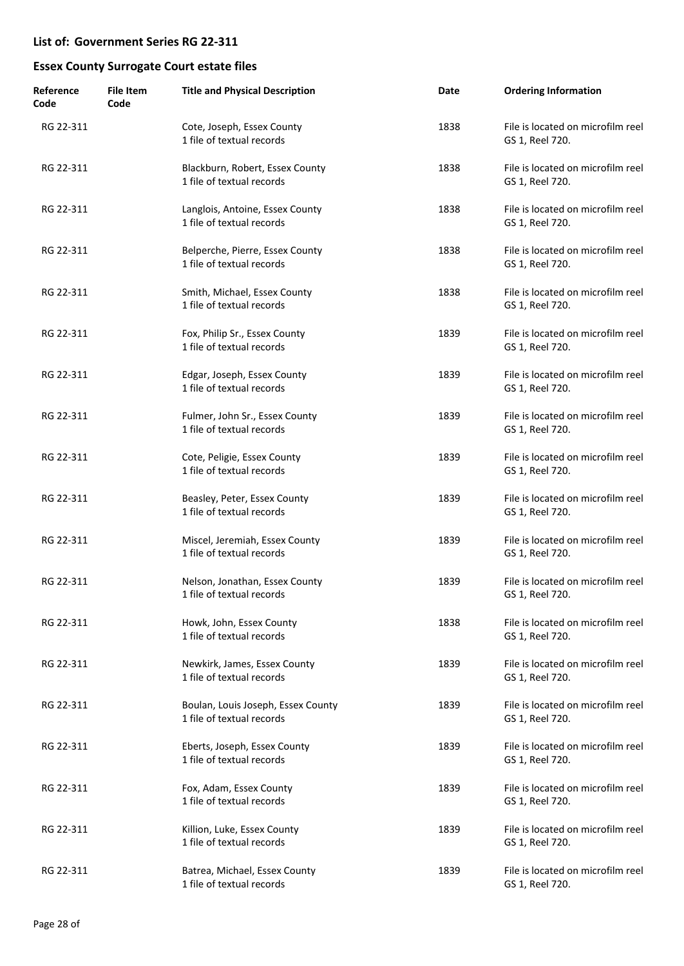| Reference<br>Code | File Item<br>Code | <b>Title and Physical Description</b>                           | Date | <b>Ordering Information</b>                          |
|-------------------|-------------------|-----------------------------------------------------------------|------|------------------------------------------------------|
| RG 22-311         |                   | Cote, Joseph, Essex County<br>1 file of textual records         | 1838 | File is located on microfilm reel<br>GS 1, Reel 720. |
| RG 22-311         |                   | Blackburn, Robert, Essex County<br>1 file of textual records    | 1838 | File is located on microfilm reel<br>GS 1, Reel 720. |
| RG 22-311         |                   | Langlois, Antoine, Essex County<br>1 file of textual records    | 1838 | File is located on microfilm reel<br>GS 1, Reel 720. |
| RG 22-311         |                   | Belperche, Pierre, Essex County<br>1 file of textual records    | 1838 | File is located on microfilm reel<br>GS 1, Reel 720. |
| RG 22-311         |                   | Smith, Michael, Essex County<br>1 file of textual records       | 1838 | File is located on microfilm reel<br>GS 1, Reel 720. |
| RG 22-311         |                   | Fox, Philip Sr., Essex County<br>1 file of textual records      | 1839 | File is located on microfilm reel<br>GS 1, Reel 720. |
| RG 22-311         |                   | Edgar, Joseph, Essex County<br>1 file of textual records        | 1839 | File is located on microfilm reel<br>GS 1, Reel 720. |
| RG 22-311         |                   | Fulmer, John Sr., Essex County<br>1 file of textual records     | 1839 | File is located on microfilm reel<br>GS 1, Reel 720. |
| RG 22-311         |                   | Cote, Peligie, Essex County<br>1 file of textual records        | 1839 | File is located on microfilm reel<br>GS 1, Reel 720. |
| RG 22-311         |                   | Beasley, Peter, Essex County<br>1 file of textual records       | 1839 | File is located on microfilm reel<br>GS 1, Reel 720. |
| RG 22-311         |                   | Miscel, Jeremiah, Essex County<br>1 file of textual records     | 1839 | File is located on microfilm reel<br>GS 1, Reel 720. |
| RG 22-311         |                   | Nelson, Jonathan, Essex County<br>1 file of textual records     | 1839 | File is located on microfilm reel<br>GS 1, Reel 720. |
| RG 22-311         |                   | Howk, John, Essex County<br>1 file of textual records           | 1838 | File is located on microfilm reel<br>GS 1, Reel 720. |
| RG 22-311         |                   | Newkirk, James, Essex County<br>1 file of textual records       | 1839 | File is located on microfilm reel<br>GS 1, Reel 720. |
| RG 22-311         |                   | Boulan, Louis Joseph, Essex County<br>1 file of textual records | 1839 | File is located on microfilm reel<br>GS 1, Reel 720. |
| RG 22-311         |                   | Eberts, Joseph, Essex County<br>1 file of textual records       | 1839 | File is located on microfilm reel<br>GS 1, Reel 720. |
| RG 22-311         |                   | Fox, Adam, Essex County<br>1 file of textual records            | 1839 | File is located on microfilm reel<br>GS 1, Reel 720. |
| RG 22-311         |                   | Killion, Luke, Essex County<br>1 file of textual records        | 1839 | File is located on microfilm reel<br>GS 1, Reel 720. |
| RG 22-311         |                   | Batrea, Michael, Essex County<br>1 file of textual records      | 1839 | File is located on microfilm reel<br>GS 1, Reel 720. |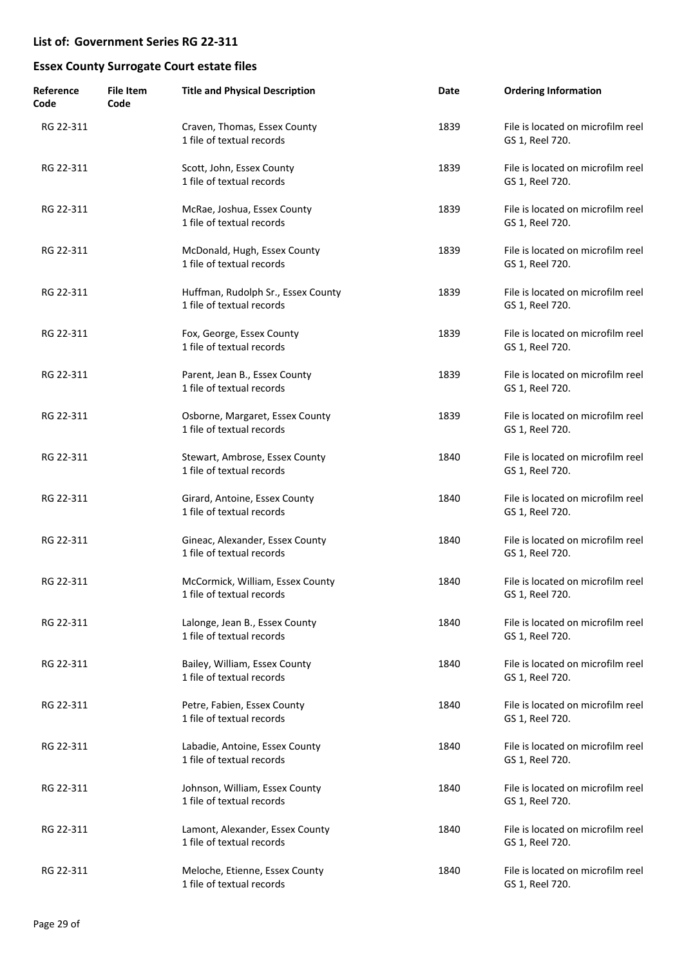| Reference<br>Code | <b>File Item</b><br>Code | <b>Title and Physical Description</b>                           | Date | <b>Ordering Information</b>                          |
|-------------------|--------------------------|-----------------------------------------------------------------|------|------------------------------------------------------|
| RG 22-311         |                          | Craven, Thomas, Essex County<br>1 file of textual records       | 1839 | File is located on microfilm reel<br>GS 1, Reel 720. |
| RG 22-311         |                          | Scott, John, Essex County<br>1 file of textual records          | 1839 | File is located on microfilm reel<br>GS 1, Reel 720. |
| RG 22-311         |                          | McRae, Joshua, Essex County<br>1 file of textual records        | 1839 | File is located on microfilm reel<br>GS 1, Reel 720. |
| RG 22-311         |                          | McDonald, Hugh, Essex County<br>1 file of textual records       | 1839 | File is located on microfilm reel<br>GS 1, Reel 720. |
| RG 22-311         |                          | Huffman, Rudolph Sr., Essex County<br>1 file of textual records | 1839 | File is located on microfilm reel<br>GS 1, Reel 720. |
| RG 22-311         |                          | Fox, George, Essex County<br>1 file of textual records          | 1839 | File is located on microfilm reel<br>GS 1, Reel 720. |
| RG 22-311         |                          | Parent, Jean B., Essex County<br>1 file of textual records      | 1839 | File is located on microfilm reel<br>GS 1, Reel 720. |
| RG 22-311         |                          | Osborne, Margaret, Essex County<br>1 file of textual records    | 1839 | File is located on microfilm reel<br>GS 1, Reel 720. |
| RG 22-311         |                          | Stewart, Ambrose, Essex County<br>1 file of textual records     | 1840 | File is located on microfilm reel<br>GS 1, Reel 720. |
| RG 22-311         |                          | Girard, Antoine, Essex County<br>1 file of textual records      | 1840 | File is located on microfilm reel<br>GS 1, Reel 720. |
| RG 22-311         |                          | Gineac, Alexander, Essex County<br>1 file of textual records    | 1840 | File is located on microfilm reel<br>GS 1, Reel 720. |
| RG 22-311         |                          | McCormick, William, Essex County<br>1 file of textual records   | 1840 | File is located on microfilm reel<br>GS 1, Reel 720. |
| RG 22-311         |                          | Lalonge, Jean B., Essex County<br>1 file of textual records     | 1840 | File is located on microfilm reel<br>GS 1, Reel 720. |
| RG 22-311         |                          | Bailey, William, Essex County<br>1 file of textual records      | 1840 | File is located on microfilm reel<br>GS 1, Reel 720. |
| RG 22-311         |                          | Petre, Fabien, Essex County<br>1 file of textual records        | 1840 | File is located on microfilm reel<br>GS 1, Reel 720. |
| RG 22-311         |                          | Labadie, Antoine, Essex County<br>1 file of textual records     | 1840 | File is located on microfilm reel<br>GS 1, Reel 720. |
| RG 22-311         |                          | Johnson, William, Essex County<br>1 file of textual records     | 1840 | File is located on microfilm reel<br>GS 1, Reel 720. |
| RG 22-311         |                          | Lamont, Alexander, Essex County<br>1 file of textual records    | 1840 | File is located on microfilm reel<br>GS 1, Reel 720. |
| RG 22-311         |                          | Meloche, Etienne, Essex County<br>1 file of textual records     | 1840 | File is located on microfilm reel<br>GS 1, Reel 720. |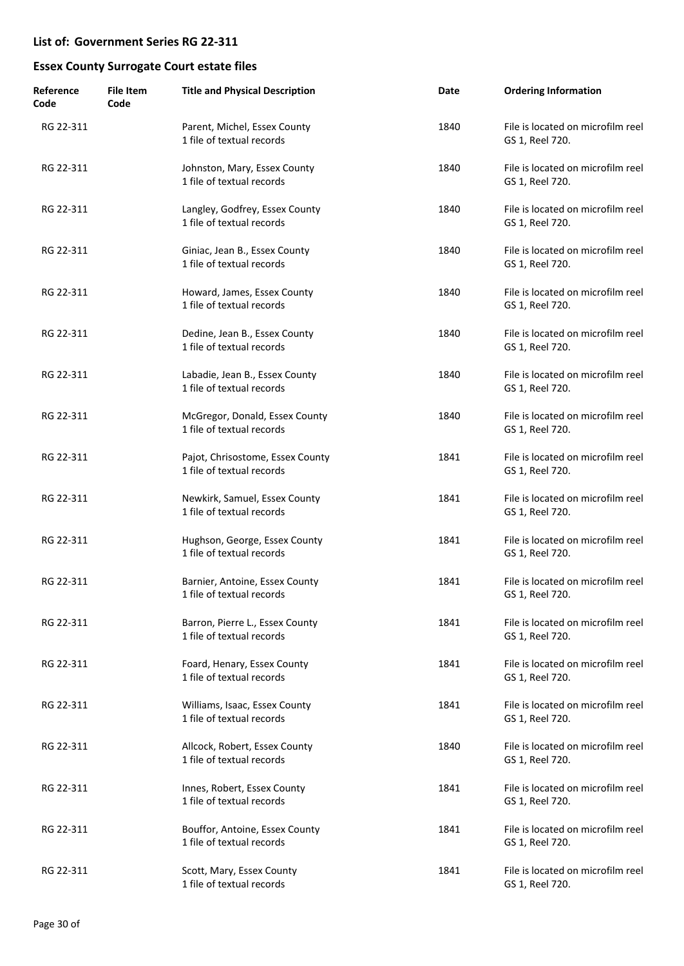| Reference<br>Code | <b>File Item</b><br>Code | <b>Title and Physical Description</b>                         | Date | <b>Ordering Information</b>                          |
|-------------------|--------------------------|---------------------------------------------------------------|------|------------------------------------------------------|
| RG 22-311         |                          | Parent, Michel, Essex County<br>1 file of textual records     | 1840 | File is located on microfilm reel<br>GS 1, Reel 720. |
| RG 22-311         |                          | Johnston, Mary, Essex County<br>1 file of textual records     | 1840 | File is located on microfilm reel<br>GS 1, Reel 720. |
| RG 22-311         |                          | Langley, Godfrey, Essex County<br>1 file of textual records   | 1840 | File is located on microfilm reel<br>GS 1, Reel 720. |
| RG 22-311         |                          | Giniac, Jean B., Essex County<br>1 file of textual records    | 1840 | File is located on microfilm reel<br>GS 1, Reel 720. |
| RG 22-311         |                          | Howard, James, Essex County<br>1 file of textual records      | 1840 | File is located on microfilm reel<br>GS 1, Reel 720. |
| RG 22-311         |                          | Dedine, Jean B., Essex County<br>1 file of textual records    | 1840 | File is located on microfilm reel<br>GS 1, Reel 720. |
| RG 22-311         |                          | Labadie, Jean B., Essex County<br>1 file of textual records   | 1840 | File is located on microfilm reel<br>GS 1, Reel 720. |
| RG 22-311         |                          | McGregor, Donald, Essex County<br>1 file of textual records   | 1840 | File is located on microfilm reel<br>GS 1, Reel 720. |
| RG 22-311         |                          | Pajot, Chrisostome, Essex County<br>1 file of textual records | 1841 | File is located on microfilm reel<br>GS 1, Reel 720. |
| RG 22-311         |                          | Newkirk, Samuel, Essex County<br>1 file of textual records    | 1841 | File is located on microfilm reel<br>GS 1, Reel 720. |
| RG 22-311         |                          | Hughson, George, Essex County<br>1 file of textual records    | 1841 | File is located on microfilm reel<br>GS 1, Reel 720. |
| RG 22-311         |                          | Barnier, Antoine, Essex County<br>1 file of textual records   | 1841 | File is located on microfilm reel<br>GS 1, Reel 720. |
| RG 22-311         |                          | Barron, Pierre L., Essex County<br>1 file of textual records  | 1841 | File is located on microfilm reel<br>GS 1, Reel 720. |
| RG 22-311         |                          | Foard, Henary, Essex County<br>1 file of textual records      | 1841 | File is located on microfilm reel<br>GS 1, Reel 720. |
| RG 22-311         |                          | Williams, Isaac, Essex County<br>1 file of textual records    | 1841 | File is located on microfilm reel<br>GS 1, Reel 720. |
| RG 22-311         |                          | Allcock, Robert, Essex County<br>1 file of textual records    | 1840 | File is located on microfilm reel<br>GS 1, Reel 720. |
| RG 22-311         |                          | Innes, Robert, Essex County<br>1 file of textual records      | 1841 | File is located on microfilm reel<br>GS 1, Reel 720. |
| RG 22-311         |                          | Bouffor, Antoine, Essex County<br>1 file of textual records   | 1841 | File is located on microfilm reel<br>GS 1, Reel 720. |
| RG 22-311         |                          | Scott, Mary, Essex County<br>1 file of textual records        | 1841 | File is located on microfilm reel<br>GS 1, Reel 720. |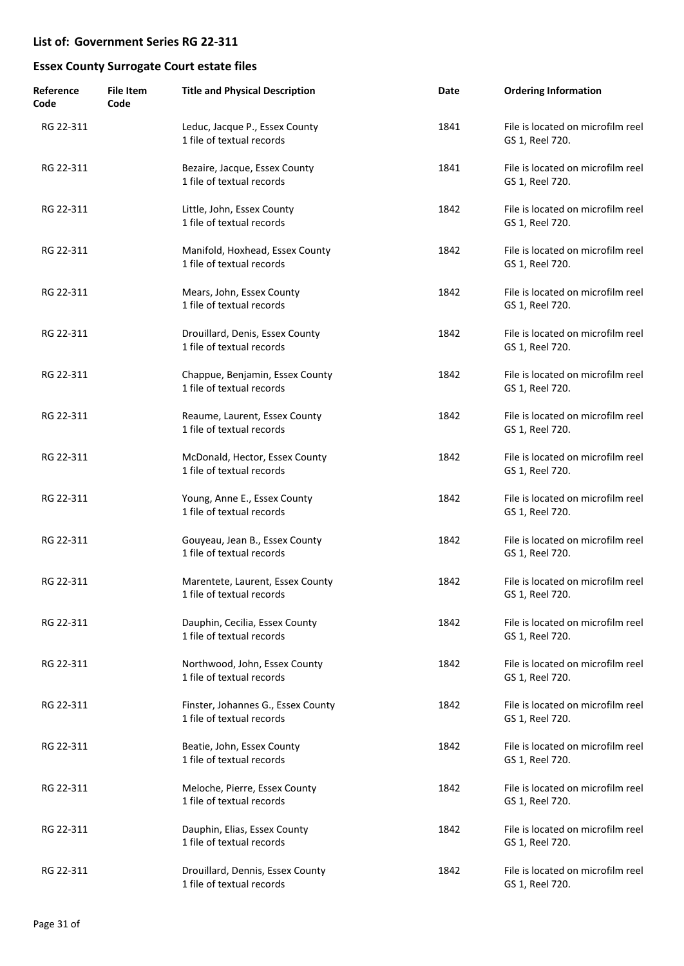| Reference<br>Code | <b>File Item</b><br>Code | <b>Title and Physical Description</b>                           | Date | <b>Ordering Information</b>                          |
|-------------------|--------------------------|-----------------------------------------------------------------|------|------------------------------------------------------|
| RG 22-311         |                          | Leduc, Jacque P., Essex County<br>1 file of textual records     | 1841 | File is located on microfilm reel<br>GS 1, Reel 720. |
| RG 22-311         |                          | Bezaire, Jacque, Essex County<br>1 file of textual records      | 1841 | File is located on microfilm reel<br>GS 1, Reel 720. |
| RG 22-311         |                          | Little, John, Essex County<br>1 file of textual records         | 1842 | File is located on microfilm reel<br>GS 1, Reel 720. |
| RG 22-311         |                          | Manifold, Hoxhead, Essex County<br>1 file of textual records    | 1842 | File is located on microfilm reel<br>GS 1, Reel 720. |
| RG 22-311         |                          | Mears, John, Essex County<br>1 file of textual records          | 1842 | File is located on microfilm reel<br>GS 1, Reel 720. |
| RG 22-311         |                          | Drouillard, Denis, Essex County<br>1 file of textual records    | 1842 | File is located on microfilm reel<br>GS 1, Reel 720. |
| RG 22-311         |                          | Chappue, Benjamin, Essex County<br>1 file of textual records    | 1842 | File is located on microfilm reel<br>GS 1, Reel 720. |
| RG 22-311         |                          | Reaume, Laurent, Essex County<br>1 file of textual records      | 1842 | File is located on microfilm reel<br>GS 1, Reel 720. |
| RG 22-311         |                          | McDonald, Hector, Essex County<br>1 file of textual records     | 1842 | File is located on microfilm reel<br>GS 1, Reel 720. |
| RG 22-311         |                          | Young, Anne E., Essex County<br>1 file of textual records       | 1842 | File is located on microfilm reel<br>GS 1, Reel 720. |
| RG 22-311         |                          | Gouyeau, Jean B., Essex County<br>1 file of textual records     | 1842 | File is located on microfilm reel<br>GS 1, Reel 720. |
| RG 22-311         |                          | Marentete, Laurent, Essex County<br>1 file of textual records   | 1842 | File is located on microfilm reel<br>GS 1, Reel 720. |
| RG 22-311         |                          | Dauphin, Cecilia, Essex County<br>1 file of textual records     | 1842 | File is located on microfilm reel<br>GS 1, Reel 720. |
| RG 22-311         |                          | Northwood, John, Essex County<br>1 file of textual records      | 1842 | File is located on microfilm reel<br>GS 1, Reel 720. |
| RG 22-311         |                          | Finster, Johannes G., Essex County<br>1 file of textual records | 1842 | File is located on microfilm reel<br>GS 1, Reel 720. |
| RG 22-311         |                          | Beatie, John, Essex County<br>1 file of textual records         | 1842 | File is located on microfilm reel<br>GS 1, Reel 720. |
| RG 22-311         |                          | Meloche, Pierre, Essex County<br>1 file of textual records      | 1842 | File is located on microfilm reel<br>GS 1, Reel 720. |
| RG 22-311         |                          | Dauphin, Elias, Essex County<br>1 file of textual records       | 1842 | File is located on microfilm reel<br>GS 1, Reel 720. |
| RG 22-311         |                          | Drouillard, Dennis, Essex County<br>1 file of textual records   | 1842 | File is located on microfilm reel<br>GS 1, Reel 720. |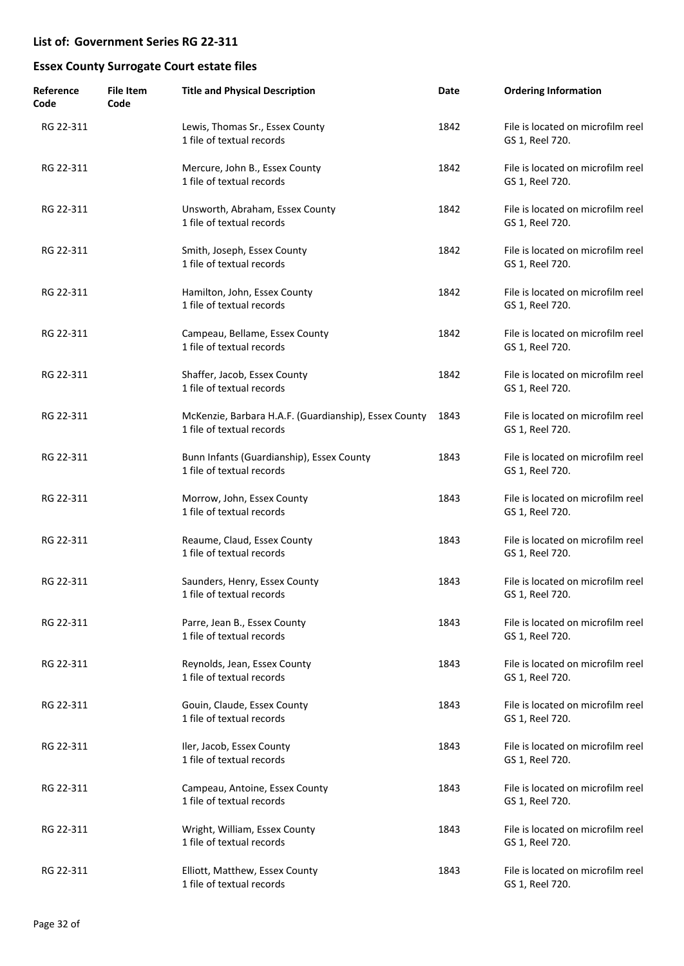| Reference<br>Code | <b>File Item</b><br>Code | <b>Title and Physical Description</b>                                              | Date | <b>Ordering Information</b>                          |
|-------------------|--------------------------|------------------------------------------------------------------------------------|------|------------------------------------------------------|
| RG 22-311         |                          | Lewis, Thomas Sr., Essex County<br>1 file of textual records                       | 1842 | File is located on microfilm reel<br>GS 1, Reel 720. |
| RG 22-311         |                          | Mercure, John B., Essex County<br>1 file of textual records                        | 1842 | File is located on microfilm reel<br>GS 1, Reel 720. |
| RG 22-311         |                          | Unsworth, Abraham, Essex County<br>1 file of textual records                       | 1842 | File is located on microfilm reel<br>GS 1, Reel 720. |
| RG 22-311         |                          | Smith, Joseph, Essex County<br>1 file of textual records                           | 1842 | File is located on microfilm reel<br>GS 1, Reel 720. |
| RG 22-311         |                          | Hamilton, John, Essex County<br>1 file of textual records                          | 1842 | File is located on microfilm reel<br>GS 1, Reel 720. |
| RG 22-311         |                          | Campeau, Bellame, Essex County<br>1 file of textual records                        | 1842 | File is located on microfilm reel<br>GS 1, Reel 720. |
| RG 22-311         |                          | Shaffer, Jacob, Essex County<br>1 file of textual records                          | 1842 | File is located on microfilm reel<br>GS 1, Reel 720. |
| RG 22-311         |                          | McKenzie, Barbara H.A.F. (Guardianship), Essex County<br>1 file of textual records | 1843 | File is located on microfilm reel<br>GS 1, Reel 720. |
| RG 22-311         |                          | Bunn Infants (Guardianship), Essex County<br>1 file of textual records             | 1843 | File is located on microfilm reel<br>GS 1, Reel 720. |
| RG 22-311         |                          | Morrow, John, Essex County<br>1 file of textual records                            | 1843 | File is located on microfilm reel<br>GS 1, Reel 720. |
| RG 22-311         |                          | Reaume, Claud, Essex County<br>1 file of textual records                           | 1843 | File is located on microfilm reel<br>GS 1, Reel 720. |
| RG 22-311         |                          | Saunders, Henry, Essex County<br>1 file of textual records                         | 1843 | File is located on microfilm reel<br>GS 1, Reel 720. |
| RG 22-311         |                          | Parre, Jean B., Essex County<br>1 file of textual records                          | 1843 | File is located on microfilm reel<br>GS 1, Reel 720. |
| RG 22-311         |                          | Reynolds, Jean, Essex County<br>1 file of textual records                          | 1843 | File is located on microfilm reel<br>GS 1, Reel 720. |
| RG 22-311         |                          | Gouin, Claude, Essex County<br>1 file of textual records                           | 1843 | File is located on microfilm reel<br>GS 1, Reel 720. |
| RG 22-311         |                          | Iler, Jacob, Essex County<br>1 file of textual records                             | 1843 | File is located on microfilm reel<br>GS 1, Reel 720. |
| RG 22-311         |                          | Campeau, Antoine, Essex County<br>1 file of textual records                        | 1843 | File is located on microfilm reel<br>GS 1, Reel 720. |
| RG 22-311         |                          | Wright, William, Essex County<br>1 file of textual records                         | 1843 | File is located on microfilm reel<br>GS 1, Reel 720. |
| RG 22-311         |                          | Elliott, Matthew, Essex County<br>1 file of textual records                        | 1843 | File is located on microfilm reel<br>GS 1, Reel 720. |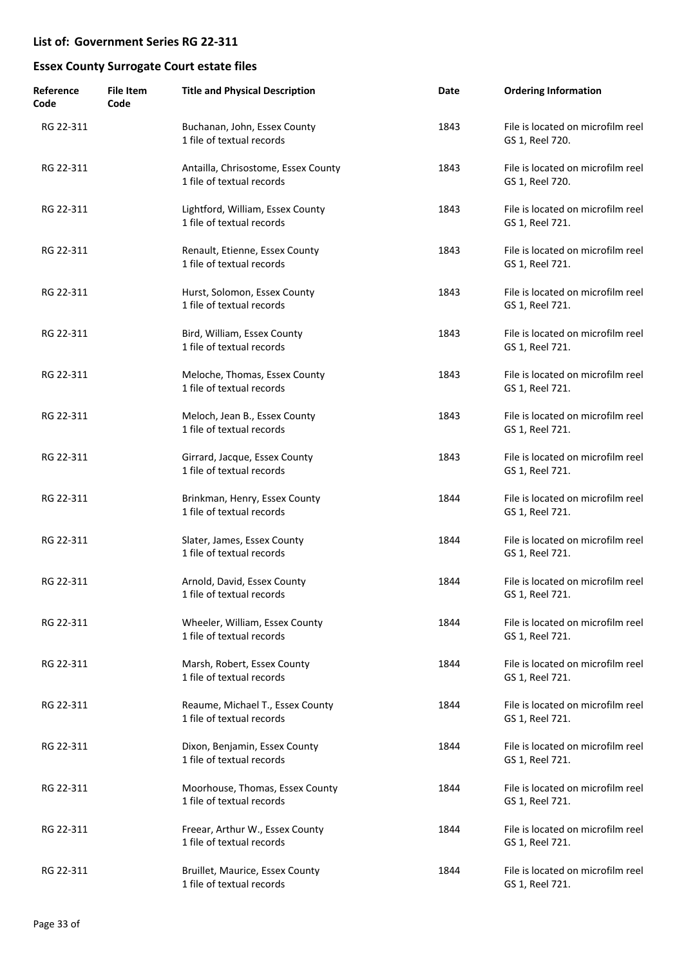| Reference<br>Code | <b>File Item</b><br>Code | <b>Title and Physical Description</b>                            | Date | <b>Ordering Information</b>                          |
|-------------------|--------------------------|------------------------------------------------------------------|------|------------------------------------------------------|
| RG 22-311         |                          | Buchanan, John, Essex County<br>1 file of textual records        | 1843 | File is located on microfilm reel<br>GS 1, Reel 720. |
| RG 22-311         |                          | Antailla, Chrisostome, Essex County<br>1 file of textual records | 1843 | File is located on microfilm reel<br>GS 1, Reel 720. |
| RG 22-311         |                          | Lightford, William, Essex County<br>1 file of textual records    | 1843 | File is located on microfilm reel<br>GS 1, Reel 721. |
| RG 22-311         |                          | Renault, Etienne, Essex County<br>1 file of textual records      | 1843 | File is located on microfilm reel<br>GS 1, Reel 721. |
| RG 22-311         |                          | Hurst, Solomon, Essex County<br>1 file of textual records        | 1843 | File is located on microfilm reel<br>GS 1, Reel 721. |
| RG 22-311         |                          | Bird, William, Essex County<br>1 file of textual records         | 1843 | File is located on microfilm reel<br>GS 1, Reel 721. |
| RG 22-311         |                          | Meloche, Thomas, Essex County<br>1 file of textual records       | 1843 | File is located on microfilm reel<br>GS 1, Reel 721. |
| RG 22-311         |                          | Meloch, Jean B., Essex County<br>1 file of textual records       | 1843 | File is located on microfilm reel<br>GS 1, Reel 721. |
| RG 22-311         |                          | Girrard, Jacque, Essex County<br>1 file of textual records       | 1843 | File is located on microfilm reel<br>GS 1, Reel 721. |
| RG 22-311         |                          | Brinkman, Henry, Essex County<br>1 file of textual records       | 1844 | File is located on microfilm reel<br>GS 1, Reel 721. |
| RG 22-311         |                          | Slater, James, Essex County<br>1 file of textual records         | 1844 | File is located on microfilm reel<br>GS 1, Reel 721. |
| RG 22-311         |                          | Arnold, David, Essex County<br>1 file of textual records         | 1844 | File is located on microfilm reel<br>GS 1, Reel 721. |
| RG 22-311         |                          | Wheeler, William, Essex County<br>1 file of textual records      | 1844 | File is located on microfilm reel<br>GS 1, Reel 721. |
| RG 22-311         |                          | Marsh, Robert, Essex County<br>1 file of textual records         | 1844 | File is located on microfilm reel<br>GS 1, Reel 721. |
| RG 22-311         |                          | Reaume, Michael T., Essex County<br>1 file of textual records    | 1844 | File is located on microfilm reel<br>GS 1, Reel 721. |
| RG 22-311         |                          | Dixon, Benjamin, Essex County<br>1 file of textual records       | 1844 | File is located on microfilm reel<br>GS 1, Reel 721. |
| RG 22-311         |                          | Moorhouse, Thomas, Essex County<br>1 file of textual records     | 1844 | File is located on microfilm reel<br>GS 1, Reel 721. |
| RG 22-311         |                          | Freear, Arthur W., Essex County<br>1 file of textual records     | 1844 | File is located on microfilm reel<br>GS 1, Reel 721. |
| RG 22-311         |                          | Bruillet, Maurice, Essex County<br>1 file of textual records     | 1844 | File is located on microfilm reel<br>GS 1, Reel 721. |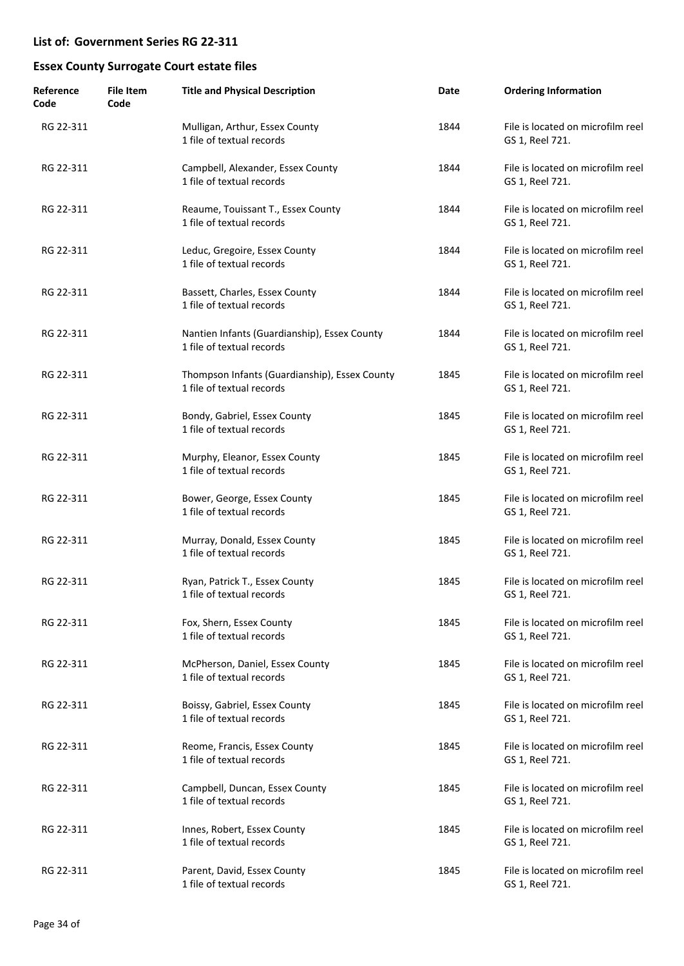| Reference<br>Code | <b>File Item</b><br>Code | <b>Title and Physical Description</b>                                      | Date | <b>Ordering Information</b>                          |
|-------------------|--------------------------|----------------------------------------------------------------------------|------|------------------------------------------------------|
| RG 22-311         |                          | Mulligan, Arthur, Essex County<br>1 file of textual records                | 1844 | File is located on microfilm reel<br>GS 1, Reel 721. |
| RG 22-311         |                          | Campbell, Alexander, Essex County<br>1 file of textual records             | 1844 | File is located on microfilm reel<br>GS 1, Reel 721. |
| RG 22-311         |                          | Reaume, Touissant T., Essex County<br>1 file of textual records            | 1844 | File is located on microfilm reel<br>GS 1, Reel 721. |
| RG 22-311         |                          | Leduc, Gregoire, Essex County<br>1 file of textual records                 | 1844 | File is located on microfilm reel<br>GS 1, Reel 721. |
| RG 22-311         |                          | Bassett, Charles, Essex County<br>1 file of textual records                | 1844 | File is located on microfilm reel<br>GS 1, Reel 721. |
| RG 22-311         |                          | Nantien Infants (Guardianship), Essex County<br>1 file of textual records  | 1844 | File is located on microfilm reel<br>GS 1, Reel 721. |
| RG 22-311         |                          | Thompson Infants (Guardianship), Essex County<br>1 file of textual records | 1845 | File is located on microfilm reel<br>GS 1, Reel 721. |
| RG 22-311         |                          | Bondy, Gabriel, Essex County<br>1 file of textual records                  | 1845 | File is located on microfilm reel<br>GS 1, Reel 721. |
| RG 22-311         |                          | Murphy, Eleanor, Essex County<br>1 file of textual records                 | 1845 | File is located on microfilm reel<br>GS 1, Reel 721. |
| RG 22-311         |                          | Bower, George, Essex County<br>1 file of textual records                   | 1845 | File is located on microfilm reel<br>GS 1, Reel 721. |
| RG 22-311         |                          | Murray, Donald, Essex County<br>1 file of textual records                  | 1845 | File is located on microfilm reel<br>GS 1, Reel 721. |
| RG 22-311         |                          | Ryan, Patrick T., Essex County<br>1 file of textual records                | 1845 | File is located on microfilm reel<br>GS 1, Reel 721. |
| RG 22-311         |                          | Fox, Shern, Essex County<br>1 file of textual records                      | 1845 | File is located on microfilm reel<br>GS 1, Reel 721. |
| RG 22-311         |                          | McPherson, Daniel, Essex County<br>1 file of textual records               | 1845 | File is located on microfilm reel<br>GS 1, Reel 721. |
| RG 22-311         |                          | Boissy, Gabriel, Essex County<br>1 file of textual records                 | 1845 | File is located on microfilm reel<br>GS 1, Reel 721. |
| RG 22-311         |                          | Reome, Francis, Essex County<br>1 file of textual records                  | 1845 | File is located on microfilm reel<br>GS 1, Reel 721. |
| RG 22-311         |                          | Campbell, Duncan, Essex County<br>1 file of textual records                | 1845 | File is located on microfilm reel<br>GS 1, Reel 721. |
| RG 22-311         |                          | Innes, Robert, Essex County<br>1 file of textual records                   | 1845 | File is located on microfilm reel<br>GS 1, Reel 721. |
| RG 22-311         |                          | Parent, David, Essex County<br>1 file of textual records                   | 1845 | File is located on microfilm reel<br>GS 1, Reel 721. |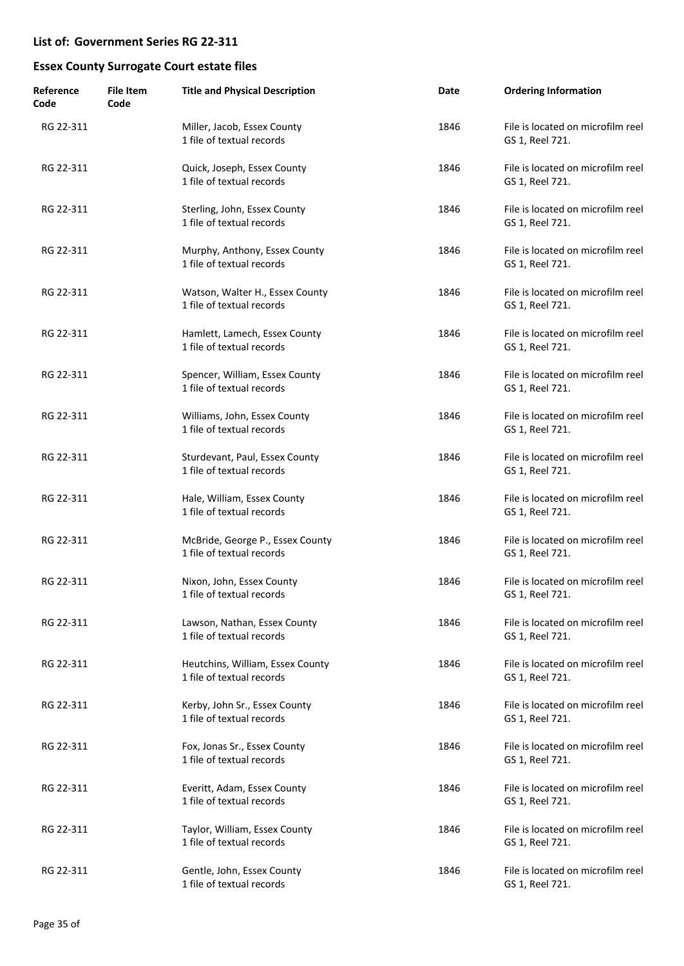| Reference<br>Code | <b>File Item</b><br>Code | <b>Title and Physical Description</b>                         | Date | <b>Ordering Information</b>                          |
|-------------------|--------------------------|---------------------------------------------------------------|------|------------------------------------------------------|
| RG 22-311         |                          | Miller, Jacob, Essex County<br>1 file of textual records      | 1846 | File is located on microfilm reel<br>GS 1, Reel 721. |
| RG 22-311         |                          | Quick, Joseph, Essex County<br>1 file of textual records      | 1846 | File is located on microfilm reel<br>GS 1, Reel 721. |
| RG 22-311         |                          | Sterling, John, Essex County<br>1 file of textual records     | 1846 | File is located on microfilm reel<br>GS 1, Reel 721. |
| RG 22-311         |                          | Murphy, Anthony, Essex County<br>1 file of textual records    | 1846 | File is located on microfilm reel<br>GS 1, Reel 721. |
| RG 22-311         |                          | Watson, Walter H., Essex County<br>1 file of textual records  | 1846 | File is located on microfilm reel<br>GS 1, Reel 721. |
| RG 22-311         |                          | Hamlett, Lamech, Essex County<br>1 file of textual records    | 1846 | File is located on microfilm reel<br>GS 1, Reel 721. |
| RG 22-311         |                          | Spencer, William, Essex County<br>1 file of textual records   | 1846 | File is located on microfilm reel<br>GS 1, Reel 721. |
| RG 22-311         |                          | Williams, John, Essex County<br>1 file of textual records     | 1846 | File is located on microfilm reel<br>GS 1, Reel 721. |
| RG 22-311         |                          | Sturdevant, Paul, Essex County<br>1 file of textual records   | 1846 | File is located on microfilm reel<br>GS 1, Reel 721. |
| RG 22-311         |                          | Hale, William, Essex County<br>1 file of textual records      | 1846 | File is located on microfilm reel<br>GS 1, Reel 721. |
| RG 22-311         |                          | McBride, George P., Essex County<br>1 file of textual records | 1846 | File is located on microfilm reel<br>GS 1, Reel 721. |
| RG 22-311         |                          | Nixon, John, Essex County<br>1 file of textual records        | 1846 | File is located on microfilm reel<br>GS 1, Reel 721. |
| RG 22-311         |                          | Lawson, Nathan, Essex County<br>1 file of textual records     | 1846 | File is located on microfilm reel<br>GS 1, Reel 721. |
| RG 22-311         |                          | Heutchins, William, Essex County<br>1 file of textual records | 1846 | File is located on microfilm reel<br>GS 1, Reel 721. |
| RG 22-311         |                          | Kerby, John Sr., Essex County<br>1 file of textual records    | 1846 | File is located on microfilm reel<br>GS 1, Reel 721. |
| RG 22-311         |                          | Fox, Jonas Sr., Essex County<br>1 file of textual records     | 1846 | File is located on microfilm reel<br>GS 1, Reel 721. |
| RG 22-311         |                          | Everitt, Adam, Essex County<br>1 file of textual records      | 1846 | File is located on microfilm reel<br>GS 1, Reel 721. |
| RG 22-311         |                          | Taylor, William, Essex County<br>1 file of textual records    | 1846 | File is located on microfilm reel<br>GS 1, Reel 721. |
| RG 22-311         |                          | Gentle, John, Essex County<br>1 file of textual records       | 1846 | File is located on microfilm reel<br>GS 1, Reel 721. |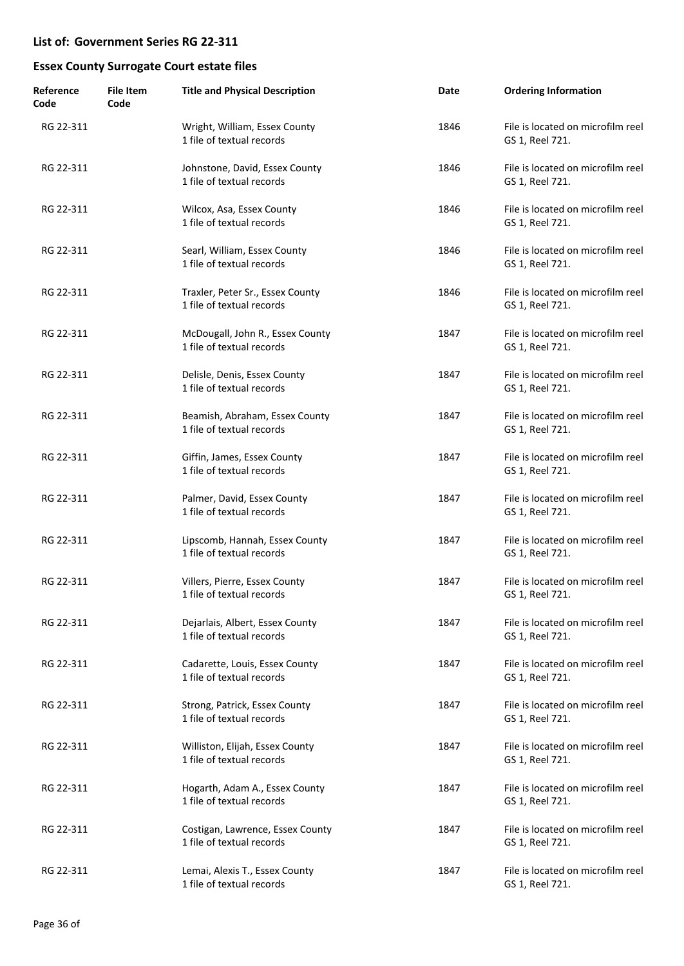| Reference<br>Code | <b>File Item</b><br>Code | <b>Title and Physical Description</b>                         | Date | <b>Ordering Information</b>                          |
|-------------------|--------------------------|---------------------------------------------------------------|------|------------------------------------------------------|
| RG 22-311         |                          | Wright, William, Essex County<br>1 file of textual records    | 1846 | File is located on microfilm reel<br>GS 1, Reel 721. |
| RG 22-311         |                          | Johnstone, David, Essex County<br>1 file of textual records   | 1846 | File is located on microfilm reel<br>GS 1, Reel 721. |
| RG 22-311         |                          | Wilcox, Asa, Essex County<br>1 file of textual records        | 1846 | File is located on microfilm reel<br>GS 1, Reel 721. |
| RG 22-311         |                          | Searl, William, Essex County<br>1 file of textual records     | 1846 | File is located on microfilm reel<br>GS 1, Reel 721. |
| RG 22-311         |                          | Traxler, Peter Sr., Essex County<br>1 file of textual records | 1846 | File is located on microfilm reel<br>GS 1, Reel 721. |
| RG 22-311         |                          | McDougall, John R., Essex County<br>1 file of textual records | 1847 | File is located on microfilm reel<br>GS 1, Reel 721. |
| RG 22-311         |                          | Delisle, Denis, Essex County<br>1 file of textual records     | 1847 | File is located on microfilm reel<br>GS 1, Reel 721. |
| RG 22-311         |                          | Beamish, Abraham, Essex County<br>1 file of textual records   | 1847 | File is located on microfilm reel<br>GS 1, Reel 721. |
| RG 22-311         |                          | Giffin, James, Essex County<br>1 file of textual records      | 1847 | File is located on microfilm reel<br>GS 1, Reel 721. |
| RG 22-311         |                          | Palmer, David, Essex County<br>1 file of textual records      | 1847 | File is located on microfilm reel<br>GS 1, Reel 721. |
| RG 22-311         |                          | Lipscomb, Hannah, Essex County<br>1 file of textual records   | 1847 | File is located on microfilm reel<br>GS 1, Reel 721. |
| RG 22-311         |                          | Villers, Pierre, Essex County<br>1 file of textual records    | 1847 | File is located on microfilm reel<br>GS 1, Reel 721. |
| RG 22-311         |                          | Dejarlais, Albert, Essex County<br>1 file of textual records  | 1847 | File is located on microfilm reel<br>GS 1, Reel 721. |
| RG 22-311         |                          | Cadarette, Louis, Essex County<br>1 file of textual records   | 1847 | File is located on microfilm reel<br>GS 1, Reel 721. |
| RG 22-311         |                          | Strong, Patrick, Essex County<br>1 file of textual records    | 1847 | File is located on microfilm reel<br>GS 1, Reel 721. |
| RG 22-311         |                          | Williston, Elijah, Essex County<br>1 file of textual records  | 1847 | File is located on microfilm reel<br>GS 1, Reel 721. |
| RG 22-311         |                          | Hogarth, Adam A., Essex County<br>1 file of textual records   | 1847 | File is located on microfilm reel<br>GS 1, Reel 721. |
| RG 22-311         |                          | Costigan, Lawrence, Essex County<br>1 file of textual records | 1847 | File is located on microfilm reel<br>GS 1, Reel 721. |
| RG 22-311         |                          | Lemai, Alexis T., Essex County<br>1 file of textual records   | 1847 | File is located on microfilm reel<br>GS 1, Reel 721. |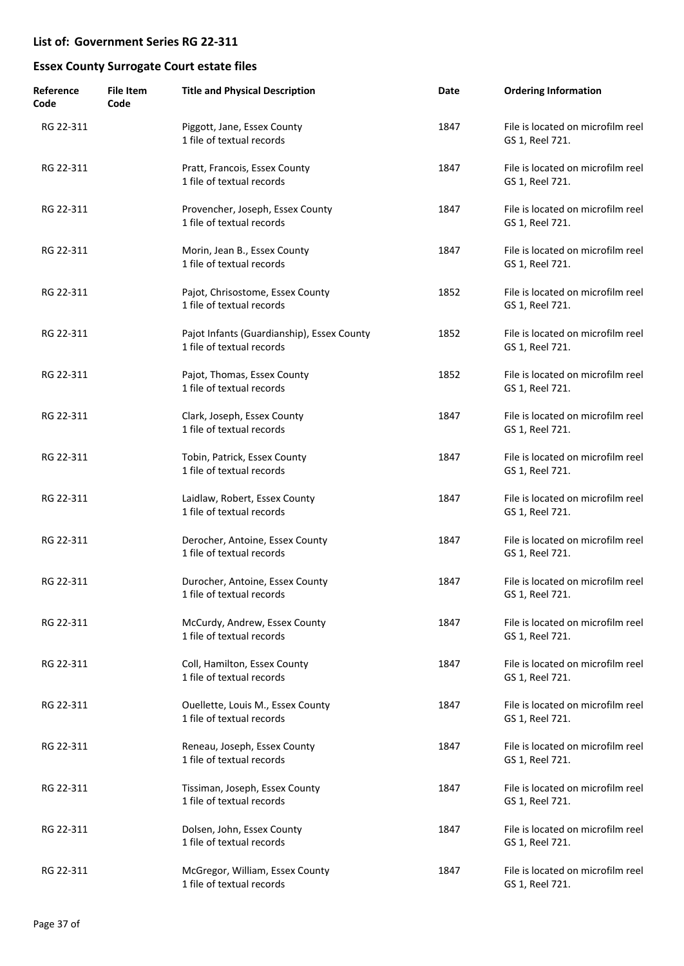| Reference<br>Code | <b>File Item</b><br>Code | <b>Title and Physical Description</b>                                   | Date | <b>Ordering Information</b>                          |
|-------------------|--------------------------|-------------------------------------------------------------------------|------|------------------------------------------------------|
| RG 22-311         |                          | Piggott, Jane, Essex County<br>1 file of textual records                | 1847 | File is located on microfilm reel<br>GS 1, Reel 721. |
| RG 22-311         |                          | Pratt, Francois, Essex County<br>1 file of textual records              | 1847 | File is located on microfilm reel<br>GS 1, Reel 721. |
| RG 22-311         |                          | Provencher, Joseph, Essex County<br>1 file of textual records           | 1847 | File is located on microfilm reel<br>GS 1, Reel 721. |
| RG 22-311         |                          | Morin, Jean B., Essex County<br>1 file of textual records               | 1847 | File is located on microfilm reel<br>GS 1, Reel 721. |
| RG 22-311         |                          | Pajot, Chrisostome, Essex County<br>1 file of textual records           | 1852 | File is located on microfilm reel<br>GS 1, Reel 721. |
| RG 22-311         |                          | Pajot Infants (Guardianship), Essex County<br>1 file of textual records | 1852 | File is located on microfilm reel<br>GS 1, Reel 721. |
| RG 22-311         |                          | Pajot, Thomas, Essex County<br>1 file of textual records                | 1852 | File is located on microfilm reel<br>GS 1, Reel 721. |
| RG 22-311         |                          | Clark, Joseph, Essex County<br>1 file of textual records                | 1847 | File is located on microfilm reel<br>GS 1, Reel 721. |
| RG 22-311         |                          | Tobin, Patrick, Essex County<br>1 file of textual records               | 1847 | File is located on microfilm reel<br>GS 1, Reel 721. |
| RG 22-311         |                          | Laidlaw, Robert, Essex County<br>1 file of textual records              | 1847 | File is located on microfilm reel<br>GS 1, Reel 721. |
| RG 22-311         |                          | Derocher, Antoine, Essex County<br>1 file of textual records            | 1847 | File is located on microfilm reel<br>GS 1, Reel 721. |
| RG 22-311         |                          | Durocher, Antoine, Essex County<br>1 file of textual records            | 1847 | File is located on microfilm reel<br>GS 1, Reel 721. |
| RG 22-311         |                          | McCurdy, Andrew, Essex County<br>1 file of textual records              | 1847 | File is located on microfilm reel<br>GS 1, Reel 721. |
| RG 22-311         |                          | Coll, Hamilton, Essex County<br>1 file of textual records               | 1847 | File is located on microfilm reel<br>GS 1, Reel 721. |
| RG 22-311         |                          | Ouellette, Louis M., Essex County<br>1 file of textual records          | 1847 | File is located on microfilm reel<br>GS 1, Reel 721. |
| RG 22-311         |                          | Reneau, Joseph, Essex County<br>1 file of textual records               | 1847 | File is located on microfilm reel<br>GS 1, Reel 721. |
| RG 22-311         |                          | Tissiman, Joseph, Essex County<br>1 file of textual records             | 1847 | File is located on microfilm reel<br>GS 1, Reel 721. |
| RG 22-311         |                          | Dolsen, John, Essex County<br>1 file of textual records                 | 1847 | File is located on microfilm reel<br>GS 1, Reel 721. |
| RG 22-311         |                          | McGregor, William, Essex County<br>1 file of textual records            | 1847 | File is located on microfilm reel<br>GS 1, Reel 721. |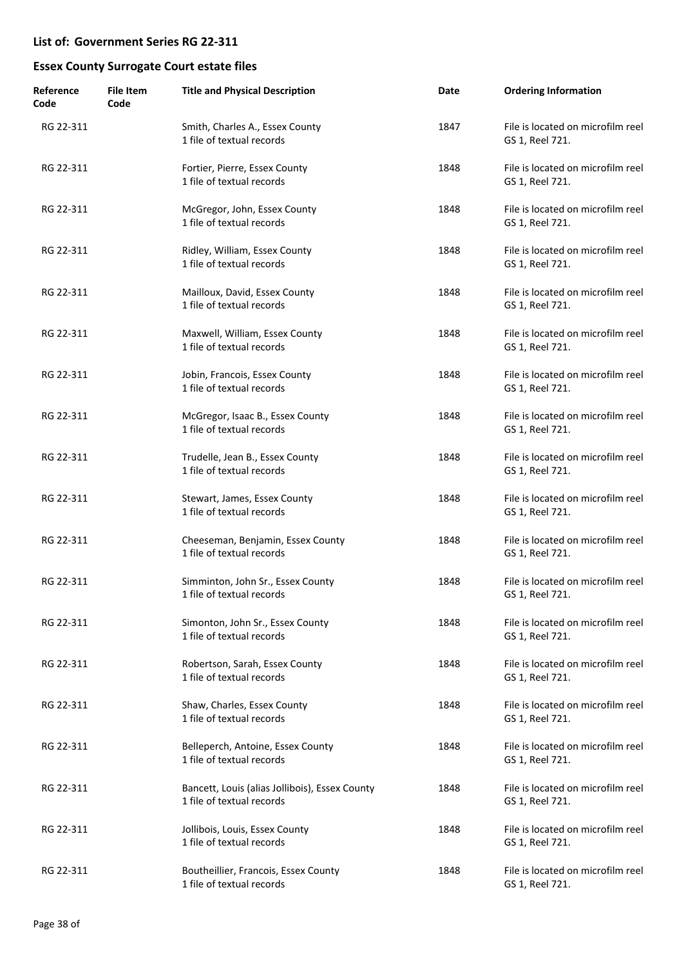| Reference<br>Code | <b>File Item</b><br>Code | <b>Title and Physical Description</b>                                       | Date | <b>Ordering Information</b>                          |
|-------------------|--------------------------|-----------------------------------------------------------------------------|------|------------------------------------------------------|
| RG 22-311         |                          | Smith, Charles A., Essex County<br>1 file of textual records                | 1847 | File is located on microfilm reel<br>GS 1, Reel 721. |
| RG 22-311         |                          | Fortier, Pierre, Essex County<br>1 file of textual records                  | 1848 | File is located on microfilm reel<br>GS 1, Reel 721. |
| RG 22-311         |                          | McGregor, John, Essex County<br>1 file of textual records                   | 1848 | File is located on microfilm reel<br>GS 1, Reel 721. |
| RG 22-311         |                          | Ridley, William, Essex County<br>1 file of textual records                  | 1848 | File is located on microfilm reel<br>GS 1, Reel 721. |
| RG 22-311         |                          | Mailloux, David, Essex County<br>1 file of textual records                  | 1848 | File is located on microfilm reel<br>GS 1, Reel 721. |
| RG 22-311         |                          | Maxwell, William, Essex County<br>1 file of textual records                 | 1848 | File is located on microfilm reel<br>GS 1, Reel 721. |
| RG 22-311         |                          | Jobin, Francois, Essex County<br>1 file of textual records                  | 1848 | File is located on microfilm reel<br>GS 1, Reel 721. |
| RG 22-311         |                          | McGregor, Isaac B., Essex County<br>1 file of textual records               | 1848 | File is located on microfilm reel<br>GS 1, Reel 721. |
| RG 22-311         |                          | Trudelle, Jean B., Essex County<br>1 file of textual records                | 1848 | File is located on microfilm reel<br>GS 1, Reel 721. |
| RG 22-311         |                          | Stewart, James, Essex County<br>1 file of textual records                   | 1848 | File is located on microfilm reel<br>GS 1, Reel 721. |
| RG 22-311         |                          | Cheeseman, Benjamin, Essex County<br>1 file of textual records              | 1848 | File is located on microfilm reel<br>GS 1, Reel 721. |
| RG 22-311         |                          | Simminton, John Sr., Essex County<br>1 file of textual records              | 1848 | File is located on microfilm reel<br>GS 1, Reel 721. |
| RG 22-311         |                          | Simonton, John Sr., Essex County<br>1 file of textual records               | 1848 | File is located on microfilm reel<br>GS 1, Reel 721. |
| RG 22-311         |                          | Robertson, Sarah, Essex County<br>1 file of textual records                 | 1848 | File is located on microfilm reel<br>GS 1, Reel 721. |
| RG 22-311         |                          | Shaw, Charles, Essex County<br>1 file of textual records                    | 1848 | File is located on microfilm reel<br>GS 1, Reel 721. |
| RG 22-311         |                          | Belleperch, Antoine, Essex County<br>1 file of textual records              | 1848 | File is located on microfilm reel<br>GS 1, Reel 721. |
| RG 22-311         |                          | Bancett, Louis (alias Jollibois), Essex County<br>1 file of textual records | 1848 | File is located on microfilm reel<br>GS 1, Reel 721. |
| RG 22-311         |                          | Jollibois, Louis, Essex County<br>1 file of textual records                 | 1848 | File is located on microfilm reel<br>GS 1, Reel 721. |
| RG 22-311         |                          | Boutheillier, Francois, Essex County<br>1 file of textual records           | 1848 | File is located on microfilm reel<br>GS 1, Reel 721. |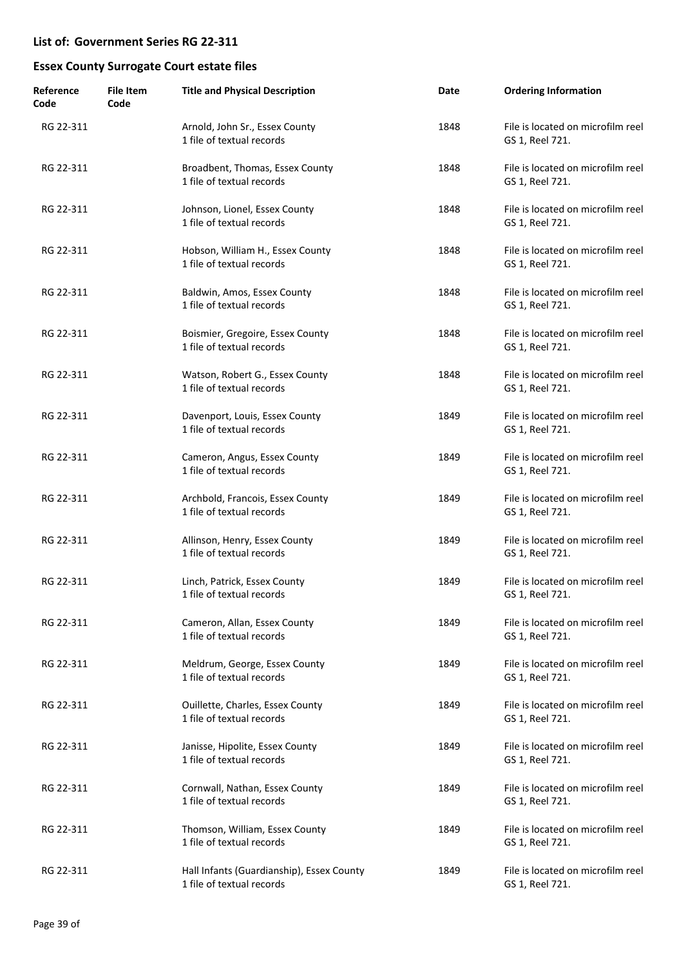| Reference<br>Code | <b>File Item</b><br>Code | <b>Title and Physical Description</b>                                  | Date | <b>Ordering Information</b>                          |
|-------------------|--------------------------|------------------------------------------------------------------------|------|------------------------------------------------------|
| RG 22-311         |                          | Arnold, John Sr., Essex County<br>1 file of textual records            | 1848 | File is located on microfilm reel<br>GS 1, Reel 721. |
| RG 22-311         |                          | Broadbent, Thomas, Essex County<br>1 file of textual records           | 1848 | File is located on microfilm reel<br>GS 1, Reel 721. |
| RG 22-311         |                          | Johnson, Lionel, Essex County<br>1 file of textual records             | 1848 | File is located on microfilm reel<br>GS 1, Reel 721. |
| RG 22-311         |                          | Hobson, William H., Essex County<br>1 file of textual records          | 1848 | File is located on microfilm reel<br>GS 1, Reel 721. |
| RG 22-311         |                          | Baldwin, Amos, Essex County<br>1 file of textual records               | 1848 | File is located on microfilm reel<br>GS 1, Reel 721. |
| RG 22-311         |                          | Boismier, Gregoire, Essex County<br>1 file of textual records          | 1848 | File is located on microfilm reel<br>GS 1, Reel 721. |
| RG 22-311         |                          | Watson, Robert G., Essex County<br>1 file of textual records           | 1848 | File is located on microfilm reel<br>GS 1, Reel 721. |
| RG 22-311         |                          | Davenport, Louis, Essex County<br>1 file of textual records            | 1849 | File is located on microfilm reel<br>GS 1, Reel 721. |
| RG 22-311         |                          | Cameron, Angus, Essex County<br>1 file of textual records              | 1849 | File is located on microfilm reel<br>GS 1, Reel 721. |
| RG 22-311         |                          | Archbold, Francois, Essex County<br>1 file of textual records          | 1849 | File is located on microfilm reel<br>GS 1, Reel 721. |
| RG 22-311         |                          | Allinson, Henry, Essex County<br>1 file of textual records             | 1849 | File is located on microfilm reel<br>GS 1, Reel 721. |
| RG 22-311         |                          | Linch, Patrick, Essex County<br>1 file of textual records              | 1849 | File is located on microfilm reel<br>GS 1, Reel 721. |
| RG 22-311         |                          | Cameron, Allan, Essex County<br>1 file of textual records              | 1849 | File is located on microfilm reel<br>GS 1, Reel 721. |
| RG 22-311         |                          | Meldrum, George, Essex County<br>1 file of textual records             | 1849 | File is located on microfilm reel<br>GS 1, Reel 721. |
| RG 22-311         |                          | Ouillette, Charles, Essex County<br>1 file of textual records          | 1849 | File is located on microfilm reel<br>GS 1, Reel 721. |
| RG 22-311         |                          | Janisse, Hipolite, Essex County<br>1 file of textual records           | 1849 | File is located on microfilm reel<br>GS 1, Reel 721. |
| RG 22-311         |                          | Cornwall, Nathan, Essex County<br>1 file of textual records            | 1849 | File is located on microfilm reel<br>GS 1, Reel 721. |
| RG 22-311         |                          | Thomson, William, Essex County<br>1 file of textual records            | 1849 | File is located on microfilm reel<br>GS 1, Reel 721. |
| RG 22-311         |                          | Hall Infants (Guardianship), Essex County<br>1 file of textual records | 1849 | File is located on microfilm reel<br>GS 1, Reel 721. |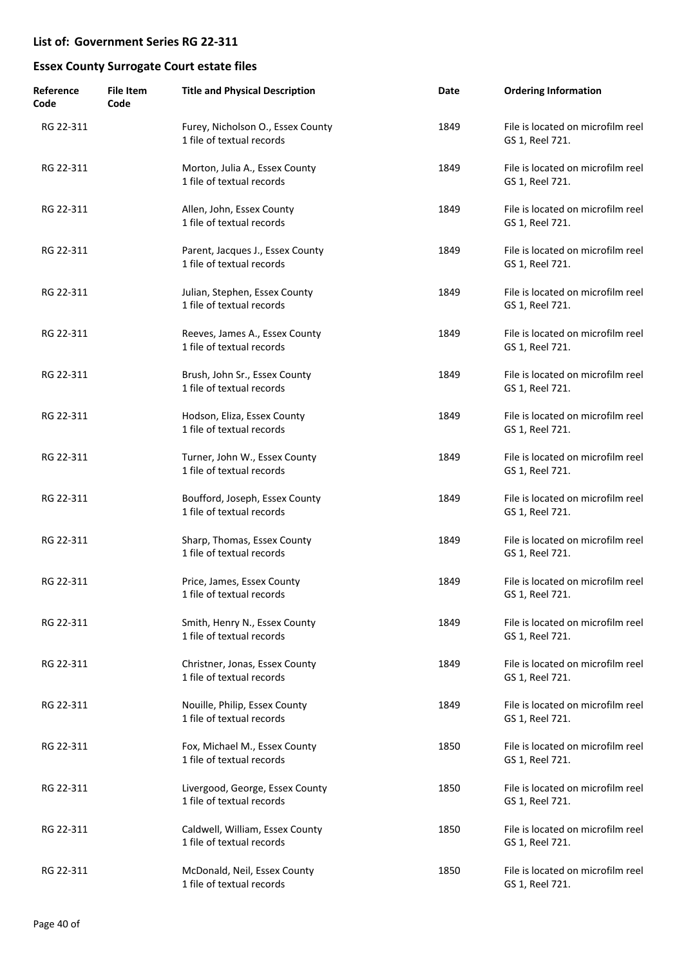| Reference<br>Code | <b>File Item</b><br>Code | <b>Title and Physical Description</b>                          | Date | <b>Ordering Information</b>                          |
|-------------------|--------------------------|----------------------------------------------------------------|------|------------------------------------------------------|
| RG 22-311         |                          | Furey, Nicholson O., Essex County<br>1 file of textual records | 1849 | File is located on microfilm reel<br>GS 1, Reel 721. |
| RG 22-311         |                          | Morton, Julia A., Essex County<br>1 file of textual records    | 1849 | File is located on microfilm reel<br>GS 1, Reel 721. |
| RG 22-311         |                          | Allen, John, Essex County<br>1 file of textual records         | 1849 | File is located on microfilm reel<br>GS 1, Reel 721. |
| RG 22-311         |                          | Parent, Jacques J., Essex County<br>1 file of textual records  | 1849 | File is located on microfilm reel<br>GS 1, Reel 721. |
| RG 22-311         |                          | Julian, Stephen, Essex County<br>1 file of textual records     | 1849 | File is located on microfilm reel<br>GS 1, Reel 721. |
| RG 22-311         |                          | Reeves, James A., Essex County<br>1 file of textual records    | 1849 | File is located on microfilm reel<br>GS 1, Reel 721. |
| RG 22-311         |                          | Brush, John Sr., Essex County<br>1 file of textual records     | 1849 | File is located on microfilm reel<br>GS 1, Reel 721. |
| RG 22-311         |                          | Hodson, Eliza, Essex County<br>1 file of textual records       | 1849 | File is located on microfilm reel<br>GS 1, Reel 721. |
| RG 22-311         |                          | Turner, John W., Essex County<br>1 file of textual records     | 1849 | File is located on microfilm reel<br>GS 1, Reel 721. |
| RG 22-311         |                          | Boufford, Joseph, Essex County<br>1 file of textual records    | 1849 | File is located on microfilm reel<br>GS 1, Reel 721. |
| RG 22-311         |                          | Sharp, Thomas, Essex County<br>1 file of textual records       | 1849 | File is located on microfilm reel<br>GS 1, Reel 721. |
| RG 22-311         |                          | Price, James, Essex County<br>1 file of textual records        | 1849 | File is located on microfilm reel<br>GS 1. Reel 721. |
| RG 22-311         |                          | Smith, Henry N., Essex County<br>1 file of textual records     | 1849 | File is located on microfilm reel<br>GS 1, Reel 721. |
| RG 22-311         |                          | Christner, Jonas, Essex County<br>1 file of textual records    | 1849 | File is located on microfilm reel<br>GS 1, Reel 721. |
| RG 22-311         |                          | Nouille, Philip, Essex County<br>1 file of textual records     | 1849 | File is located on microfilm reel<br>GS 1, Reel 721. |
| RG 22-311         |                          | Fox, Michael M., Essex County<br>1 file of textual records     | 1850 | File is located on microfilm reel<br>GS 1, Reel 721. |
| RG 22-311         |                          | Livergood, George, Essex County<br>1 file of textual records   | 1850 | File is located on microfilm reel<br>GS 1, Reel 721. |
| RG 22-311         |                          | Caldwell, William, Essex County<br>1 file of textual records   | 1850 | File is located on microfilm reel<br>GS 1, Reel 721. |
| RG 22-311         |                          | McDonald, Neil, Essex County<br>1 file of textual records      | 1850 | File is located on microfilm reel<br>GS 1, Reel 721. |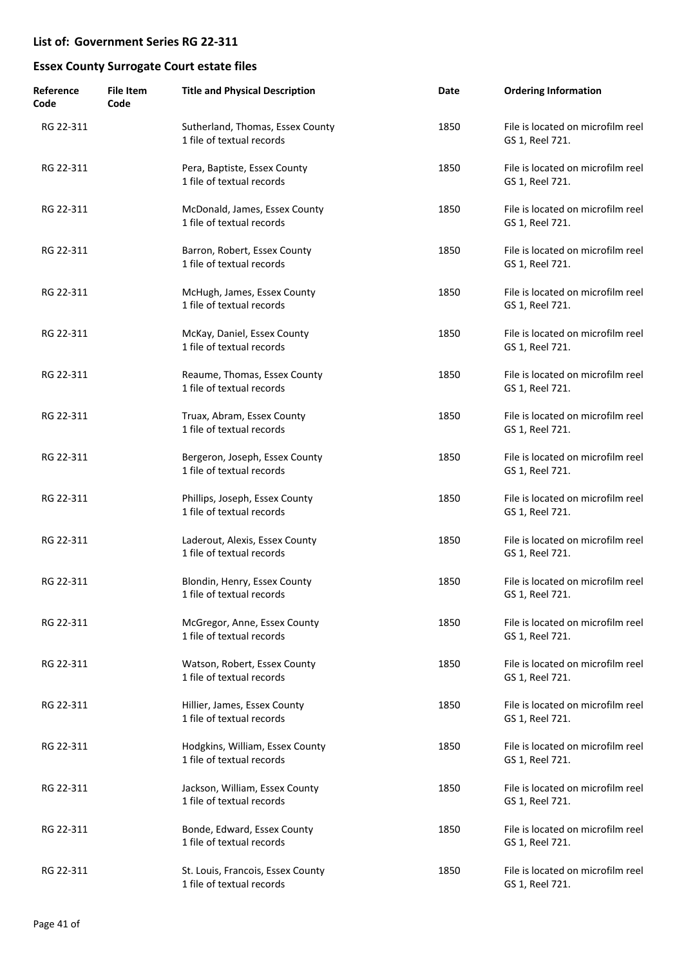| Reference<br>Code | <b>File Item</b><br>Code | <b>Title and Physical Description</b>                          | Date | <b>Ordering Information</b>                          |
|-------------------|--------------------------|----------------------------------------------------------------|------|------------------------------------------------------|
| RG 22-311         |                          | Sutherland, Thomas, Essex County<br>1 file of textual records  | 1850 | File is located on microfilm reel<br>GS 1, Reel 721. |
| RG 22-311         |                          | Pera, Baptiste, Essex County<br>1 file of textual records      | 1850 | File is located on microfilm reel<br>GS 1, Reel 721. |
| RG 22-311         |                          | McDonald, James, Essex County<br>1 file of textual records     | 1850 | File is located on microfilm reel<br>GS 1, Reel 721. |
| RG 22-311         |                          | Barron, Robert, Essex County<br>1 file of textual records      | 1850 | File is located on microfilm reel<br>GS 1, Reel 721. |
| RG 22-311         |                          | McHugh, James, Essex County<br>1 file of textual records       | 1850 | File is located on microfilm reel<br>GS 1, Reel 721. |
| RG 22-311         |                          | McKay, Daniel, Essex County<br>1 file of textual records       | 1850 | File is located on microfilm reel<br>GS 1, Reel 721. |
| RG 22-311         |                          | Reaume, Thomas, Essex County<br>1 file of textual records      | 1850 | File is located on microfilm reel<br>GS 1, Reel 721. |
| RG 22-311         |                          | Truax, Abram, Essex County<br>1 file of textual records        | 1850 | File is located on microfilm reel<br>GS 1, Reel 721. |
| RG 22-311         |                          | Bergeron, Joseph, Essex County<br>1 file of textual records    | 1850 | File is located on microfilm reel<br>GS 1, Reel 721. |
| RG 22-311         |                          | Phillips, Joseph, Essex County<br>1 file of textual records    | 1850 | File is located on microfilm reel<br>GS 1, Reel 721. |
| RG 22-311         |                          | Laderout, Alexis, Essex County<br>1 file of textual records    | 1850 | File is located on microfilm reel<br>GS 1, Reel 721. |
| RG 22-311         |                          | Blondin, Henry, Essex County<br>1 file of textual records      | 1850 | File is located on microfilm reel<br>GS 1. Reel 721. |
| RG 22-311         |                          | McGregor, Anne, Essex County<br>1 file of textual records      | 1850 | File is located on microfilm reel<br>GS 1, Reel 721. |
| RG 22-311         |                          | Watson, Robert, Essex County<br>1 file of textual records      | 1850 | File is located on microfilm reel<br>GS 1, Reel 721. |
| RG 22-311         |                          | Hillier, James, Essex County<br>1 file of textual records      | 1850 | File is located on microfilm reel<br>GS 1, Reel 721. |
| RG 22-311         |                          | Hodgkins, William, Essex County<br>1 file of textual records   | 1850 | File is located on microfilm reel<br>GS 1, Reel 721. |
| RG 22-311         |                          | Jackson, William, Essex County<br>1 file of textual records    | 1850 | File is located on microfilm reel<br>GS 1, Reel 721. |
| RG 22-311         |                          | Bonde, Edward, Essex County<br>1 file of textual records       | 1850 | File is located on microfilm reel<br>GS 1, Reel 721. |
| RG 22-311         |                          | St. Louis, Francois, Essex County<br>1 file of textual records | 1850 | File is located on microfilm reel<br>GS 1, Reel 721. |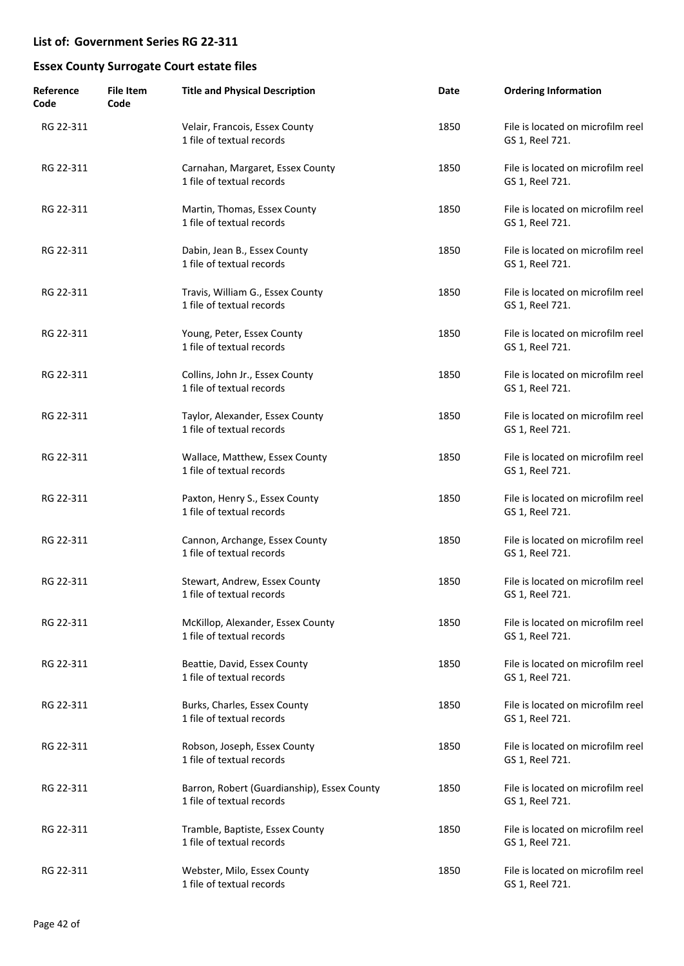| Reference<br>Code | File Item<br>Code | <b>Title and Physical Description</b>                                    | Date | <b>Ordering Information</b>                          |
|-------------------|-------------------|--------------------------------------------------------------------------|------|------------------------------------------------------|
| RG 22-311         |                   | Velair, Francois, Essex County<br>1 file of textual records              | 1850 | File is located on microfilm reel<br>GS 1, Reel 721. |
| RG 22-311         |                   | Carnahan, Margaret, Essex County<br>1 file of textual records            | 1850 | File is located on microfilm reel<br>GS 1, Reel 721. |
| RG 22-311         |                   | Martin, Thomas, Essex County<br>1 file of textual records                | 1850 | File is located on microfilm reel<br>GS 1, Reel 721. |
| RG 22-311         |                   | Dabin, Jean B., Essex County<br>1 file of textual records                | 1850 | File is located on microfilm reel<br>GS 1, Reel 721. |
| RG 22-311         |                   | Travis, William G., Essex County<br>1 file of textual records            | 1850 | File is located on microfilm reel<br>GS 1, Reel 721. |
| RG 22-311         |                   | Young, Peter, Essex County<br>1 file of textual records                  | 1850 | File is located on microfilm reel<br>GS 1, Reel 721. |
| RG 22-311         |                   | Collins, John Jr., Essex County<br>1 file of textual records             | 1850 | File is located on microfilm reel<br>GS 1, Reel 721. |
| RG 22-311         |                   | Taylor, Alexander, Essex County<br>1 file of textual records             | 1850 | File is located on microfilm reel<br>GS 1, Reel 721. |
| RG 22-311         |                   | Wallace, Matthew, Essex County<br>1 file of textual records              | 1850 | File is located on microfilm reel<br>GS 1, Reel 721. |
| RG 22-311         |                   | Paxton, Henry S., Essex County<br>1 file of textual records              | 1850 | File is located on microfilm reel<br>GS 1, Reel 721. |
| RG 22-311         |                   | Cannon, Archange, Essex County<br>1 file of textual records              | 1850 | File is located on microfilm reel<br>GS 1, Reel 721. |
| RG 22-311         |                   | Stewart, Andrew, Essex County<br>1 file of textual records               | 1850 | File is located on microfilm reel<br>GS 1, Reel 721. |
| RG 22-311         |                   | McKillop, Alexander, Essex County<br>1 file of textual records           | 1850 | File is located on microfilm reel<br>GS 1, Reel 721. |
| RG 22-311         |                   | Beattie, David, Essex County<br>1 file of textual records                | 1850 | File is located on microfilm reel<br>GS 1, Reel 721. |
| RG 22-311         |                   | Burks, Charles, Essex County<br>1 file of textual records                | 1850 | File is located on microfilm reel<br>GS 1, Reel 721. |
| RG 22-311         |                   | Robson, Joseph, Essex County<br>1 file of textual records                | 1850 | File is located on microfilm reel<br>GS 1, Reel 721. |
| RG 22-311         |                   | Barron, Robert (Guardianship), Essex County<br>1 file of textual records | 1850 | File is located on microfilm reel<br>GS 1, Reel 721. |
| RG 22-311         |                   | Tramble, Baptiste, Essex County<br>1 file of textual records             | 1850 | File is located on microfilm reel<br>GS 1, Reel 721. |
| RG 22-311         |                   | Webster, Milo, Essex County<br>1 file of textual records                 | 1850 | File is located on microfilm reel<br>GS 1, Reel 721. |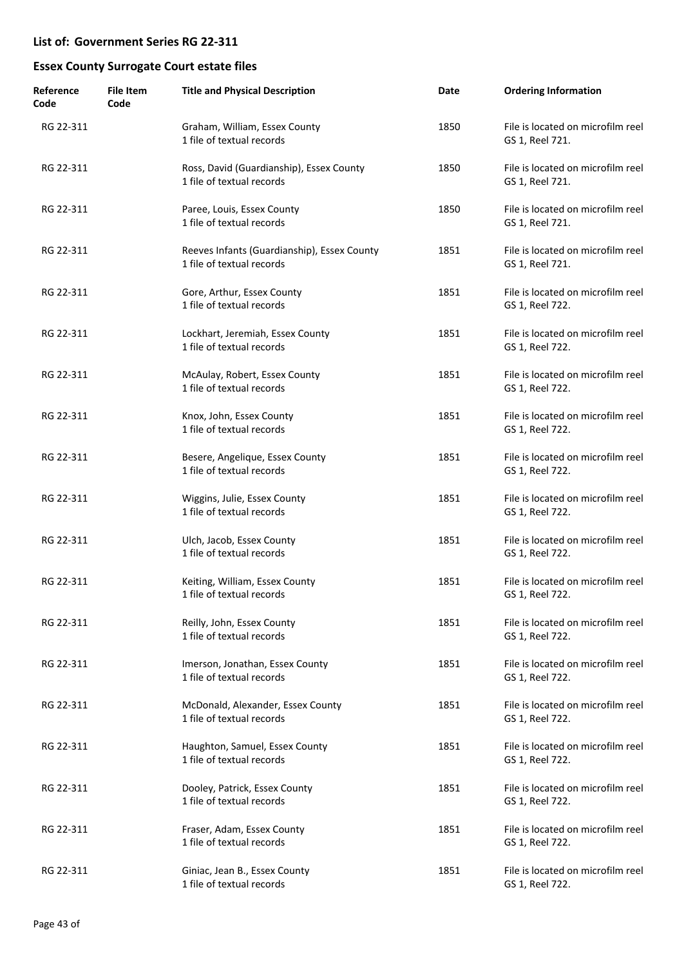| Reference<br>Code | File Item<br>Code | <b>Title and Physical Description</b>                                    | Date | <b>Ordering Information</b>                          |
|-------------------|-------------------|--------------------------------------------------------------------------|------|------------------------------------------------------|
| RG 22-311         |                   | Graham, William, Essex County<br>1 file of textual records               | 1850 | File is located on microfilm reel<br>GS 1, Reel 721. |
| RG 22-311         |                   | Ross, David (Guardianship), Essex County<br>1 file of textual records    | 1850 | File is located on microfilm reel<br>GS 1, Reel 721. |
| RG 22-311         |                   | Paree, Louis, Essex County<br>1 file of textual records                  | 1850 | File is located on microfilm reel<br>GS 1, Reel 721. |
| RG 22-311         |                   | Reeves Infants (Guardianship), Essex County<br>1 file of textual records | 1851 | File is located on microfilm reel<br>GS 1, Reel 721. |
| RG 22-311         |                   | Gore, Arthur, Essex County<br>1 file of textual records                  | 1851 | File is located on microfilm reel<br>GS 1, Reel 722. |
| RG 22-311         |                   | Lockhart, Jeremiah, Essex County<br>1 file of textual records            | 1851 | File is located on microfilm reel<br>GS 1, Reel 722. |
| RG 22-311         |                   | McAulay, Robert, Essex County<br>1 file of textual records               | 1851 | File is located on microfilm reel<br>GS 1, Reel 722. |
| RG 22-311         |                   | Knox, John, Essex County<br>1 file of textual records                    | 1851 | File is located on microfilm reel<br>GS 1, Reel 722. |
| RG 22-311         |                   | Besere, Angelique, Essex County<br>1 file of textual records             | 1851 | File is located on microfilm reel<br>GS 1, Reel 722. |
| RG 22-311         |                   | Wiggins, Julie, Essex County<br>1 file of textual records                | 1851 | File is located on microfilm reel<br>GS 1, Reel 722. |
| RG 22-311         |                   | Ulch, Jacob, Essex County<br>1 file of textual records                   | 1851 | File is located on microfilm reel<br>GS 1, Reel 722. |
| RG 22-311         |                   | Keiting, William, Essex County<br>1 file of textual records              | 1851 | File is located on microfilm reel<br>GS 1, Reel 722. |
| RG 22-311         |                   | Reilly, John, Essex County<br>1 file of textual records                  | 1851 | File is located on microfilm reel<br>GS 1, Reel 722. |
| RG 22-311         |                   | Imerson, Jonathan, Essex County<br>1 file of textual records             | 1851 | File is located on microfilm reel<br>GS 1, Reel 722. |
| RG 22-311         |                   | McDonald, Alexander, Essex County<br>1 file of textual records           | 1851 | File is located on microfilm reel<br>GS 1, Reel 722. |
| RG 22-311         |                   | Haughton, Samuel, Essex County<br>1 file of textual records              | 1851 | File is located on microfilm reel<br>GS 1, Reel 722. |
| RG 22-311         |                   | Dooley, Patrick, Essex County<br>1 file of textual records               | 1851 | File is located on microfilm reel<br>GS 1, Reel 722. |
| RG 22-311         |                   | Fraser, Adam, Essex County<br>1 file of textual records                  | 1851 | File is located on microfilm reel<br>GS 1, Reel 722. |
| RG 22-311         |                   | Giniac, Jean B., Essex County<br>1 file of textual records               | 1851 | File is located on microfilm reel<br>GS 1, Reel 722. |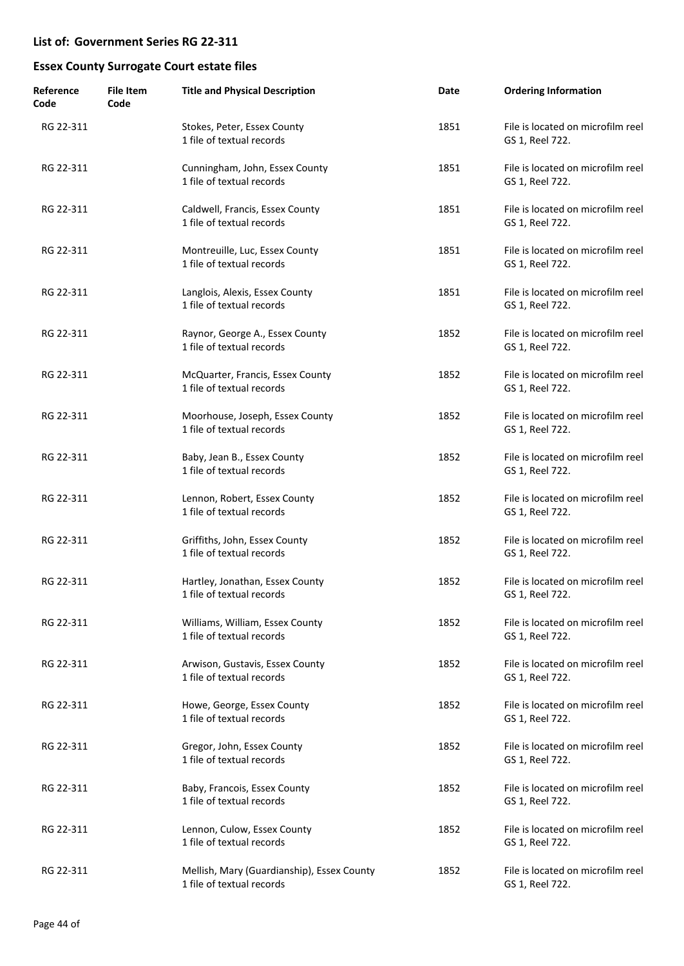| Reference<br>Code | <b>File Item</b><br>Code | <b>Title and Physical Description</b>                                   | Date | <b>Ordering Information</b>                          |
|-------------------|--------------------------|-------------------------------------------------------------------------|------|------------------------------------------------------|
| RG 22-311         |                          | Stokes, Peter, Essex County<br>1 file of textual records                | 1851 | File is located on microfilm reel<br>GS 1, Reel 722. |
| RG 22-311         |                          | Cunningham, John, Essex County<br>1 file of textual records             | 1851 | File is located on microfilm reel<br>GS 1, Reel 722. |
| RG 22-311         |                          | Caldwell, Francis, Essex County<br>1 file of textual records            | 1851 | File is located on microfilm reel<br>GS 1, Reel 722. |
| RG 22-311         |                          | Montreuille, Luc, Essex County<br>1 file of textual records             | 1851 | File is located on microfilm reel<br>GS 1, Reel 722. |
| RG 22-311         |                          | Langlois, Alexis, Essex County<br>1 file of textual records             | 1851 | File is located on microfilm reel<br>GS 1, Reel 722. |
| RG 22-311         |                          | Raynor, George A., Essex County<br>1 file of textual records            | 1852 | File is located on microfilm reel<br>GS 1, Reel 722. |
| RG 22-311         |                          | McQuarter, Francis, Essex County<br>1 file of textual records           | 1852 | File is located on microfilm reel<br>GS 1, Reel 722. |
| RG 22-311         |                          | Moorhouse, Joseph, Essex County<br>1 file of textual records            | 1852 | File is located on microfilm reel<br>GS 1, Reel 722. |
| RG 22-311         |                          | Baby, Jean B., Essex County<br>1 file of textual records                | 1852 | File is located on microfilm reel<br>GS 1, Reel 722. |
| RG 22-311         |                          | Lennon, Robert, Essex County<br>1 file of textual records               | 1852 | File is located on microfilm reel<br>GS 1, Reel 722. |
| RG 22-311         |                          | Griffiths, John, Essex County<br>1 file of textual records              | 1852 | File is located on microfilm reel<br>GS 1, Reel 722. |
| RG 22-311         |                          | Hartley, Jonathan, Essex County<br>1 file of textual records            | 1852 | File is located on microfilm reel<br>GS 1, Reel 722. |
| RG 22-311         |                          | Williams, William, Essex County<br>1 file of textual records            | 1852 | File is located on microfilm reel<br>GS 1, Reel 722. |
| RG 22-311         |                          | Arwison, Gustavis, Essex County<br>1 file of textual records            | 1852 | File is located on microfilm reel<br>GS 1, Reel 722. |
| RG 22-311         |                          | Howe, George, Essex County<br>1 file of textual records                 | 1852 | File is located on microfilm reel<br>GS 1, Reel 722. |
| RG 22-311         |                          | Gregor, John, Essex County<br>1 file of textual records                 | 1852 | File is located on microfilm reel<br>GS 1, Reel 722. |
| RG 22-311         |                          | Baby, Francois, Essex County<br>1 file of textual records               | 1852 | File is located on microfilm reel<br>GS 1, Reel 722. |
| RG 22-311         |                          | Lennon, Culow, Essex County<br>1 file of textual records                | 1852 | File is located on microfilm reel<br>GS 1, Reel 722. |
| RG 22-311         |                          | Mellish, Mary (Guardianship), Essex County<br>1 file of textual records | 1852 | File is located on microfilm reel<br>GS 1, Reel 722. |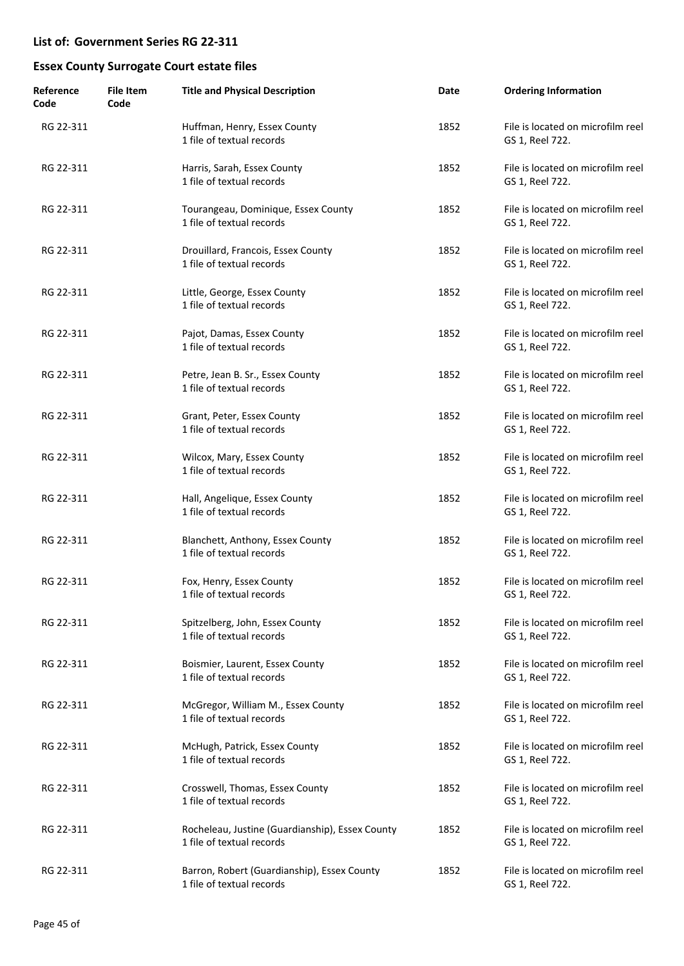| Reference<br>Code | <b>File Item</b><br>Code | <b>Title and Physical Description</b>                                        | Date | <b>Ordering Information</b>                          |
|-------------------|--------------------------|------------------------------------------------------------------------------|------|------------------------------------------------------|
| RG 22-311         |                          | Huffman, Henry, Essex County<br>1 file of textual records                    | 1852 | File is located on microfilm reel<br>GS 1, Reel 722. |
| RG 22-311         |                          | Harris, Sarah, Essex County<br>1 file of textual records                     | 1852 | File is located on microfilm reel<br>GS 1, Reel 722. |
| RG 22-311         |                          | Tourangeau, Dominique, Essex County<br>1 file of textual records             | 1852 | File is located on microfilm reel<br>GS 1, Reel 722. |
| RG 22-311         |                          | Drouillard, Francois, Essex County<br>1 file of textual records              | 1852 | File is located on microfilm reel<br>GS 1, Reel 722. |
| RG 22-311         |                          | Little, George, Essex County<br>1 file of textual records                    | 1852 | File is located on microfilm reel<br>GS 1, Reel 722. |
| RG 22-311         |                          | Pajot, Damas, Essex County<br>1 file of textual records                      | 1852 | File is located on microfilm reel<br>GS 1, Reel 722. |
| RG 22-311         |                          | Petre, Jean B. Sr., Essex County<br>1 file of textual records                | 1852 | File is located on microfilm reel<br>GS 1, Reel 722. |
| RG 22-311         |                          | Grant, Peter, Essex County<br>1 file of textual records                      | 1852 | File is located on microfilm reel<br>GS 1, Reel 722. |
| RG 22-311         |                          | Wilcox, Mary, Essex County<br>1 file of textual records                      | 1852 | File is located on microfilm reel<br>GS 1, Reel 722. |
| RG 22-311         |                          | Hall, Angelique, Essex County<br>1 file of textual records                   | 1852 | File is located on microfilm reel<br>GS 1, Reel 722. |
| RG 22-311         |                          | Blanchett, Anthony, Essex County<br>1 file of textual records                | 1852 | File is located on microfilm reel<br>GS 1, Reel 722. |
| RG 22-311         |                          | Fox, Henry, Essex County<br>1 file of textual records                        | 1852 | File is located on microfilm reel<br>GS 1, Reel 722. |
| RG 22-311         |                          | Spitzelberg, John, Essex County<br>1 file of textual records                 | 1852 | File is located on microfilm reel<br>GS 1, Reel 722. |
| RG 22-311         |                          | Boismier, Laurent, Essex County<br>1 file of textual records                 | 1852 | File is located on microfilm reel<br>GS 1, Reel 722. |
| RG 22-311         |                          | McGregor, William M., Essex County<br>1 file of textual records              | 1852 | File is located on microfilm reel<br>GS 1, Reel 722. |
| RG 22-311         |                          | McHugh, Patrick, Essex County<br>1 file of textual records                   | 1852 | File is located on microfilm reel<br>GS 1, Reel 722. |
| RG 22-311         |                          | Crosswell, Thomas, Essex County<br>1 file of textual records                 | 1852 | File is located on microfilm reel<br>GS 1, Reel 722. |
| RG 22-311         |                          | Rocheleau, Justine (Guardianship), Essex County<br>1 file of textual records | 1852 | File is located on microfilm reel<br>GS 1, Reel 722. |
| RG 22-311         |                          | Barron, Robert (Guardianship), Essex County<br>1 file of textual records     | 1852 | File is located on microfilm reel<br>GS 1, Reel 722. |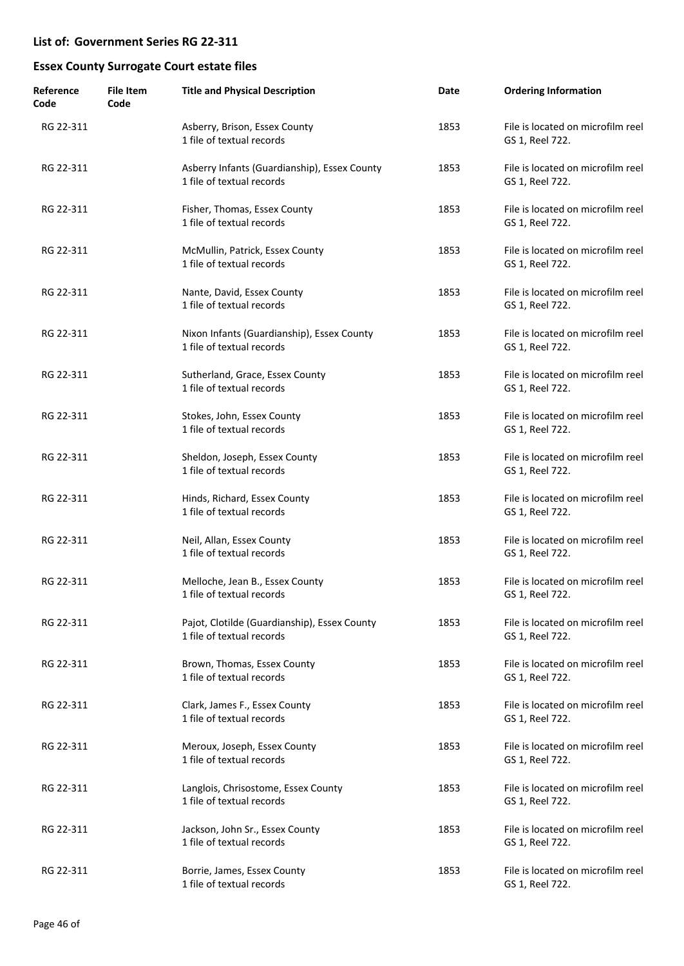| Reference<br>Code | <b>File Item</b><br>Code | <b>Title and Physical Description</b>                                     | Date | <b>Ordering Information</b>                          |
|-------------------|--------------------------|---------------------------------------------------------------------------|------|------------------------------------------------------|
| RG 22-311         |                          | Asberry, Brison, Essex County<br>1 file of textual records                | 1853 | File is located on microfilm reel<br>GS 1, Reel 722. |
| RG 22-311         |                          | Asberry Infants (Guardianship), Essex County<br>1 file of textual records | 1853 | File is located on microfilm reel<br>GS 1, Reel 722. |
| RG 22-311         |                          | Fisher, Thomas, Essex County<br>1 file of textual records                 | 1853 | File is located on microfilm reel<br>GS 1, Reel 722. |
| RG 22-311         |                          | McMullin, Patrick, Essex County<br>1 file of textual records              | 1853 | File is located on microfilm reel<br>GS 1, Reel 722. |
| RG 22-311         |                          | Nante, David, Essex County<br>1 file of textual records                   | 1853 | File is located on microfilm reel<br>GS 1, Reel 722. |
| RG 22-311         |                          | Nixon Infants (Guardianship), Essex County<br>1 file of textual records   | 1853 | File is located on microfilm reel<br>GS 1, Reel 722. |
| RG 22-311         |                          | Sutherland, Grace, Essex County<br>1 file of textual records              | 1853 | File is located on microfilm reel<br>GS 1, Reel 722. |
| RG 22-311         |                          | Stokes, John, Essex County<br>1 file of textual records                   | 1853 | File is located on microfilm reel<br>GS 1, Reel 722. |
| RG 22-311         |                          | Sheldon, Joseph, Essex County<br>1 file of textual records                | 1853 | File is located on microfilm reel<br>GS 1, Reel 722. |
| RG 22-311         |                          | Hinds, Richard, Essex County<br>1 file of textual records                 | 1853 | File is located on microfilm reel<br>GS 1, Reel 722. |
| RG 22-311         |                          | Neil, Allan, Essex County<br>1 file of textual records                    | 1853 | File is located on microfilm reel<br>GS 1, Reel 722. |
| RG 22-311         |                          | Melloche, Jean B., Essex County<br>1 file of textual records              | 1853 | File is located on microfilm reel<br>GS 1, Reel 722. |
| RG 22-311         |                          | Pajot, Clotilde (Guardianship), Essex County<br>1 file of textual records | 1853 | File is located on microfilm reel<br>GS 1, Reel 722. |
| RG 22-311         |                          | Brown, Thomas, Essex County<br>1 file of textual records                  | 1853 | File is located on microfilm reel<br>GS 1, Reel 722. |
| RG 22-311         |                          | Clark, James F., Essex County<br>1 file of textual records                | 1853 | File is located on microfilm reel<br>GS 1, Reel 722. |
| RG 22-311         |                          | Meroux, Joseph, Essex County<br>1 file of textual records                 | 1853 | File is located on microfilm reel<br>GS 1, Reel 722. |
| RG 22-311         |                          | Langlois, Chrisostome, Essex County<br>1 file of textual records          | 1853 | File is located on microfilm reel<br>GS 1, Reel 722. |
| RG 22-311         |                          | Jackson, John Sr., Essex County<br>1 file of textual records              | 1853 | File is located on microfilm reel<br>GS 1, Reel 722. |
| RG 22-311         |                          | Borrie, James, Essex County<br>1 file of textual records                  | 1853 | File is located on microfilm reel<br>GS 1, Reel 722. |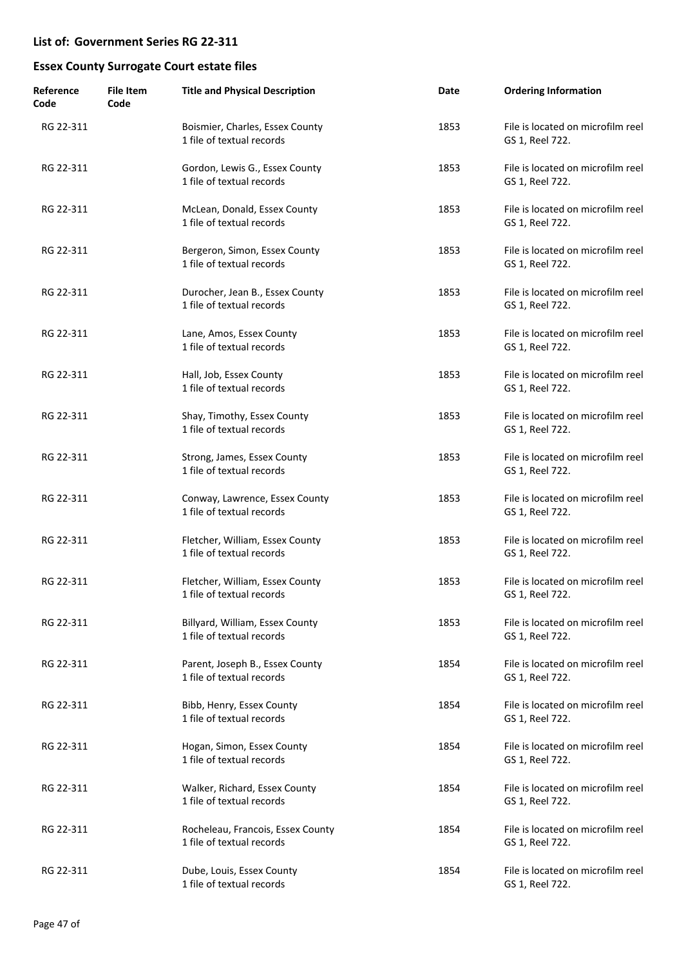| Reference<br>Code | <b>File Item</b><br>Code | <b>Title and Physical Description</b>                          | Date | <b>Ordering Information</b>                          |
|-------------------|--------------------------|----------------------------------------------------------------|------|------------------------------------------------------|
| RG 22-311         |                          | Boismier, Charles, Essex County<br>1 file of textual records   | 1853 | File is located on microfilm reel<br>GS 1, Reel 722. |
| RG 22-311         |                          | Gordon, Lewis G., Essex County<br>1 file of textual records    | 1853 | File is located on microfilm reel<br>GS 1, Reel 722. |
| RG 22-311         |                          | McLean, Donald, Essex County<br>1 file of textual records      | 1853 | File is located on microfilm reel<br>GS 1, Reel 722. |
| RG 22-311         |                          | Bergeron, Simon, Essex County<br>1 file of textual records     | 1853 | File is located on microfilm reel<br>GS 1, Reel 722. |
| RG 22-311         |                          | Durocher, Jean B., Essex County<br>1 file of textual records   | 1853 | File is located on microfilm reel<br>GS 1, Reel 722. |
| RG 22-311         |                          | Lane, Amos, Essex County<br>1 file of textual records          | 1853 | File is located on microfilm reel<br>GS 1, Reel 722. |
| RG 22-311         |                          | Hall, Job, Essex County<br>1 file of textual records           | 1853 | File is located on microfilm reel<br>GS 1, Reel 722. |
| RG 22-311         |                          | Shay, Timothy, Essex County<br>1 file of textual records       | 1853 | File is located on microfilm reel<br>GS 1, Reel 722. |
| RG 22-311         |                          | Strong, James, Essex County<br>1 file of textual records       | 1853 | File is located on microfilm reel<br>GS 1, Reel 722. |
| RG 22-311         |                          | Conway, Lawrence, Essex County<br>1 file of textual records    | 1853 | File is located on microfilm reel<br>GS 1, Reel 722. |
| RG 22-311         |                          | Fletcher, William, Essex County<br>1 file of textual records   | 1853 | File is located on microfilm reel<br>GS 1, Reel 722. |
| RG 22-311         |                          | Fletcher, William, Essex County<br>1 file of textual records   | 1853 | File is located on microfilm reel<br>GS 1, Reel 722. |
| RG 22-311         |                          | Billyard, William, Essex County<br>1 file of textual records   | 1853 | File is located on microfilm reel<br>GS 1, Reel 722. |
| RG 22-311         |                          | Parent, Joseph B., Essex County<br>1 file of textual records   | 1854 | File is located on microfilm reel<br>GS 1, Reel 722. |
| RG 22-311         |                          | Bibb, Henry, Essex County<br>1 file of textual records         | 1854 | File is located on microfilm reel<br>GS 1, Reel 722. |
| RG 22-311         |                          | Hogan, Simon, Essex County<br>1 file of textual records        | 1854 | File is located on microfilm reel<br>GS 1, Reel 722. |
| RG 22-311         |                          | Walker, Richard, Essex County<br>1 file of textual records     | 1854 | File is located on microfilm reel<br>GS 1, Reel 722. |
| RG 22-311         |                          | Rocheleau, Francois, Essex County<br>1 file of textual records | 1854 | File is located on microfilm reel<br>GS 1, Reel 722. |
| RG 22-311         |                          | Dube, Louis, Essex County<br>1 file of textual records         | 1854 | File is located on microfilm reel<br>GS 1, Reel 722. |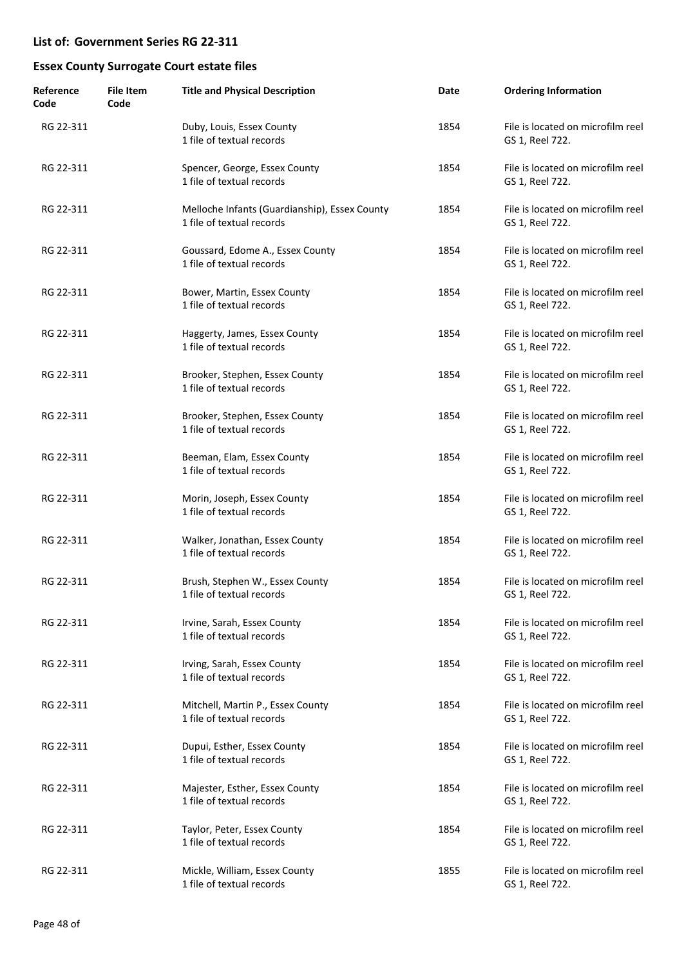| Reference<br>Code | <b>File Item</b><br>Code | <b>Title and Physical Description</b>                                      | Date | <b>Ordering Information</b>                          |
|-------------------|--------------------------|----------------------------------------------------------------------------|------|------------------------------------------------------|
| RG 22-311         |                          | Duby, Louis, Essex County<br>1 file of textual records                     | 1854 | File is located on microfilm reel<br>GS 1, Reel 722. |
| RG 22-311         |                          | Spencer, George, Essex County<br>1 file of textual records                 | 1854 | File is located on microfilm reel<br>GS 1, Reel 722. |
| RG 22-311         |                          | Melloche Infants (Guardianship), Essex County<br>1 file of textual records | 1854 | File is located on microfilm reel<br>GS 1, Reel 722. |
| RG 22-311         |                          | Goussard, Edome A., Essex County<br>1 file of textual records              | 1854 | File is located on microfilm reel<br>GS 1, Reel 722. |
| RG 22-311         |                          | Bower, Martin, Essex County<br>1 file of textual records                   | 1854 | File is located on microfilm reel<br>GS 1, Reel 722. |
| RG 22-311         |                          | Haggerty, James, Essex County<br>1 file of textual records                 | 1854 | File is located on microfilm reel<br>GS 1, Reel 722. |
| RG 22-311         |                          | Brooker, Stephen, Essex County<br>1 file of textual records                | 1854 | File is located on microfilm reel<br>GS 1, Reel 722. |
| RG 22-311         |                          | Brooker, Stephen, Essex County<br>1 file of textual records                | 1854 | File is located on microfilm reel<br>GS 1, Reel 722. |
| RG 22-311         |                          | Beeman, Elam, Essex County<br>1 file of textual records                    | 1854 | File is located on microfilm reel<br>GS 1, Reel 722. |
| RG 22-311         |                          | Morin, Joseph, Essex County<br>1 file of textual records                   | 1854 | File is located on microfilm reel<br>GS 1, Reel 722. |
| RG 22-311         |                          | Walker, Jonathan, Essex County<br>1 file of textual records                | 1854 | File is located on microfilm reel<br>GS 1, Reel 722. |
| RG 22-311         |                          | Brush, Stephen W., Essex County<br>1 file of textual records               | 1854 | File is located on microfilm reel<br>GS 1, Reel 722. |
| RG 22-311         |                          | Irvine, Sarah, Essex County<br>1 file of textual records                   | 1854 | File is located on microfilm reel<br>GS 1, Reel 722. |
| RG 22-311         |                          | Irving, Sarah, Essex County<br>1 file of textual records                   | 1854 | File is located on microfilm reel<br>GS 1, Reel 722. |
| RG 22-311         |                          | Mitchell, Martin P., Essex County<br>1 file of textual records             | 1854 | File is located on microfilm reel<br>GS 1, Reel 722. |
| RG 22-311         |                          | Dupui, Esther, Essex County<br>1 file of textual records                   | 1854 | File is located on microfilm reel<br>GS 1, Reel 722. |
| RG 22-311         |                          | Majester, Esther, Essex County<br>1 file of textual records                | 1854 | File is located on microfilm reel<br>GS 1, Reel 722. |
| RG 22-311         |                          | Taylor, Peter, Essex County<br>1 file of textual records                   | 1854 | File is located on microfilm reel<br>GS 1, Reel 722. |
| RG 22-311         |                          | Mickle, William, Essex County<br>1 file of textual records                 | 1855 | File is located on microfilm reel<br>GS 1, Reel 722. |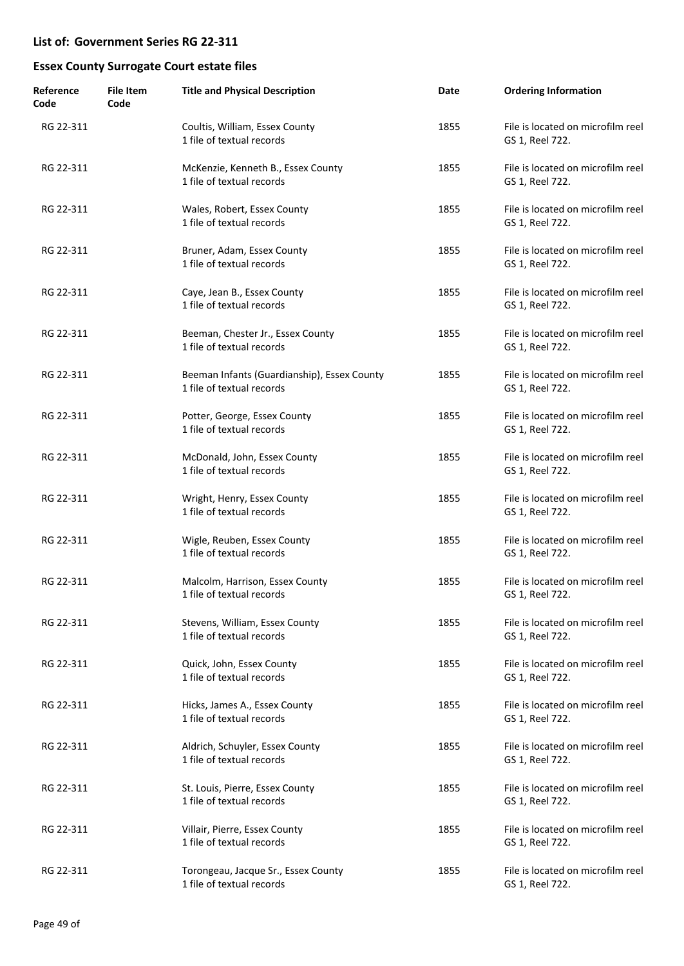| Reference<br>Code | <b>File Item</b><br>Code | <b>Title and Physical Description</b>                                    | Date | <b>Ordering Information</b>                          |
|-------------------|--------------------------|--------------------------------------------------------------------------|------|------------------------------------------------------|
| RG 22-311         |                          | Coultis, William, Essex County<br>1 file of textual records              | 1855 | File is located on microfilm reel<br>GS 1, Reel 722. |
| RG 22-311         |                          | McKenzie, Kenneth B., Essex County<br>1 file of textual records          | 1855 | File is located on microfilm reel<br>GS 1, Reel 722. |
| RG 22-311         |                          | Wales, Robert, Essex County<br>1 file of textual records                 | 1855 | File is located on microfilm reel<br>GS 1, Reel 722. |
| RG 22-311         |                          | Bruner, Adam, Essex County<br>1 file of textual records                  | 1855 | File is located on microfilm reel<br>GS 1, Reel 722. |
| RG 22-311         |                          | Caye, Jean B., Essex County<br>1 file of textual records                 | 1855 | File is located on microfilm reel<br>GS 1, Reel 722. |
| RG 22-311         |                          | Beeman, Chester Jr., Essex County<br>1 file of textual records           | 1855 | File is located on microfilm reel<br>GS 1, Reel 722. |
| RG 22-311         |                          | Beeman Infants (Guardianship), Essex County<br>1 file of textual records | 1855 | File is located on microfilm reel<br>GS 1, Reel 722. |
| RG 22-311         |                          | Potter, George, Essex County<br>1 file of textual records                | 1855 | File is located on microfilm reel<br>GS 1, Reel 722. |
| RG 22-311         |                          | McDonald, John, Essex County<br>1 file of textual records                | 1855 | File is located on microfilm reel<br>GS 1, Reel 722. |
| RG 22-311         |                          | Wright, Henry, Essex County<br>1 file of textual records                 | 1855 | File is located on microfilm reel<br>GS 1, Reel 722. |
| RG 22-311         |                          | Wigle, Reuben, Essex County<br>1 file of textual records                 | 1855 | File is located on microfilm reel<br>GS 1, Reel 722. |
| RG 22-311         |                          | Malcolm, Harrison, Essex County<br>1 file of textual records             | 1855 | File is located on microfilm reel<br>GS 1, Reel 722. |
| RG 22-311         |                          | Stevens, William, Essex County<br>1 file of textual records              | 1855 | File is located on microfilm reel<br>GS 1, Reel 722. |
| RG 22-311         |                          | Quick, John, Essex County<br>1 file of textual records                   | 1855 | File is located on microfilm reel<br>GS 1, Reel 722. |
| RG 22-311         |                          | Hicks, James A., Essex County<br>1 file of textual records               | 1855 | File is located on microfilm reel<br>GS 1, Reel 722. |
| RG 22-311         |                          | Aldrich, Schuyler, Essex County<br>1 file of textual records             | 1855 | File is located on microfilm reel<br>GS 1, Reel 722. |
| RG 22-311         |                          | St. Louis, Pierre, Essex County<br>1 file of textual records             | 1855 | File is located on microfilm reel<br>GS 1, Reel 722. |
| RG 22-311         |                          | Villair, Pierre, Essex County<br>1 file of textual records               | 1855 | File is located on microfilm reel<br>GS 1, Reel 722. |
| RG 22-311         |                          | Torongeau, Jacque Sr., Essex County<br>1 file of textual records         | 1855 | File is located on microfilm reel<br>GS 1, Reel 722. |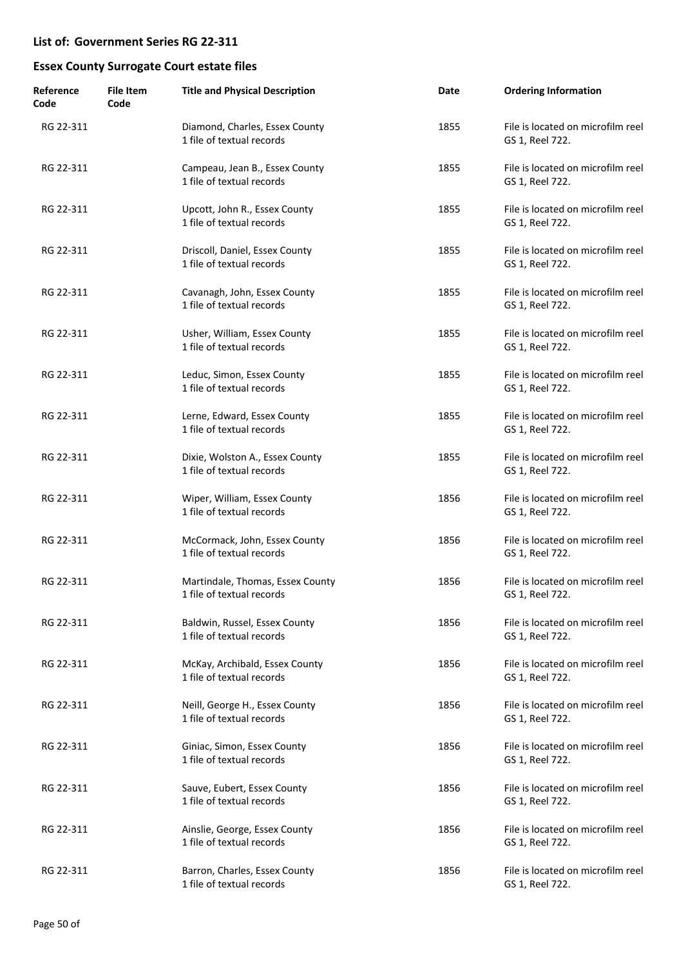| Reference<br>Code | <b>File Item</b><br>Code | <b>Title and Physical Description</b>                         | Date | <b>Ordering Information</b>                          |
|-------------------|--------------------------|---------------------------------------------------------------|------|------------------------------------------------------|
| RG 22-311         |                          | Diamond, Charles, Essex County<br>1 file of textual records   | 1855 | File is located on microfilm reel<br>GS 1, Reel 722. |
| RG 22-311         |                          | Campeau, Jean B., Essex County<br>1 file of textual records   | 1855 | File is located on microfilm reel<br>GS 1, Reel 722. |
| RG 22-311         |                          | Upcott, John R., Essex County<br>1 file of textual records    | 1855 | File is located on microfilm reel<br>GS 1, Reel 722. |
| RG 22-311         |                          | Driscoll, Daniel, Essex County<br>1 file of textual records   | 1855 | File is located on microfilm reel<br>GS 1, Reel 722. |
| RG 22-311         |                          | Cavanagh, John, Essex County<br>1 file of textual records     | 1855 | File is located on microfilm reel<br>GS 1, Reel 722. |
| RG 22-311         |                          | Usher, William, Essex County<br>1 file of textual records     | 1855 | File is located on microfilm reel<br>GS 1, Reel 722. |
| RG 22-311         |                          | Leduc, Simon, Essex County<br>1 file of textual records       | 1855 | File is located on microfilm reel<br>GS 1, Reel 722. |
| RG 22-311         |                          | Lerne, Edward, Essex County<br>1 file of textual records      | 1855 | File is located on microfilm reel<br>GS 1, Reel 722. |
| RG 22-311         |                          | Dixie, Wolston A., Essex County<br>1 file of textual records  | 1855 | File is located on microfilm reel<br>GS 1, Reel 722. |
| RG 22-311         |                          | Wiper, William, Essex County<br>1 file of textual records     | 1856 | File is located on microfilm reel<br>GS 1, Reel 722. |
| RG 22-311         |                          | McCormack, John, Essex County<br>1 file of textual records    | 1856 | File is located on microfilm reel<br>GS 1, Reel 722. |
| RG 22-311         |                          | Martindale, Thomas, Essex County<br>1 file of textual records | 1856 | File is located on microfilm reel<br>GS 1, Reel 722. |
| RG 22-311         |                          | Baldwin, Russel, Essex County<br>1 file of textual records    | 1856 | File is located on microfilm reel<br>GS 1, Reel 722. |
| RG 22-311         |                          | McKay, Archibald, Essex County<br>1 file of textual records   | 1856 | File is located on microfilm reel<br>GS 1, Reel 722. |
| RG 22-311         |                          | Neill, George H., Essex County<br>1 file of textual records   | 1856 | File is located on microfilm reel<br>GS 1, Reel 722. |
| RG 22-311         |                          | Giniac, Simon, Essex County<br>1 file of textual records      | 1856 | File is located on microfilm reel<br>GS 1, Reel 722. |
| RG 22-311         |                          | Sauve, Eubert, Essex County<br>1 file of textual records      | 1856 | File is located on microfilm reel<br>GS 1, Reel 722. |
| RG 22-311         |                          | Ainslie, George, Essex County<br>1 file of textual records    | 1856 | File is located on microfilm reel<br>GS 1, Reel 722. |
| RG 22-311         |                          | Barron, Charles, Essex County<br>1 file of textual records    | 1856 | File is located on microfilm reel<br>GS 1, Reel 722. |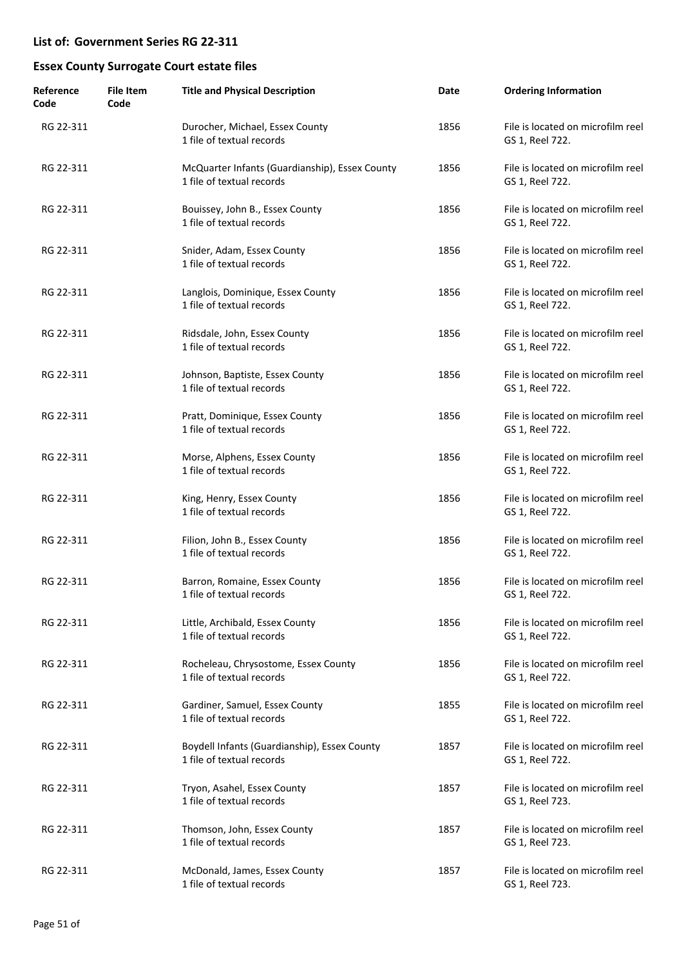| Reference<br>Code | <b>File Item</b><br>Code | <b>Title and Physical Description</b>                                       | Date | <b>Ordering Information</b>                          |
|-------------------|--------------------------|-----------------------------------------------------------------------------|------|------------------------------------------------------|
| RG 22-311         |                          | Durocher, Michael, Essex County<br>1 file of textual records                | 1856 | File is located on microfilm reel<br>GS 1, Reel 722. |
| RG 22-311         |                          | McQuarter Infants (Guardianship), Essex County<br>1 file of textual records | 1856 | File is located on microfilm reel<br>GS 1, Reel 722. |
| RG 22-311         |                          | Bouissey, John B., Essex County<br>1 file of textual records                | 1856 | File is located on microfilm reel<br>GS 1, Reel 722. |
| RG 22-311         |                          | Snider, Adam, Essex County<br>1 file of textual records                     | 1856 | File is located on microfilm reel<br>GS 1, Reel 722. |
| RG 22-311         |                          | Langlois, Dominique, Essex County<br>1 file of textual records              | 1856 | File is located on microfilm reel<br>GS 1, Reel 722. |
| RG 22-311         |                          | Ridsdale, John, Essex County<br>1 file of textual records                   | 1856 | File is located on microfilm reel<br>GS 1, Reel 722. |
| RG 22-311         |                          | Johnson, Baptiste, Essex County<br>1 file of textual records                | 1856 | File is located on microfilm reel<br>GS 1, Reel 722. |
| RG 22-311         |                          | Pratt, Dominique, Essex County<br>1 file of textual records                 | 1856 | File is located on microfilm reel<br>GS 1, Reel 722. |
| RG 22-311         |                          | Morse, Alphens, Essex County<br>1 file of textual records                   | 1856 | File is located on microfilm reel<br>GS 1, Reel 722. |
| RG 22-311         |                          | King, Henry, Essex County<br>1 file of textual records                      | 1856 | File is located on microfilm reel<br>GS 1, Reel 722. |
| RG 22-311         |                          | Filion, John B., Essex County<br>1 file of textual records                  | 1856 | File is located on microfilm reel<br>GS 1, Reel 722. |
| RG 22-311         |                          | Barron, Romaine, Essex County<br>1 file of textual records                  | 1856 | File is located on microfilm reel<br>GS 1, Reel 722. |
| RG 22-311         |                          | Little, Archibald, Essex County<br>1 file of textual records                | 1856 | File is located on microfilm reel<br>GS 1, Reel 722. |
| RG 22-311         |                          | Rocheleau, Chrysostome, Essex County<br>1 file of textual records           | 1856 | File is located on microfilm reel<br>GS 1, Reel 722. |
| RG 22-311         |                          | Gardiner, Samuel, Essex County<br>1 file of textual records                 | 1855 | File is located on microfilm reel<br>GS 1, Reel 722. |
| RG 22-311         |                          | Boydell Infants (Guardianship), Essex County<br>1 file of textual records   | 1857 | File is located on microfilm reel<br>GS 1, Reel 722. |
| RG 22-311         |                          | Tryon, Asahel, Essex County<br>1 file of textual records                    | 1857 | File is located on microfilm reel<br>GS 1, Reel 723. |
| RG 22-311         |                          | Thomson, John, Essex County<br>1 file of textual records                    | 1857 | File is located on microfilm reel<br>GS 1, Reel 723. |
| RG 22-311         |                          | McDonald, James, Essex County<br>1 file of textual records                  | 1857 | File is located on microfilm reel<br>GS 1, Reel 723. |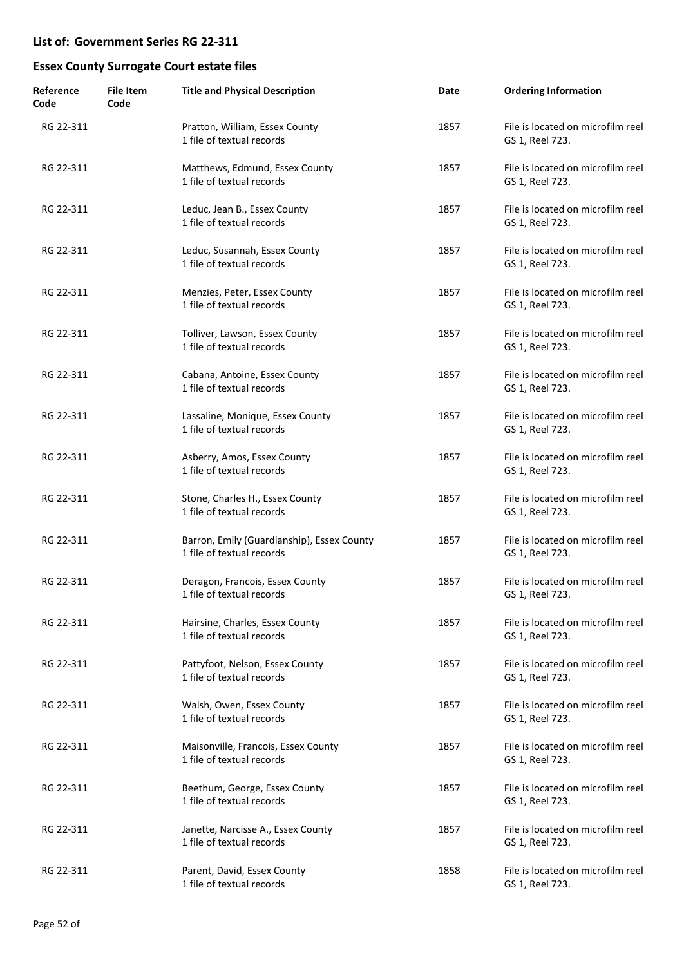| Reference<br>Code | <b>File Item</b><br>Code | <b>Title and Physical Description</b>                                   | Date | <b>Ordering Information</b>                          |
|-------------------|--------------------------|-------------------------------------------------------------------------|------|------------------------------------------------------|
| RG 22-311         |                          | Pratton, William, Essex County<br>1 file of textual records             | 1857 | File is located on microfilm reel<br>GS 1, Reel 723. |
| RG 22-311         |                          | Matthews, Edmund, Essex County<br>1 file of textual records             | 1857 | File is located on microfilm reel<br>GS 1, Reel 723. |
| RG 22-311         |                          | Leduc, Jean B., Essex County<br>1 file of textual records               | 1857 | File is located on microfilm reel<br>GS 1, Reel 723. |
| RG 22-311         |                          | Leduc, Susannah, Essex County<br>1 file of textual records              | 1857 | File is located on microfilm reel<br>GS 1, Reel 723. |
| RG 22-311         |                          | Menzies, Peter, Essex County<br>1 file of textual records               | 1857 | File is located on microfilm reel<br>GS 1, Reel 723. |
| RG 22-311         |                          | Tolliver, Lawson, Essex County<br>1 file of textual records             | 1857 | File is located on microfilm reel<br>GS 1, Reel 723. |
| RG 22-311         |                          | Cabana, Antoine, Essex County<br>1 file of textual records              | 1857 | File is located on microfilm reel<br>GS 1, Reel 723. |
| RG 22-311         |                          | Lassaline, Monique, Essex County<br>1 file of textual records           | 1857 | File is located on microfilm reel<br>GS 1, Reel 723. |
| RG 22-311         |                          | Asberry, Amos, Essex County<br>1 file of textual records                | 1857 | File is located on microfilm reel<br>GS 1, Reel 723. |
| RG 22-311         |                          | Stone, Charles H., Essex County<br>1 file of textual records            | 1857 | File is located on microfilm reel<br>GS 1, Reel 723. |
| RG 22-311         |                          | Barron, Emily (Guardianship), Essex County<br>1 file of textual records | 1857 | File is located on microfilm reel<br>GS 1, Reel 723. |
| RG 22-311         |                          | Deragon, Francois, Essex County<br>1 file of textual records            | 1857 | File is located on microfilm reel<br>GS 1, Reel 723. |
| RG 22-311         |                          | Hairsine, Charles, Essex County<br>1 file of textual records            | 1857 | File is located on microfilm reel<br>GS 1, Reel 723. |
| RG 22-311         |                          | Pattyfoot, Nelson, Essex County<br>1 file of textual records            | 1857 | File is located on microfilm reel<br>GS 1, Reel 723. |
| RG 22-311         |                          | Walsh, Owen, Essex County<br>1 file of textual records                  | 1857 | File is located on microfilm reel<br>GS 1, Reel 723. |
| RG 22-311         |                          | Maisonville, Francois, Essex County<br>1 file of textual records        | 1857 | File is located on microfilm reel<br>GS 1, Reel 723. |
| RG 22-311         |                          | Beethum, George, Essex County<br>1 file of textual records              | 1857 | File is located on microfilm reel<br>GS 1, Reel 723. |
| RG 22-311         |                          | Janette, Narcisse A., Essex County<br>1 file of textual records         | 1857 | File is located on microfilm reel<br>GS 1, Reel 723. |
| RG 22-311         |                          | Parent, David, Essex County<br>1 file of textual records                | 1858 | File is located on microfilm reel<br>GS 1, Reel 723. |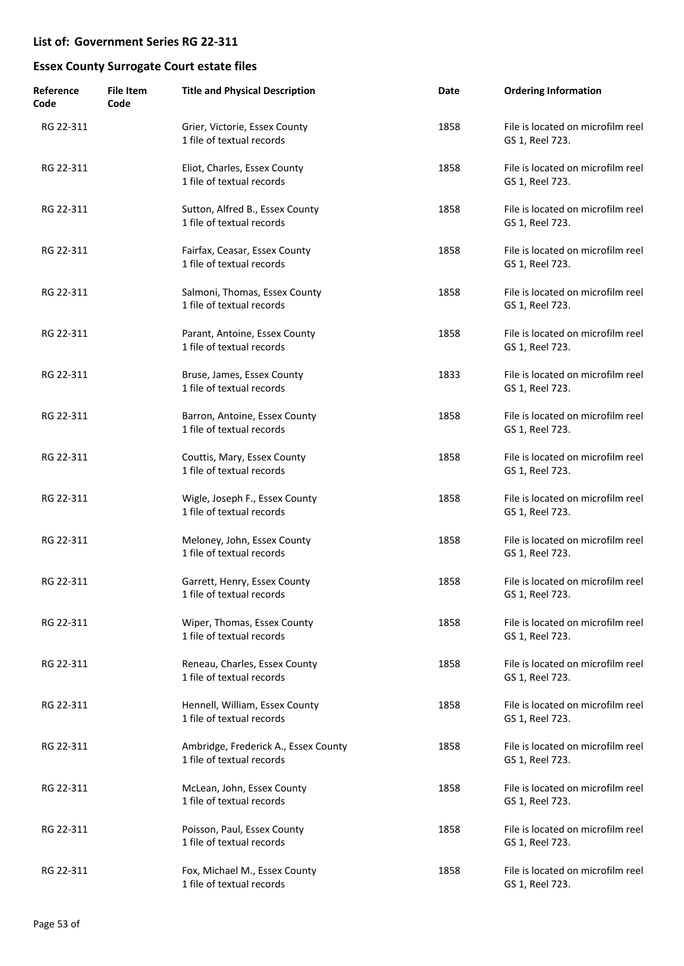| Reference<br>Code | <b>File Item</b><br>Code | <b>Title and Physical Description</b>                             | Date | <b>Ordering Information</b>                          |
|-------------------|--------------------------|-------------------------------------------------------------------|------|------------------------------------------------------|
| RG 22-311         |                          | Grier, Victorie, Essex County<br>1 file of textual records        | 1858 | File is located on microfilm reel<br>GS 1, Reel 723. |
| RG 22-311         |                          | Eliot, Charles, Essex County<br>1 file of textual records         | 1858 | File is located on microfilm reel<br>GS 1, Reel 723. |
| RG 22-311         |                          | Sutton, Alfred B., Essex County<br>1 file of textual records      | 1858 | File is located on microfilm reel<br>GS 1, Reel 723. |
| RG 22-311         |                          | Fairfax, Ceasar, Essex County<br>1 file of textual records        | 1858 | File is located on microfilm reel<br>GS 1, Reel 723. |
| RG 22-311         |                          | Salmoni, Thomas, Essex County<br>1 file of textual records        | 1858 | File is located on microfilm reel<br>GS 1, Reel 723. |
| RG 22-311         |                          | Parant, Antoine, Essex County<br>1 file of textual records        | 1858 | File is located on microfilm reel<br>GS 1, Reel 723. |
| RG 22-311         |                          | Bruse, James, Essex County<br>1 file of textual records           | 1833 | File is located on microfilm reel<br>GS 1, Reel 723. |
| RG 22-311         |                          | Barron, Antoine, Essex County<br>1 file of textual records        | 1858 | File is located on microfilm reel<br>GS 1, Reel 723. |
| RG 22-311         |                          | Couttis, Mary, Essex County<br>1 file of textual records          | 1858 | File is located on microfilm reel<br>GS 1, Reel 723. |
| RG 22-311         |                          | Wigle, Joseph F., Essex County<br>1 file of textual records       | 1858 | File is located on microfilm reel<br>GS 1, Reel 723. |
| RG 22-311         |                          | Meloney, John, Essex County<br>1 file of textual records          | 1858 | File is located on microfilm reel<br>GS 1, Reel 723. |
| RG 22-311         |                          | Garrett, Henry, Essex County<br>1 file of textual records         | 1858 | File is located on microfilm reel<br>GS 1, Reel 723. |
| RG 22-311         |                          | Wiper, Thomas, Essex County<br>1 file of textual records          | 1858 | File is located on microfilm reel<br>GS 1, Reel 723. |
| RG 22-311         |                          | Reneau, Charles, Essex County<br>1 file of textual records        | 1858 | File is located on microfilm reel<br>GS 1, Reel 723. |
| RG 22-311         |                          | Hennell, William, Essex County<br>1 file of textual records       | 1858 | File is located on microfilm reel<br>GS 1, Reel 723. |
| RG 22-311         |                          | Ambridge, Frederick A., Essex County<br>1 file of textual records | 1858 | File is located on microfilm reel<br>GS 1, Reel 723. |
| RG 22-311         |                          | McLean, John, Essex County<br>1 file of textual records           | 1858 | File is located on microfilm reel<br>GS 1, Reel 723. |
| RG 22-311         |                          | Poisson, Paul, Essex County<br>1 file of textual records          | 1858 | File is located on microfilm reel<br>GS 1, Reel 723. |
| RG 22-311         |                          | Fox, Michael M., Essex County<br>1 file of textual records        | 1858 | File is located on microfilm reel<br>GS 1, Reel 723. |